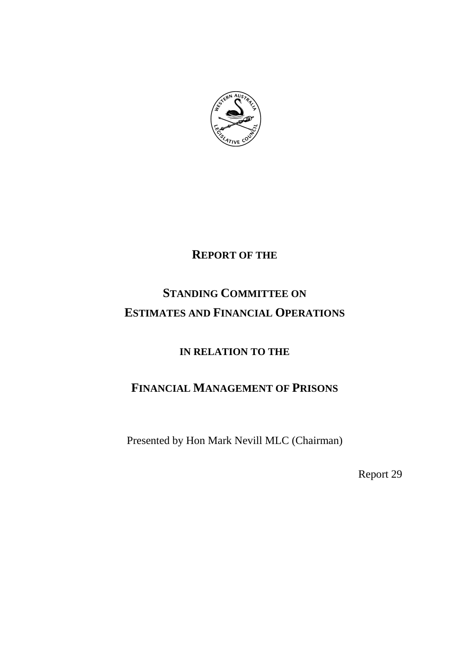

# **REPORT OF THE**

# **STANDING COMMITTEE ON ESTIMATES AND FINANCIAL OPERATIONS**

## **IN RELATION TO THE**

# **FINANCIAL MANAGEMENT OF PRISONS**

Presented by Hon Mark Nevill MLC (Chairman)

Report 29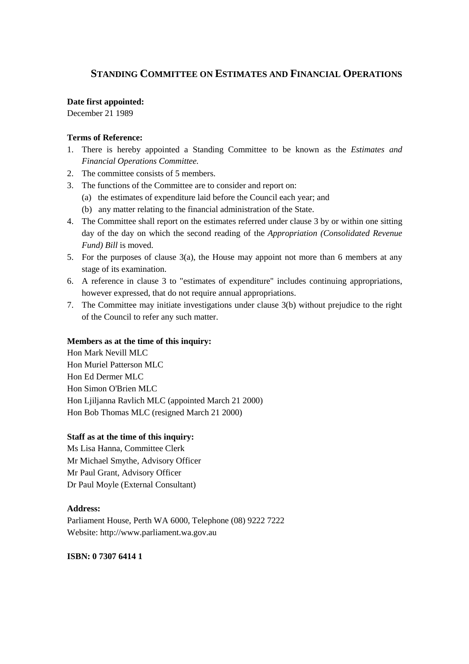### **STANDING COMMITTEE ON ESTIMATES AND FINANCIAL OPERATIONS**

#### **Date first appointed:**

December 21 1989

### **Terms of Reference:**

- 1. There is hereby appointed a Standing Committee to be known as the *Estimates and Financial Operations Committee.*
- 2. The committee consists of 5 members.
- 3. The functions of the Committee are to consider and report on:
	- (a) the estimates of expenditure laid before the Council each year; and
	- (b) any matter relating to the financial administration of the State.
- 4. The Committee shall report on the estimates referred under clause 3 by or within one sitting day of the day on which the second reading of the *Appropriation (Consolidated Revenue Fund) Bill* is moved.
- 5. For the purposes of clause 3(a), the House may appoint not more than 6 members at any stage of its examination.
- 6. A reference in clause 3 to "estimates of expenditure" includes continuing appropriations, however expressed, that do not require annual appropriations.
- 7. The Committee may initiate investigations under clause 3(b) without prejudice to the right of the Council to refer any such matter.

#### **Members as at the time of this inquiry:**

Hon Mark Nevill MLC Hon Muriel Patterson MLC Hon Ed Dermer MLC Hon Simon O'Brien MLC Hon Ljiljanna Ravlich MLC (appointed March 21 2000) Hon Bob Thomas MLC (resigned March 21 2000)

#### **Staff as at the time of this inquiry:**

Ms Lisa Hanna, Committee Clerk Mr Michael Smythe, Advisory Officer Mr Paul Grant, Advisory Officer Dr Paul Moyle (External Consultant)

#### **Address:**

Parliament House, Perth WA 6000, Telephone (08) 9222 7222 Website: http://www.parliament.wa.gov.au

### **ISBN: 0 7307 6414 1**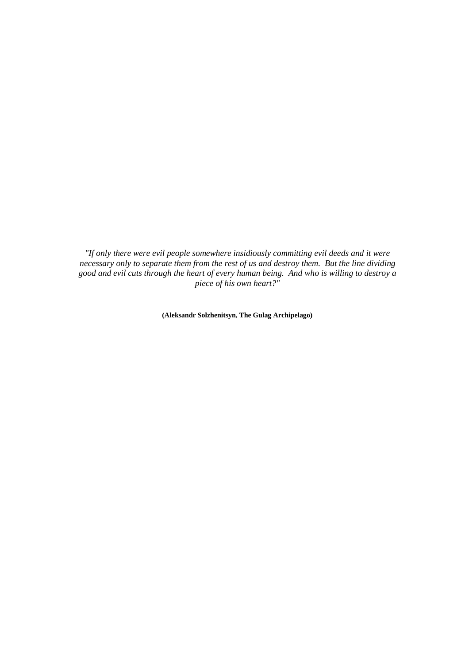*"If only there were evil people somewhere insidiously committing evil deeds and it were necessary only to separate them from the rest of us and destroy them. But the line dividing good and evil cuts through the heart of every human being. And who is willing to destroy a piece of his own heart?"*

**(Aleksandr Solzhenitsyn, The Gulag Archipelago)**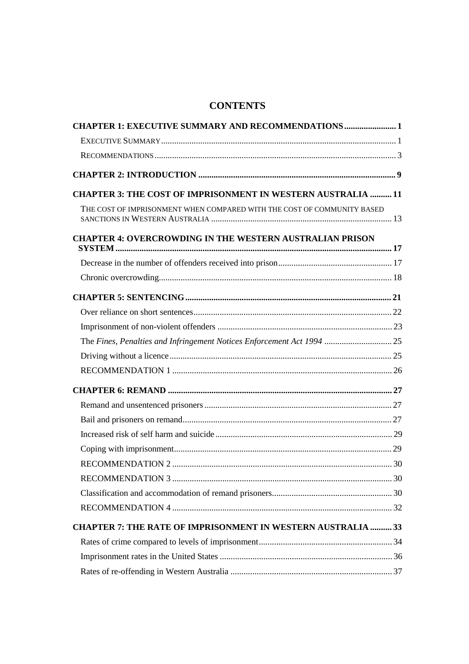## **CONTENTS**

| <b>CHAPTER 1: EXECUTIVE SUMMARY AND RECOMMENDATIONS  1</b>              |  |
|-------------------------------------------------------------------------|--|
|                                                                         |  |
|                                                                         |  |
|                                                                         |  |
| <b>CHAPTER 3: THE COST OF IMPRISONMENT IN WESTERN AUSTRALIA  11</b>     |  |
| THE COST OF IMPRISONMENT WHEN COMPARED WITH THE COST OF COMMUNITY BASED |  |
| <b>CHAPTER 4: OVERCROWDING IN THE WESTERN AUSTRALIAN PRISON</b>         |  |
|                                                                         |  |
|                                                                         |  |
|                                                                         |  |
|                                                                         |  |
|                                                                         |  |
| The Fines, Penalties and Infringement Notices Enforcement Act 1994  25  |  |
|                                                                         |  |
|                                                                         |  |
|                                                                         |  |
|                                                                         |  |
|                                                                         |  |
|                                                                         |  |
|                                                                         |  |
|                                                                         |  |
|                                                                         |  |
|                                                                         |  |
|                                                                         |  |
| <b>CHAPTER 7: THE RATE OF IMPRISONMENT IN WESTERN AUSTRALIA  33</b>     |  |
|                                                                         |  |
|                                                                         |  |
|                                                                         |  |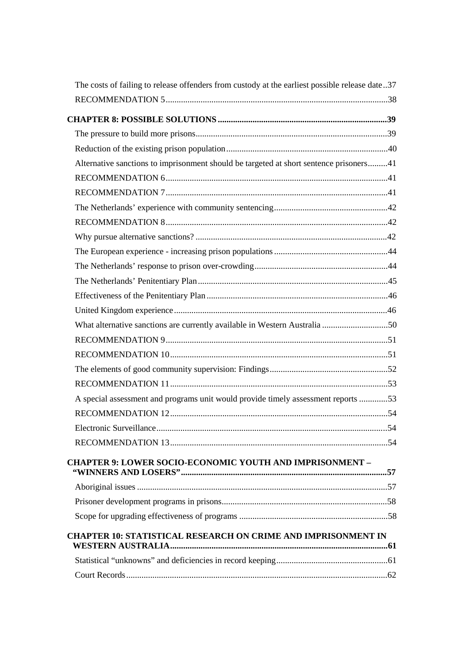| The costs of failing to release offenders from custody at the earliest possible release date37 |  |
|------------------------------------------------------------------------------------------------|--|
|                                                                                                |  |
|                                                                                                |  |
|                                                                                                |  |
|                                                                                                |  |
| Alternative sanctions to imprisonment should be targeted at short sentence prisoners41         |  |
|                                                                                                |  |
|                                                                                                |  |
|                                                                                                |  |
|                                                                                                |  |
|                                                                                                |  |
|                                                                                                |  |
|                                                                                                |  |
|                                                                                                |  |
|                                                                                                |  |
|                                                                                                |  |
| What alternative sanctions are currently available in Western Australia 50                     |  |
|                                                                                                |  |
|                                                                                                |  |
|                                                                                                |  |
|                                                                                                |  |
| A special assessment and programs unit would provide timely assessment reports 53              |  |
|                                                                                                |  |
|                                                                                                |  |
|                                                                                                |  |
| <b>CHAPTER 9: LOWER SOCIO-ECONOMIC YOUTH AND IMPRISONMENT -</b>                                |  |
|                                                                                                |  |
|                                                                                                |  |
|                                                                                                |  |
|                                                                                                |  |
| <b>CHAPTER 10: STATISTICAL RESEARCH ON CRIME AND IMPRISONMENT IN</b>                           |  |
|                                                                                                |  |
|                                                                                                |  |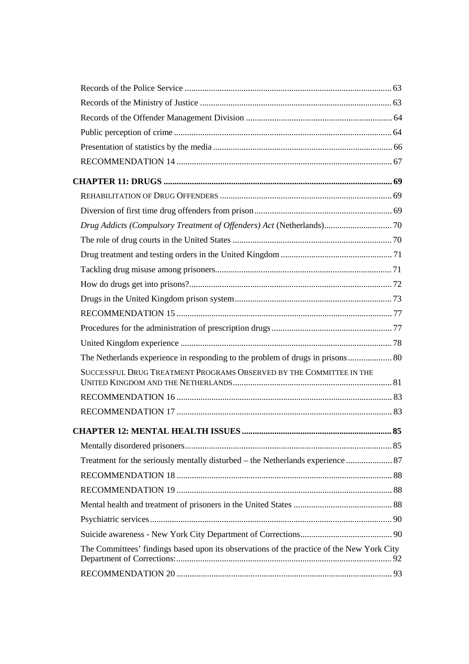| Drug Addicts (Compulsory Treatment of Offenders) Act (Netherlands) 70                     |  |
|-------------------------------------------------------------------------------------------|--|
|                                                                                           |  |
|                                                                                           |  |
|                                                                                           |  |
|                                                                                           |  |
|                                                                                           |  |
|                                                                                           |  |
|                                                                                           |  |
|                                                                                           |  |
| The Netherlands experience in responding to the problem of drugs in prisons 80            |  |
| SUCCESSFUL DRUG TREATMENT PROGRAMS OBSERVED BY THE COMMITTEE IN THE                       |  |
|                                                                                           |  |
|                                                                                           |  |
|                                                                                           |  |
|                                                                                           |  |
|                                                                                           |  |
| Treatment for the seriously mentally disturbed – the Netherlands experience  87           |  |
|                                                                                           |  |
|                                                                                           |  |
|                                                                                           |  |
|                                                                                           |  |
|                                                                                           |  |
| The Committees' findings based upon its observations of the practice of the New York City |  |
|                                                                                           |  |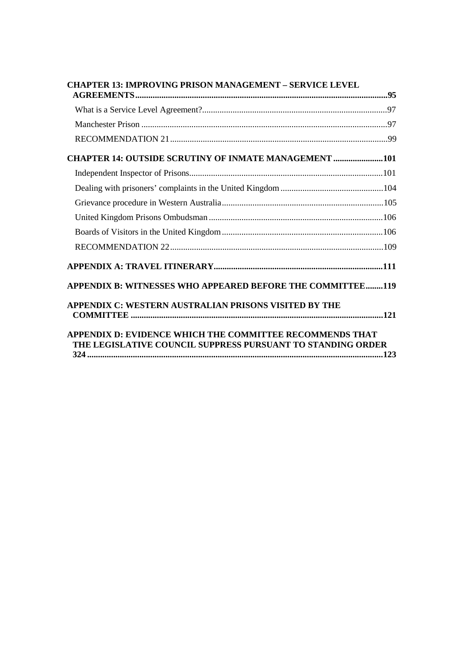| <b>CHAPTER 13: IMPROVING PRISON MANAGEMENT - SERVICE LEVEL</b>                                                          |  |
|-------------------------------------------------------------------------------------------------------------------------|--|
|                                                                                                                         |  |
|                                                                                                                         |  |
|                                                                                                                         |  |
| <b>CHAPTER 14: OUTSIDE SCRUTINY OF INMATE MANAGEMENT 101</b>                                                            |  |
|                                                                                                                         |  |
|                                                                                                                         |  |
|                                                                                                                         |  |
|                                                                                                                         |  |
|                                                                                                                         |  |
|                                                                                                                         |  |
|                                                                                                                         |  |
| <b>APPENDIX B: WITNESSES WHO APPEARED BEFORE THE COMMITTEE119</b>                                                       |  |
| APPENDIX C: WESTERN AUSTRALIAN PRISONS VISITED BY THE                                                                   |  |
| APPENDIX D: EVIDENCE WHICH THE COMMITTEE RECOMMENDS THAT<br>THE LEGISLATIVE COUNCIL SUPPRESS PURSUANT TO STANDING ORDER |  |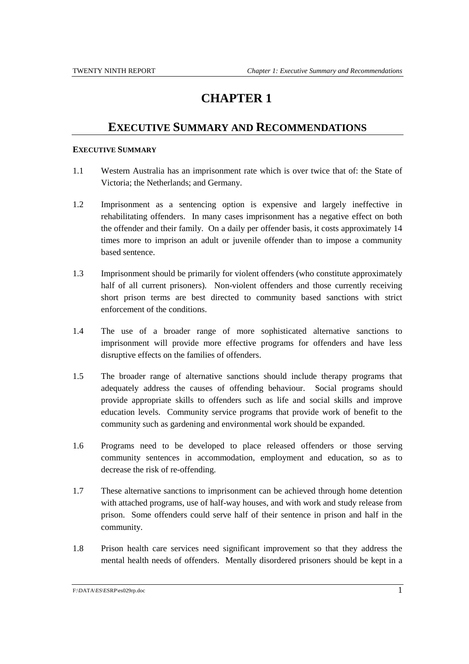## **EXECUTIVE SUMMARY AND RECOMMENDATIONS**

#### **EXECUTIVE SUMMARY**

- 1.1 Western Australia has an imprisonment rate which is over twice that of: the State of Victoria; the Netherlands; and Germany.
- 1.2 Imprisonment as a sentencing option is expensive and largely ineffective in rehabilitating offenders. In many cases imprisonment has a negative effect on both the offender and their family. On a daily per offender basis, it costs approximately 14 times more to imprison an adult or juvenile offender than to impose a community based sentence.
- 1.3 Imprisonment should be primarily for violent offenders (who constitute approximately half of all current prisoners). Non-violent offenders and those currently receiving short prison terms are best directed to community based sanctions with strict enforcement of the conditions.
- 1.4 The use of a broader range of more sophisticated alternative sanctions to imprisonment will provide more effective programs for offenders and have less disruptive effects on the families of offenders.
- 1.5 The broader range of alternative sanctions should include therapy programs that adequately address the causes of offending behaviour. Social programs should provide appropriate skills to offenders such as life and social skills and improve education levels. Community service programs that provide work of benefit to the community such as gardening and environmental work should be expanded.
- 1.6 Programs need to be developed to place released offenders or those serving community sentences in accommodation, employment and education, so as to decrease the risk of re-offending.
- 1.7 These alternative sanctions to imprisonment can be achieved through home detention with attached programs, use of half-way houses, and with work and study release from prison. Some offenders could serve half of their sentence in prison and half in the community.
- 1.8 Prison health care services need significant improvement so that they address the mental health needs of offenders. Mentally disordered prisoners should be kept in a

F:\DATA\ES\ESRP\es029rp.doc 1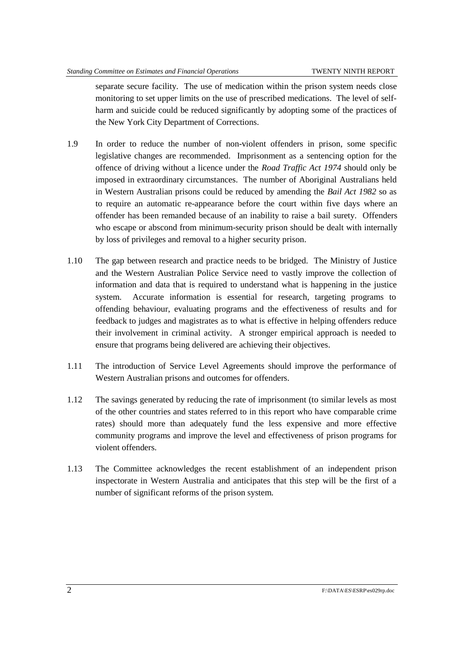separate secure facility. The use of medication within the prison system needs close monitoring to set upper limits on the use of prescribed medications. The level of selfharm and suicide could be reduced significantly by adopting some of the practices of the New York City Department of Corrections.

- 1.9 In order to reduce the number of non-violent offenders in prison, some specific legislative changes are recommended. Imprisonment as a sentencing option for the offence of driving without a licence under the *Road Traffic Act 1974* should only be imposed in extraordinary circumstances. The number of Aboriginal Australians held in Western Australian prisons could be reduced by amending the *Bail Act 1982* so as to require an automatic re-appearance before the court within five days where an offender has been remanded because of an inability to raise a bail surety. Offenders who escape or abscond from minimum-security prison should be dealt with internally by loss of privileges and removal to a higher security prison.
- 1.10 The gap between research and practice needs to be bridged. The Ministry of Justice and the Western Australian Police Service need to vastly improve the collection of information and data that is required to understand what is happening in the justice system. Accurate information is essential for research, targeting programs to offending behaviour, evaluating programs and the effectiveness of results and for feedback to judges and magistrates as to what is effective in helping offenders reduce their involvement in criminal activity. A stronger empirical approach is needed to ensure that programs being delivered are achieving their objectives.
- 1.11 The introduction of Service Level Agreements should improve the performance of Western Australian prisons and outcomes for offenders.
- 1.12 The savings generated by reducing the rate of imprisonment (to similar levels as most of the other countries and states referred to in this report who have comparable crime rates) should more than adequately fund the less expensive and more effective community programs and improve the level and effectiveness of prison programs for violent offenders.
- 1.13 The Committee acknowledges the recent establishment of an independent prison inspectorate in Western Australia and anticipates that this step will be the first of a number of significant reforms of the prison system.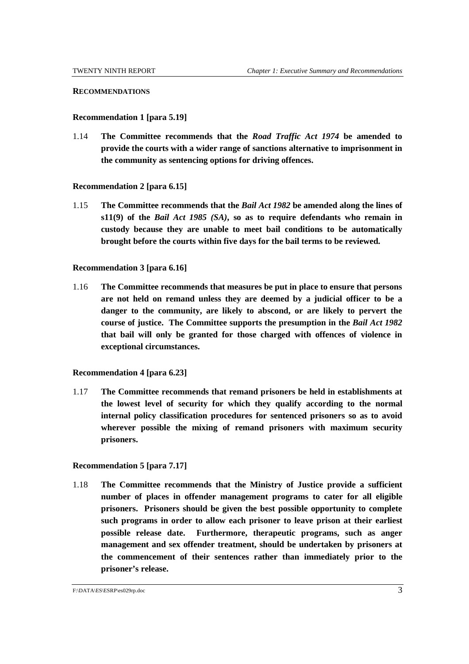#### **RECOMMENDATIONS**

#### **Recommendation 1 [para 5.19]**

1.14 **The Committee recommends that the** *Road Traffic Act 1974* **be amended to provide the courts with a wider range of sanctions alternative to imprisonment in the community as sentencing options for driving offences.**

#### **Recommendation 2 [para 6.15]**

1.15 **The Committee recommends that the** *Bail Act 1982* **be amended along the lines of s11(9) of the** *Bail Act 1985 (SA)***, so as to require defendants who remain in custody because they are unable to meet bail conditions to be automatically brought before the courts within five days for the bail terms to be reviewed.**

#### **Recommendation 3 [para 6.16]**

1.16 **The Committee recommends that measures be put in place to ensure that persons are not held on remand unless they are deemed by a judicial officer to be a danger to the community, are likely to abscond, or are likely to pervert the course of justice. The Committee supports the presumption in the** *Bail Act 1982* **that bail will only be granted for those charged with offences of violence in exceptional circumstances.**

#### **Recommendation 4 [para 6.23]**

1.17 **The Committee recommends that remand prisoners be held in establishments at the lowest level of security for which they qualify according to the normal internal policy classification procedures for sentenced prisoners so as to avoid wherever possible the mixing of remand prisoners with maximum security prisoners.**

#### **Recommendation 5 [para 7.17]**

1.18 **The Committee recommends that the Ministry of Justice provide a sufficient number of places in offender management programs to cater for all eligible prisoners. Prisoners should be given the best possible opportunity to complete such programs in order to allow each prisoner to leave prison at their earliest possible release date. Furthermore, therapeutic programs, such as anger management and sex offender treatment, should be undertaken by prisoners at the commencement of their sentences rather than immediately prior to the prisoner's release.**

F:\DATA\ES\ESRP\es029rp.doc 3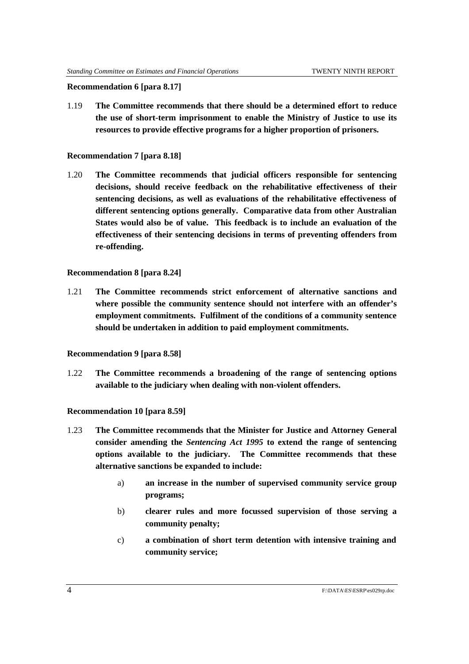#### **Recommendation 6 [para 8.17]**

1.19 **The Committee recommends that there should be a determined effort to reduce the use of short-term imprisonment to enable the Ministry of Justice to use its resources to provide effective programs for a higher proportion of prisoners.**

#### **Recommendation 7 [para 8.18]**

1.20 **The Committee recommends that judicial officers responsible for sentencing decisions, should receive feedback on the rehabilitative effectiveness of their sentencing decisions, as well as evaluations of the rehabilitative effectiveness of different sentencing options generally. Comparative data from other Australian States would also be of value. This feedback is to include an evaluation of the effectiveness of their sentencing decisions in terms of preventing offenders from re-offending.**

#### **Recommendation 8 [para 8.24]**

1.21 **The Committee recommends strict enforcement of alternative sanctions and where possible the community sentence should not interfere with an offender's employment commitments. Fulfilment of the conditions of a community sentence should be undertaken in addition to paid employment commitments.**

#### **Recommendation 9 [para 8.58]**

1.22 **The Committee recommends a broadening of the range of sentencing options available to the judiciary when dealing with non-violent offenders.**

#### **Recommendation 10 [para 8.59]**

- 1.23 **The Committee recommends that the Minister for Justice and Attorney General consider amending the** *Sentencing Act 1995* **to extend the range of sentencing options available to the judiciary. The Committee recommends that these alternative sanctions be expanded to include:**
	- a) **an increase in the number of supervised community service group programs;**
	- b) **clearer rules and more focussed supervision of those serving a community penalty;**
	- c) **a combination of short term detention with intensive training and community service;**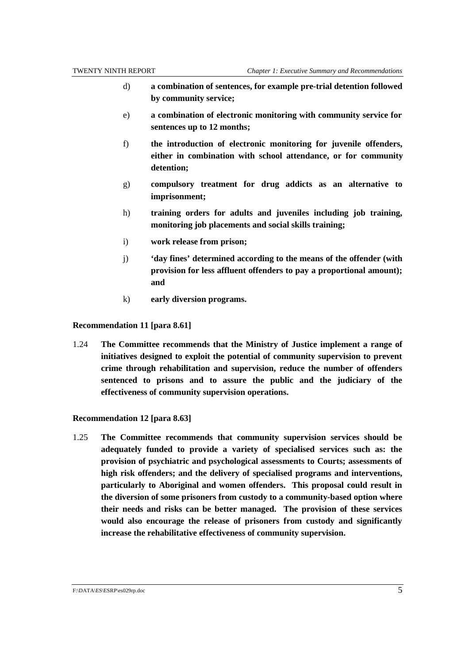- d) **a combination of sentences, for example pre-trial detention followed by community service;**
- e) **a combination of electronic monitoring with community service for sentences up to 12 months;**
- f) **the introduction of electronic monitoring for juvenile offenders, either in combination with school attendance, or for community detention;**
- g) **compulsory treatment for drug addicts as an alternative to imprisonment;**
- h) **training orders for adults and juveniles including job training, monitoring job placements and social skills training;**
- i) **work release from prison;**
- j) **'day fines' determined according to the means of the offender (with provision for less affluent offenders to pay a proportional amount); and**
- k) **early diversion programs.**

#### **Recommendation 11 [para 8.61]**

1.24 **The Committee recommends that the Ministry of Justice implement a range of initiatives designed to exploit the potential of community supervision to prevent crime through rehabilitation and supervision, reduce the number of offenders sentenced to prisons and to assure the public and the judiciary of the effectiveness of community supervision operations.**

#### **Recommendation 12 [para 8.63]**

1.25 **The Committee recommends that community supervision services should be adequately funded to provide a variety of specialised services such as: the provision of psychiatric and psychological assessments to Courts; assessments of high risk offenders; and the delivery of specialised programs and interventions, particularly to Aboriginal and women offenders. This proposal could result in the diversion of some prisoners from custody to a community-based option where their needs and risks can be better managed. The provision of these services would also encourage the release of prisoners from custody and significantly increase the rehabilitative effectiveness of community supervision.**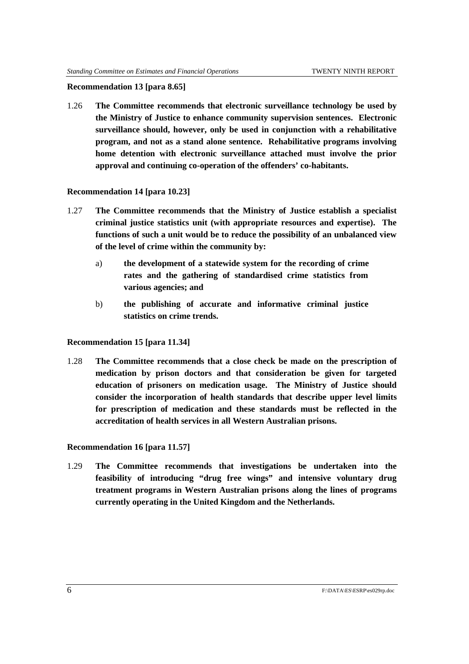#### **Recommendation 13 [para 8.65]**

1.26 **The Committee recommends that electronic surveillance technology be used by the Ministry of Justice to enhance community supervision sentences. Electronic surveillance should, however, only be used in conjunction with a rehabilitative program, and not as a stand alone sentence. Rehabilitative programs involving home detention with electronic surveillance attached must involve the prior approval and continuing co-operation of the offenders' co-habitants.**

#### **Recommendation 14 [para 10.23]**

- 1.27 **The Committee recommends that the Ministry of Justice establish a specialist criminal justice statistics unit (with appropriate resources and expertise). The functions of such a unit would be to reduce the possibility of an unbalanced view of the level of crime within the community by:**
	- a) **the development of a statewide system for the recording of crime rates and the gathering of standardised crime statistics from various agencies; and**
	- b) **the publishing of accurate and informative criminal justice statistics on crime trends.**

#### **Recommendation 15 [para 11.34]**

1.28 **The Committee recommends that a close check be made on the prescription of medication by prison doctors and that consideration be given for targeted education of prisoners on medication usage. The Ministry of Justice should consider the incorporation of health standards that describe upper level limits for prescription of medication and these standards must be reflected in the accreditation of health services in all Western Australian prisons.**

#### **Recommendation 16 [para 11.57]**

1.29 **The Committee recommends that investigations be undertaken into the feasibility of introducing "drug free wings" and intensive voluntary drug treatment programs in Western Australian prisons along the lines of programs currently operating in the United Kingdom and the Netherlands.**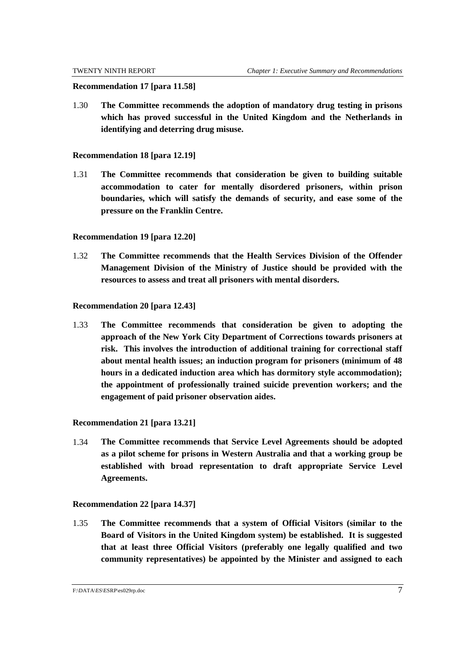#### **Recommendation 17 [para 11.58]**

1.30 **The Committee recommends the adoption of mandatory drug testing in prisons which has proved successful in the United Kingdom and the Netherlands in identifying and deterring drug misuse.**

#### **Recommendation 18 [para 12.19]**

1.31 **The Committee recommends that consideration be given to building suitable accommodation to cater for mentally disordered prisoners, within prison boundaries, which will satisfy the demands of security, and ease some of the pressure on the Franklin Centre.**

#### **Recommendation 19 [para 12.20]**

1.32 **The Committee recommends that the Health Services Division of the Offender Management Division of the Ministry of Justice should be provided with the resources to assess and treat all prisoners with mental disorders.**

#### **Recommendation 20 [para 12.43]**

1.33 **The Committee recommends that consideration be given to adopting the approach of the New York City Department of Corrections towards prisoners at risk. This involves the introduction of additional training for correctional staff about mental health issues; an induction program for prisoners (minimum of 48 hours in a dedicated induction area which has dormitory style accommodation); the appointment of professionally trained suicide prevention workers; and the engagement of paid prisoner observation aides.**

#### **Recommendation 21 [para 13.21]**

1.34 **The Committee recommends that Service Level Agreements should be adopted as a pilot scheme for prisons in Western Australia and that a working group be established with broad representation to draft appropriate Service Level Agreements.**

#### **Recommendation 22 [para 14.37]**

1.35 **The Committee recommends that a system of Official Visitors (similar to the Board of Visitors in the United Kingdom system) be established. It is suggested that at least three Official Visitors (preferably one legally qualified and two community representatives) be appointed by the Minister and assigned to each**

F:\DATA\ES\ESRP\es029rp.doc 7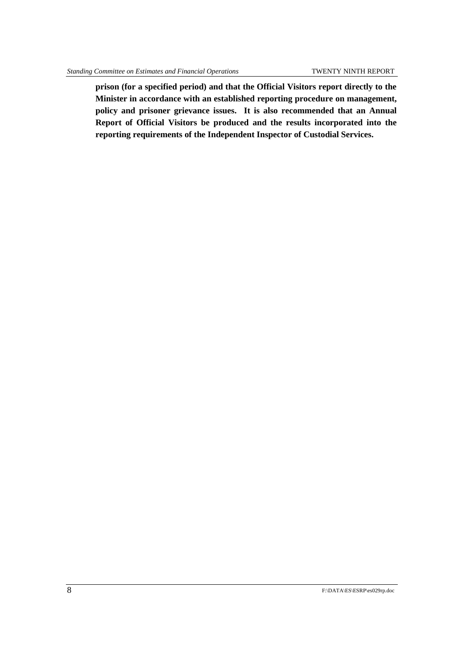**prison (for a specified period) and that the Official Visitors report directly to the Minister in accordance with an established reporting procedure on management, policy and prisoner grievance issues. It is also recommended that an Annual Report of Official Visitors be produced and the results incorporated into the reporting requirements of the Independent Inspector of Custodial Services.**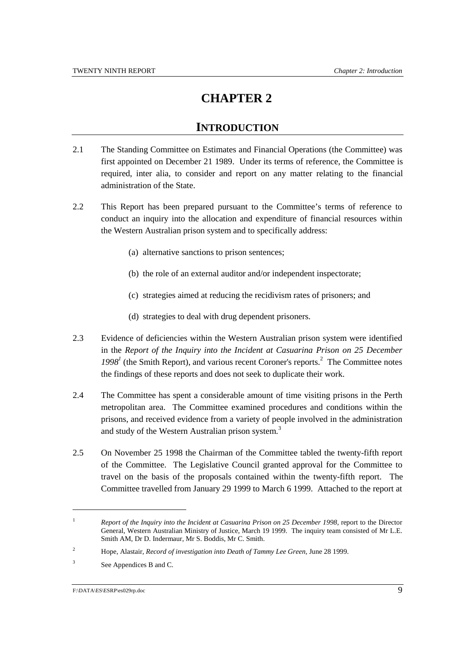### **INTRODUCTION**

- 2.1 The Standing Committee on Estimates and Financial Operations (the Committee) was first appointed on December 21 1989. Under its terms of reference, the Committee is required, inter alia, to consider and report on any matter relating to the financial administration of the State.
- 2.2 This Report has been prepared pursuant to the Committee's terms of reference to conduct an inquiry into the allocation and expenditure of financial resources within the Western Australian prison system and to specifically address:
	- (a) alternative sanctions to prison sentences;
	- (b) the role of an external auditor and/or independent inspectorate;
	- (c) strategies aimed at reducing the recidivism rates of prisoners; and
	- (d) strategies to deal with drug dependent prisoners.
- 2.3 Evidence of deficiencies within the Western Australian prison system were identified in the *Report of the Inquiry into the Incident at Casuarina Prison on 25 December*  $1998<sup>1</sup>$  (the Smith Report), and various recent Coroner's reports.<sup>2</sup> The Committee notes the findings of these reports and does not seek to duplicate their work.
- 2.4 The Committee has spent a considerable amount of time visiting prisons in the Perth metropolitan area. The Committee examined procedures and conditions within the prisons, and received evidence from a variety of people involved in the administration and study of the Western Australian prison system.<sup>3</sup>
- 2.5 On November 25 1998 the Chairman of the Committee tabled the twenty-fifth report of the Committee. The Legislative Council granted approval for the Committee to travel on the basis of the proposals contained within the twenty-fifth report. The Committee travelled from January 29 1999 to March 6 1999. Attached to the report at

<sup>&</sup>lt;sup>1</sup> *Report of the Inquiry into the Incident at Casuarina Prison on 25 December 1998*, report to the Director General, Western Australian Ministry of Justice, March 19 1999. The inquiry team consisted of Mr L.E. Smith AM, Dr D. Indermaur, Mr S. Boddis, Mr C. Smith.

<sup>2</sup> Hope, Alastair, *Record of investigation into Death of Tammy Lee Green*, June 28 1999.

<sup>3</sup> See Appendices B and C.

F:\DATA\ES\ESRP\es029rp.doc 9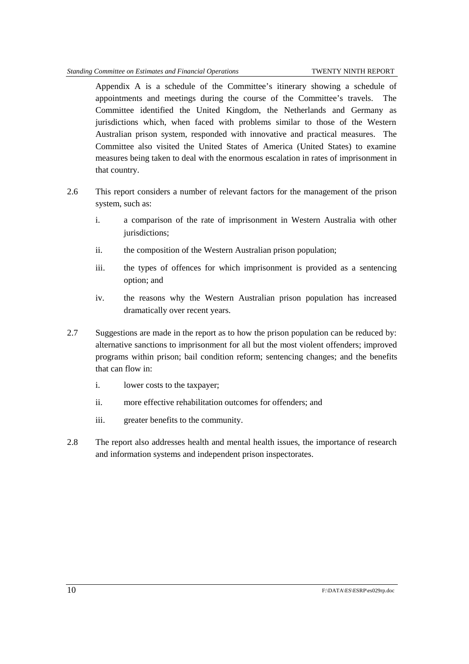Appendix A is a schedule of the Committee's itinerary showing a schedule of appointments and meetings during the course of the Committee's travels. The Committee identified the United Kingdom, the Netherlands and Germany as jurisdictions which, when faced with problems similar to those of the Western Australian prison system, responded with innovative and practical measures. The Committee also visited the United States of America (United States) to examine measures being taken to deal with the enormous escalation in rates of imprisonment in that country.

- 2.6 This report considers a number of relevant factors for the management of the prison system, such as:
	- i. a comparison of the rate of imprisonment in Western Australia with other jurisdictions;
	- ii. the composition of the Western Australian prison population;
	- iii. the types of offences for which imprisonment is provided as a sentencing option; and
	- iv. the reasons why the Western Australian prison population has increased dramatically over recent years.
- 2.7 Suggestions are made in the report as to how the prison population can be reduced by: alternative sanctions to imprisonment for all but the most violent offenders; improved programs within prison; bail condition reform; sentencing changes; and the benefits that can flow in:
	- i. lower costs to the taxpayer;
	- ii. more effective rehabilitation outcomes for offenders; and
	- iii. greater benefits to the community.
- 2.8 The report also addresses health and mental health issues, the importance of research and information systems and independent prison inspectorates.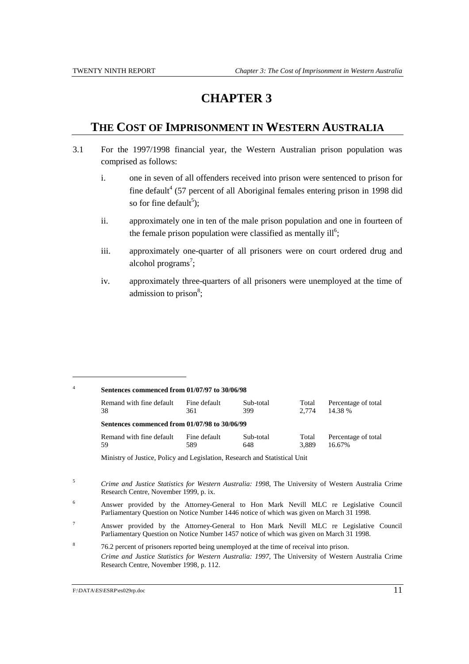### **THE COST OF IMPRISONMENT IN WESTERN AUSTRALIA**

- 3.1 For the 1997/1998 financial year, the Western Australian prison population was comprised as follows:
	- i. one in seven of all offenders received into prison were sentenced to prison for fine default<sup>4</sup> (57 percent of all Aboriginal females entering prison in 1998 did so for fine default<sup>5</sup>);
	- ii. approximately one in ten of the male prison population and one in fourteen of the female prison population were classified as mentally ill<sup>6</sup>;
	- iii. approximately one-quarter of all prisoners were on court ordered drug and alcohol programs<sup>7</sup>;
	- iv. approximately three-quarters of all prisoners were unemployed at the time of admission to prison<sup>8</sup>;

| Sentences commenced from 01/07/97 to 30/06/98 |              |           |       |                     |  |
|-----------------------------------------------|--------------|-----------|-------|---------------------|--|
| Remand with fine default                      | Fine default | Sub-total | Total | Percentage of total |  |
| 38                                            | 361          | 399       | 2.774 | 14.38 %             |  |
| Sentences commenced from 01/07/98 to 30/06/99 |              |           |       |                     |  |
| Remand with fine default                      | Fine default | Sub-total | Total | Percentage of total |  |
| 59                                            | 589          | 648       | 3.889 | 16.67%              |  |

<sup>5</sup> *Crime and Justice Statistics for Western Australia: 1998*, The University of Western Australia Crime Research Centre, November 1999, p. ix.

- <sup>6</sup> Answer provided by the Attorney-General to Hon Mark Nevill MLC re Legislative Council Parliamentary Question on Notice Number 1446 notice of which was given on March 31 1998.
- <sup>7</sup> Answer provided by the Attorney-General to Hon Mark Nevill MLC re Legislative Council Parliamentary Question on Notice Number 1457 notice of which was given on March 31 1998.

<sup>8</sup> 76.2 percent of prisoners reported being unemployed at the time of receival into prison. *Crime and Justice Statistics for Western Australia: 1997*, The University of Western Australia Crime Research Centre, November 1998, p. 112.

F:\DATA\ES\ESRP\es029rp.doc 11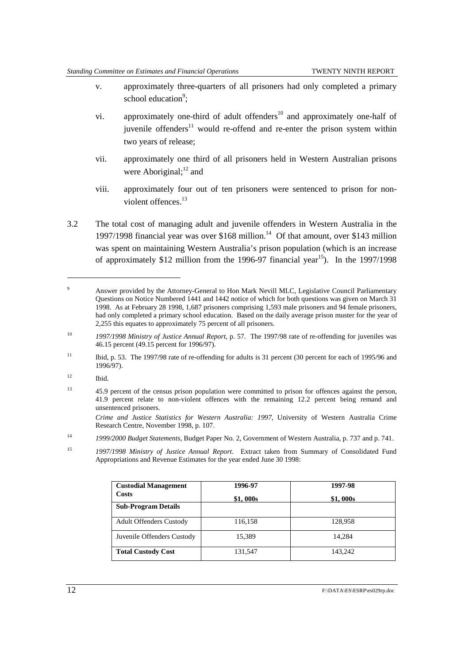- v. approximately three-quarters of all prisoners had only completed a primary school education<sup>9</sup>;
- vi. approximately one-third of adult offenders $10$  and approximately one-half of juvenile offenders<sup>11</sup> would re-offend and re-enter the prison system within two years of release;
- vii. approximately one third of all prisoners held in Western Australian prisons were Aboriginal; $^{12}$  and
- viii. approximately four out of ten prisoners were sentenced to prison for nonviolent offences. $13$
- 3.2 The total cost of managing adult and juvenile offenders in Western Australia in the 1997/1998 financial year was over \$168 million.<sup>14</sup> Of that amount, over \$143 million was spent on maintaining Western Australia's prison population (which is an increase of approximately \$12 million from the 1996-97 financial year<sup>15</sup>). In the 1997/1998

 $12$  Ibid.

 $\overline{a}$ 

*Crime and Justice Statistics for Western Australia: 1997*, University of Western Australia Crime Research Centre, November 1998, p. 107.

<sup>15</sup> *1997/1998 Ministry of Justice Annual Report*. Extract taken from Summary of Consolidated Fund Appropriations and Revenue Estimates for the year ended June 30 1998:

| <b>Custodial Management</b>    | 1996-97  | 1997-98  |
|--------------------------------|----------|----------|
| <b>Costs</b>                   | \$1,000s | \$1,000s |
| <b>Sub-Program Details</b>     |          |          |
| <b>Adult Offenders Custody</b> | 116,158  | 128,958  |
| Juvenile Offenders Custody     | 15,389   | 14.284   |
| <b>Total Custody Cost</b>      | 131,547  | 143,242  |

<sup>&</sup>lt;sup>9</sup> Answer provided by the Attorney-General to Hon Mark Nevill MLC, Legislative Council Parliamentary Questions on Notice Numbered 1441 and 1442 notice of which for both questions was given on March 31 1998. As at February 28 1998, 1,687 prisoners comprising 1,593 male prisoners and 94 female prisoners, had only completed a primary school education. Based on the daily average prison muster for the year of 2,255 this equates to approximately 75 percent of all prisoners.

<sup>10</sup> *1997/1998 Ministry of Justice Annual Report*, p. 57. The 1997/98 rate of re-offending for juveniles was 46.15 percent (49.15 percent for 1996/97).

<sup>&</sup>lt;sup>11</sup> Ibid, p. 53. The 1997/98 rate of re-offending for adults is 31 percent (30 percent for each of 1995/96 and 1996/97).

<sup>&</sup>lt;sup>13</sup> 45.9 percent of the census prison population were committed to prison for offences against the person, 41.9 percent relate to non-violent offences with the remaining 12.2 percent being remand and unsentenced prisoners.

<sup>14</sup> *1999/2000 Budget Statements*, Budget Paper No. 2, Government of Western Australia, p. 737 and p. 741.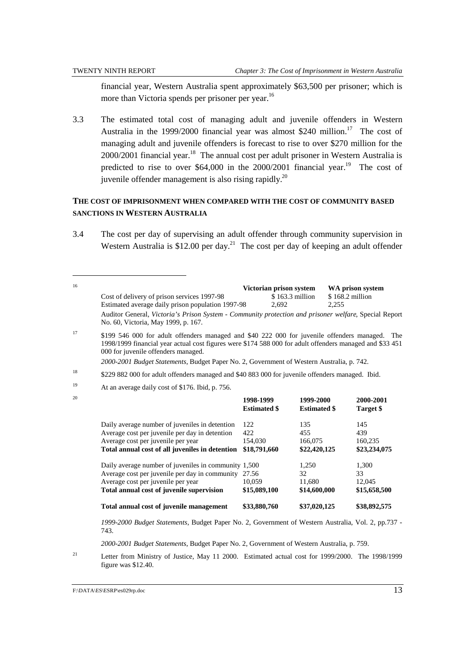$\overline{a}$ 

financial year, Western Australia spent approximately \$63,500 per prisoner; which is more than Victoria spends per prisoner per year.<sup>16</sup>

3.3 The estimated total cost of managing adult and juvenile offenders in Western Australia in the 1999/2000 financial year was almost \$240 million.<sup>17</sup> The cost of managing adult and juvenile offenders is forecast to rise to over \$270 million for the  $2000/2001$  financial year.<sup>18</sup> The annual cost per adult prisoner in Western Australia is predicted to rise to over  $$64,000$  in the 2000/2001 financial year.<sup>19</sup> The cost of juvenile offender management is also rising rapidly.<sup>20</sup>

### **THE COST OF IMPRISONMENT WHEN COMPARED WITH THE COST OF COMMUNITY BASED SANCTIONS IN WESTERN AUSTRALIA**

3.4 The cost per day of supervising an adult offender through community supervision in Western Australia is  $$12.00$  per day.<sup>21</sup> The cost per day of keeping an adult offender

| 16 | Cost of delivery of prison services 1997-98<br>Estimated average daily prison population 1997-98                                                                                                                                                                                                                                                            |                                  | Victorian prison system<br>\$163.3 million<br>2,692 | WA prison system<br>\$168.2 million<br>2,255 |                        |
|----|-------------------------------------------------------------------------------------------------------------------------------------------------------------------------------------------------------------------------------------------------------------------------------------------------------------------------------------------------------------|----------------------------------|-----------------------------------------------------|----------------------------------------------|------------------------|
|    | Auditor General, Victoria's Prison System - Community protection and prisoner welfare, Special Report<br>No. 60, Victoria, May 1999, p. 167.                                                                                                                                                                                                                |                                  |                                                     |                                              |                        |
| 17 | \$199 546 000 for adult offenders managed and \$40 222 000 for juvenile offenders managed. The<br>1998/1999 financial year actual cost figures were \$174 588 000 for adult offenders managed and \$33 451<br>000 for juvenile offenders managed.<br>2000-2001 Budget Statements, Budget Paper No. 2, Government of Western Australia, p. 742.              |                                  |                                                     |                                              |                        |
| 18 | \$229 882 000 for adult offenders managed and \$40 883 000 for juvenile offenders managed. Ibid.                                                                                                                                                                                                                                                            |                                  |                                                     |                                              |                        |
| 19 | At an average daily cost of \$176. Ibid, p. 756.                                                                                                                                                                                                                                                                                                            |                                  |                                                     |                                              |                        |
| 20 |                                                                                                                                                                                                                                                                                                                                                             | 1998-1999<br><b>Estimated \$</b> | 1999-2000<br><b>Estimated \$</b>                    |                                              | 2000-2001<br>Target \$ |
|    | Daily average number of juveniles in detention                                                                                                                                                                                                                                                                                                              | 122                              | 135                                                 |                                              | 145                    |
|    | Average cost per juvenile per day in detention                                                                                                                                                                                                                                                                                                              | 422                              | 455                                                 |                                              | 439                    |
|    | Average cost per juvenile per year                                                                                                                                                                                                                                                                                                                          | 154,030                          | 166,075                                             |                                              | 160,235                |
|    | Total annual cost of all juveniles in detention                                                                                                                                                                                                                                                                                                             | \$18,791,660                     | \$22,420,125                                        |                                              | \$23,234,075           |
|    | Daily average number of juveniles in community 1,500                                                                                                                                                                                                                                                                                                        |                                  | 1,250                                               |                                              | 1,300                  |
|    | Average cost per juvenile per day in community 27.56                                                                                                                                                                                                                                                                                                        |                                  | 32                                                  |                                              | 33                     |
|    | Average cost per juvenile per year                                                                                                                                                                                                                                                                                                                          | 10,059                           | 11,680                                              |                                              | 12,045                 |
|    | Total annual cost of juvenile supervision                                                                                                                                                                                                                                                                                                                   | \$15,089,100                     | \$14,600,000                                        |                                              | \$15,658,500           |
|    | Total annual cost of juvenile management                                                                                                                                                                                                                                                                                                                    | \$33,880,760                     | \$37,020,125                                        |                                              | \$38,892,575           |
|    | 1999-2000 Budget Statements, Budget Paper No. 2, Government of Western Australia, Vol. 2, pp.737 -<br>743.                                                                                                                                                                                                                                                  |                                  |                                                     |                                              |                        |
|    | 2000-2001 Budget Statements, Budget Paper No. 2, Government of Western Australia, p. 759.                                                                                                                                                                                                                                                                   |                                  |                                                     |                                              |                        |
| 21 | $\tau$ ( $\alpha$ ) $\alpha$ ( $\alpha$ ) $\alpha$ ( $\alpha$ ) $\alpha$ ( $\alpha$ ) $\alpha$ ( $\alpha$ ) $\alpha$ ( $\alpha$ ) $\alpha$ ( $\alpha$ ) $\alpha$ ( $\alpha$ ) $\alpha$ ( $\alpha$ ) $\alpha$ ( $\alpha$ ) $\alpha$ ( $\alpha$ ) $\alpha$ ( $\alpha$ ) $\alpha$ ( $\alpha$ ) $\alpha$ ( $\alpha$ ) $\alpha$ ( $\alpha$ ) $\alpha$ ( $\alpha$ |                                  |                                                     |                                              |                        |

21 Letter from Ministry of Justice, May 11 2000. Estimated actual cost for 1999/2000. The 1998/1999 figure was \$12.40.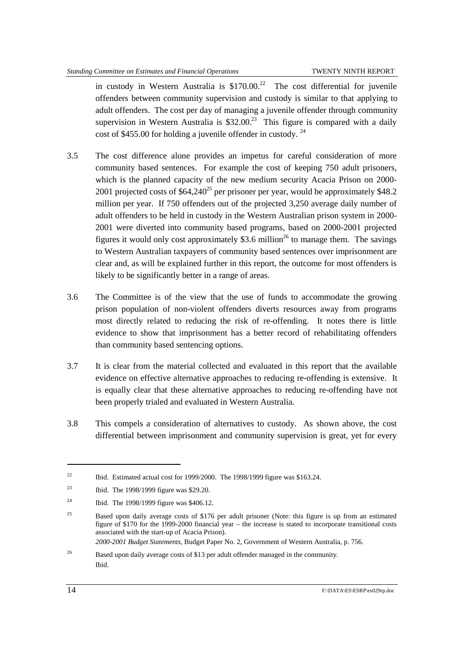in custody in Western Australia is  $$170.00<sup>22</sup>$  The cost differential for juvenile offenders between community supervision and custody is similar to that applying to adult offenders. The cost per day of managing a juvenile offender through community supervision in Western Australia is  $$32.00<sup>23</sup>$  This figure is compared with a daily cost of \$455.00 for holding a juvenile offender in custody. <sup>24</sup>

- 3.5 The cost difference alone provides an impetus for careful consideration of more community based sentences. For example the cost of keeping 750 adult prisoners, which is the planned capacity of the new medium security Acacia Prison on 2000- 2001 projected costs of  $$64,240^{25}$  per prisoner per year, would be approximately \$48.2 million per year. If 750 offenders out of the projected 3,250 average daily number of adult offenders to be held in custody in the Western Australian prison system in 2000- 2001 were diverted into community based programs, based on 2000-2001 projected figures it would only cost approximately \$3.6 million<sup>26</sup> to manage them. The savings to Western Australian taxpayers of community based sentences over imprisonment are clear and, as will be explained further in this report, the outcome for most offenders is likely to be significantly better in a range of areas.
- 3.6 The Committee is of the view that the use of funds to accommodate the growing prison population of non-violent offenders diverts resources away from programs most directly related to reducing the risk of re-offending. It notes there is little evidence to show that imprisonment has a better record of rehabilitating offenders than community based sentencing options.
- 3.7 It is clear from the material collected and evaluated in this report that the available evidence on effective alternative approaches to reducing re-offending is extensive. It is equally clear that these alternative approaches to reducing re-offending have not been properly trialed and evaluated in Western Australia.
- 3.8 This compels a consideration of alternatives to custody. As shown above, the cost differential between imprisonment and community supervision is great, yet for every

*2000-2001 Budget Statements*, Budget Paper No. 2, Government of Western Australia, p. 756.

<sup>&</sup>lt;sup>22</sup> Ibid. Estimated actual cost for 1999/2000. The 1998/1999 figure was \$163.24.

<sup>&</sup>lt;sup>23</sup> Ibid. The 1998/1999 figure was \$29.20.

<sup>&</sup>lt;sup>24</sup> Ibid. The 1998/1999 figure was \$406.12.

<sup>&</sup>lt;sup>25</sup> Based upon daily average costs of \$176 per adult prisoner (Note: this figure is up from an estimated figure of \$170 for the 1999-2000 financial year – the increase is stated to incorporate transitional costs associated with the start-up of Acacia Prison).

<sup>&</sup>lt;sup>26</sup> Based upon daily average costs of \$13 per adult offender managed in the community. Ibid.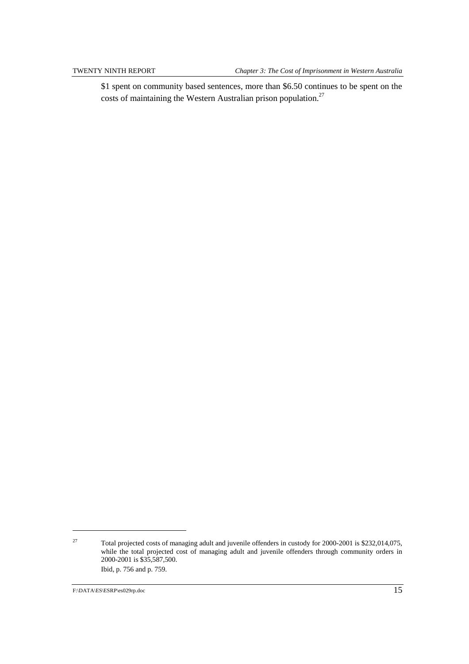\$1 spent on community based sentences, more than \$6.50 continues to be spent on the costs of maintaining the Western Australian prison population.<sup>27</sup>

<sup>27</sup> Total projected costs of managing adult and juvenile offenders in custody for 2000-2001 is \$232,014,075, while the total projected cost of managing adult and juvenile offenders through community orders in 2000-2001 is \$35,587,500. Ibid, p. 756 and p. 759.

F:\DATA\ES\ESRP\es029rp.doc 15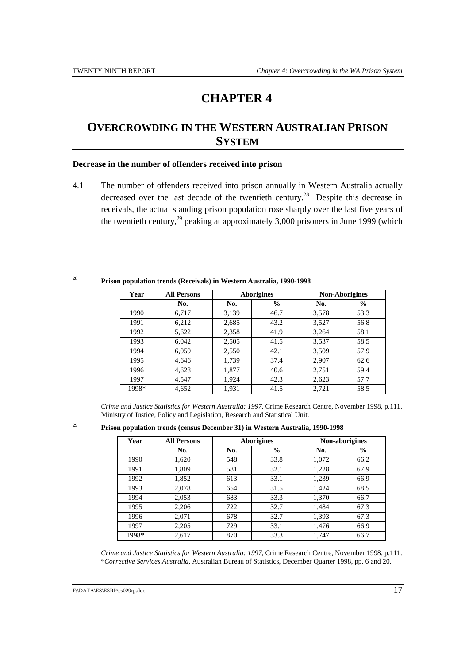## **OVERCROWDING IN THE WESTERN AUSTRALIAN PRISON SYSTEM**

#### **Decrease in the number of offenders received into prison**

4.1 The number of offenders received into prison annually in Western Australia actually decreased over the last decade of the twentieth century.<sup>28</sup> Despite this decrease in receivals, the actual standing prison population rose sharply over the last five years of the twentieth century,<sup>29</sup> peaking at approximately 3,000 prisoners in June 1999 (which

 $\overline{a}$ 

<sup>28</sup> **Prison population trends (Receivals) in Western Australia, 1990-1998**

| Year  | <b>All Persons</b> |       | <b>Aborigines</b><br><b>Non-Aborigines</b> |       |               |
|-------|--------------------|-------|--------------------------------------------|-------|---------------|
|       | No.                | No.   | $\frac{6}{9}$                              | No.   | $\frac{6}{6}$ |
| 1990  | 6,717              | 3,139 | 46.7                                       | 3,578 | 53.3          |
| 1991  | 6,212              | 2,685 | 43.2                                       | 3,527 | 56.8          |
| 1992  | 5,622              | 2,358 | 41.9                                       | 3,264 | 58.1          |
| 1993  | 6,042              | 2,505 | 41.5                                       | 3,537 | 58.5          |
| 1994  | 6,059              | 2,550 | 42.1                                       | 3,509 | 57.9          |
| 1995  | 4,646              | 1,739 | 37.4                                       | 2,907 | 62.6          |
| 1996  | 4,628              | 1,877 | 40.6                                       | 2,751 | 59.4          |
| 1997  | 4,547              | 1,924 | 42.3                                       | 2,623 | 57.7          |
| 1998* | 4,652              | 1,931 | 41.5                                       | 2,721 | 58.5          |

*Crime and Justice Statistics for Western Australia: 1997*, Crime Research Centre, November 1998, p.111. Ministry of Justice, Policy and Legislation, Research and Statistical Unit.

<sup>29</sup> **Prison population trends (census December 31) in Western Australia, 1990-1998**

| Year  | <b>All Persons</b> |     | <b>Aborigines</b> |       | Non-aborigines |
|-------|--------------------|-----|-------------------|-------|----------------|
|       | No.                | No. | $\frac{0}{0}$     | No.   | $\frac{0}{0}$  |
| 1990  | 1,620              | 548 | 33.8              | 1,072 | 66.2           |
| 1991  | 1,809              | 581 | 32.1              | 1,228 | 67.9           |
| 1992  | 1,852              | 613 | 33.1              | 1,239 | 66.9           |
| 1993  | 2,078              | 654 | 31.5              | 1,424 | 68.5           |
| 1994  | 2,053              | 683 | 33.3              | 1,370 | 66.7           |
| 1995  | 2,206              | 722 | 32.7              | 1,484 | 67.3           |
| 1996  | 2,071              | 678 | 32.7              | 1,393 | 67.3           |
| 1997  | 2,205              | 729 | 33.1              | 1,476 | 66.9           |
| 1998* | 2,617              | 870 | 33.3              | 1,747 | 66.7           |

*Crime and Justice Statistics for Western Australia: 1997*, Crime Research Centre, November 1998, p.111. \**Corrective Services Australia*, Australian Bureau of Statistics, December Quarter 1998, pp. 6 and 20.

F:\DATA\ES\ESRP\es029rp.doc 17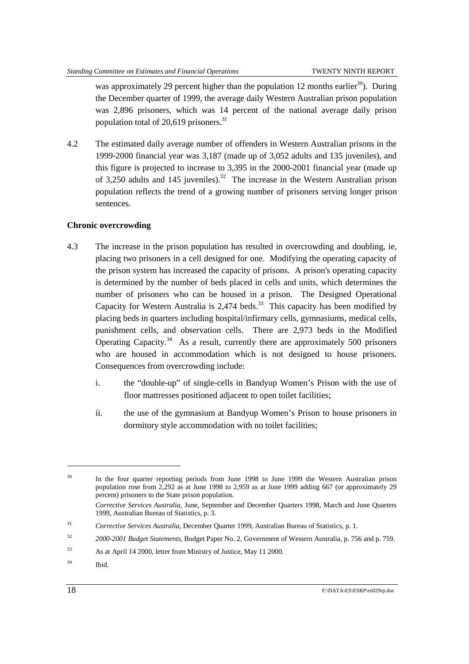was approximately 29 percent higher than the population 12 months earlier<sup>30</sup>). During the December quarter of 1999, the average daily Western Australian prison population was 2,896 prisoners, which was 14 percent of the national average daily prison population total of  $20,619$  prisoners.<sup>31</sup>

4.2 The estimated daily average number of offenders in Western Australian prisons in the 1999-2000 financial year was 3,187 (made up of 3,052 adults and 135 juveniles), and this figure is projected to increase to 3,395 in the 2000-2001 financial year (made up of 3,250 adults and 145 juveniles).<sup>32</sup> The increase in the Western Australian prison population reflects the trend of a growing number of prisoners serving longer prison sentences.

#### **Chronic overcrowding**

- 4.3 The increase in the prison population has resulted in overcrowding and doubling, ie, placing two prisoners in a cell designed for one. Modifying the operating capacity of the prison system has increased the capacity of prisons. A prison's operating capacity is determined by the number of beds placed in cells and units, which determines the number of prisoners who can be housed in a prison. The Designed Operational Capacity for Western Australia is  $2,474$  beds.<sup>33</sup> This capacity has been modified by placing beds in quarters including hospital/infirmary cells, gymnasiums, medical cells, punishment cells, and observation cells. There are 2,973 beds in the Modified Operating Capacity.<sup>34</sup> As a result, currently there are approximately 500 prisoners who are housed in accommodation which is not designed to house prisoners. Consequences from overcrowding include:
	- i. the "double-up" of single-cells in Bandyup Women's Prison with the use of floor mattresses positioned adjacent to open toilet facilities;
	- ii. the use of the gymnasium at Bandyup Women's Prison to house prisoners in dormitory style accommodation with no toilet facilities;

<sup>&</sup>lt;sup>30</sup> In the four quarter reporting periods from June 1998 to June 1999 the Western Australian prison population rose from 2,292 as at June 1998 to 2,959 as at June 1999 adding 667 (or approximately 29 percent) prisoners to the State prison population.

*Corrective Services Australia*, June, September and December Quarters 1998, March and June Quarters 1999, Australian Bureau of Statistics, p. 3.

<sup>31</sup> *Corrective Services Australia*, December Quarter 1999, Australian Bureau of Statistics, p. 1.

<sup>32</sup> *2000-2001 Budget Statements*, Budget Paper No. 2, Government of Western Australia, p. 756 and p. 759.

<sup>33</sup> As at April 14 2000, letter from Ministry of Justice, May 11 2000.

<sup>34</sup> Ibid.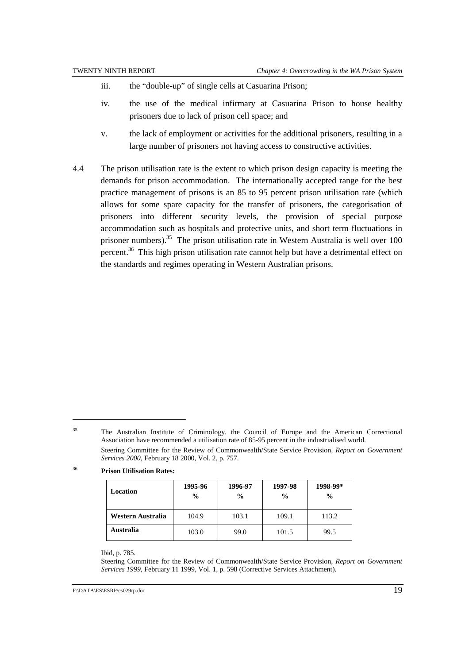- iii. the "double-up" of single cells at Casuarina Prison;
- iv. the use of the medical infirmary at Casuarina Prison to house healthy prisoners due to lack of prison cell space; and
- v. the lack of employment or activities for the additional prisoners, resulting in a large number of prisoners not having access to constructive activities.
- 4.4 The prison utilisation rate is the extent to which prison design capacity is meeting the demands for prison accommodation. The internationally accepted range for the best practice management of prisons is an 85 to 95 percent prison utilisation rate (which allows for some spare capacity for the transfer of prisoners, the categorisation of prisoners into different security levels, the provision of special purpose accommodation such as hospitals and protective units, and short term fluctuations in prisoner numbers).<sup>35</sup> The prison utilisation rate in Western Australia is well over 100 percent.<sup>36</sup> This high prison utilisation rate cannot help but have a detrimental effect on the standards and regimes operating in Western Australian prisons.

### <sup>36</sup> **Prison Utilisation Rates:**

 $\overline{a}$ 

| Location          | 1995-96<br>$\frac{0}{0}$ | 1996-97<br>$\frac{0}{0}$ | 1997-98<br>$\frac{0}{0}$ | 1998-99*<br>$\frac{0}{0}$ |
|-------------------|--------------------------|--------------------------|--------------------------|---------------------------|
| Western Australia | 104.9                    | 103.1                    | 109.1                    | 113.2                     |
| Australia         | 103.0                    | 99.0                     | 101.5                    | 99.5                      |

#### Ibid, p. 785.

Steering Committee for the Review of Commonwealth/State Service Provision, *Report on Government Services 1999*, February 11 1999, Vol. 1, p. 598 (Corrective Services Attachment).

<sup>&</sup>lt;sup>35</sup> The Australian Institute of Criminology, the Council of Europe and the American Correctional Association have recommended a utilisation rate of 85-95 percent in the industrialised world. Steering Committee for the Review of Commonwealth/State Service Provision*, Report on Government Services 2000*, February 18 2000, Vol. 2, p. 757.

F:\DATA\ES\ESRP\es029rp.doc 19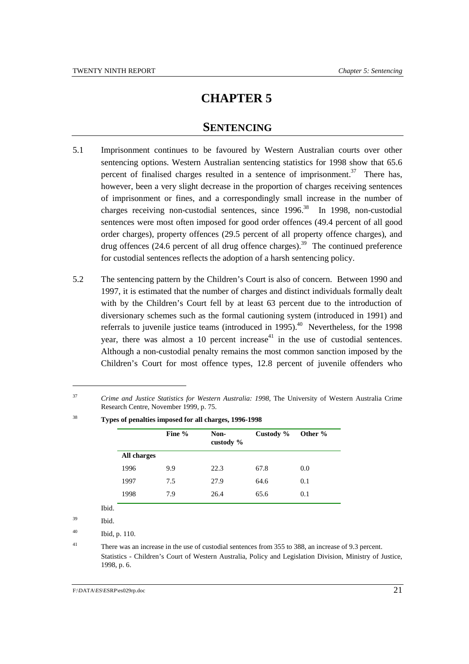### **SENTENCING**

- 5.1 Imprisonment continues to be favoured by Western Australian courts over other sentencing options. Western Australian sentencing statistics for 1998 show that 65.6 percent of finalised charges resulted in a sentence of imprisonment.<sup>37</sup> There has, however, been a very slight decrease in the proportion of charges receiving sentences of imprisonment or fines, and a correspondingly small increase in the number of charges receiving non-custodial sentences, since 1996.<sup>38</sup> In 1998, non-custodial sentences were most often imposed for good order offences (49.4 percent of all good order charges), property offences (29.5 percent of all property offence charges), and drug offences (24.6 percent of all drug offence charges).<sup>39</sup> The continued preference for custodial sentences reflects the adoption of a harsh sentencing policy.
- 5.2 The sentencing pattern by the Children's Court is also of concern. Between 1990 and 1997, it is estimated that the number of charges and distinct individuals formally dealt with by the Children's Court fell by at least 63 percent due to the introduction of diversionary schemes such as the formal cautioning system (introduced in 1991) and referrals to juvenile justice teams (introduced in 1995).<sup>40</sup> Nevertheless, for the 1998 year, there was almost a 10 percent increase<sup>41</sup> in the use of custodial sentences. Although a non-custodial penalty remains the most common sanction imposed by the Children's Court for most offence types, 12.8 percent of juvenile offenders who

<sup>37</sup> *Crime and Justice Statistics for Western Australia: 1998*, The University of Western Australia Crime Research Centre, November 1999, p. 75.

|             | Fine % | Non-<br>custody % | Custody % | Other % |
|-------------|--------|-------------------|-----------|---------|
| All charges |        |                   |           |         |
| 1996        | 9.9    | 22.3              | 67.8      | 0.0     |
| 1997        | 7.5    | 27.9              | 64.6      | 0.1     |
| 1998        | 7.9    | 26.4              | 65.6      | 0.1     |

<sup>38</sup> **Types of penalties imposed for all charges, 1996-1998**

 $\overline{a}$ 

<sup>41</sup> There was an increase in the use of custodial sentences from 355 to 388, an increase of 9.3 percent. Statistics - Children's Court of Western Australia, Policy and Legislation Division, Ministry of Justice, 1998, p. 6.

<sup>39</sup> Ibid.

<sup>40</sup> Ibid, p. 110.

F:\DATA\ES\ESRP\es029rp.doc 21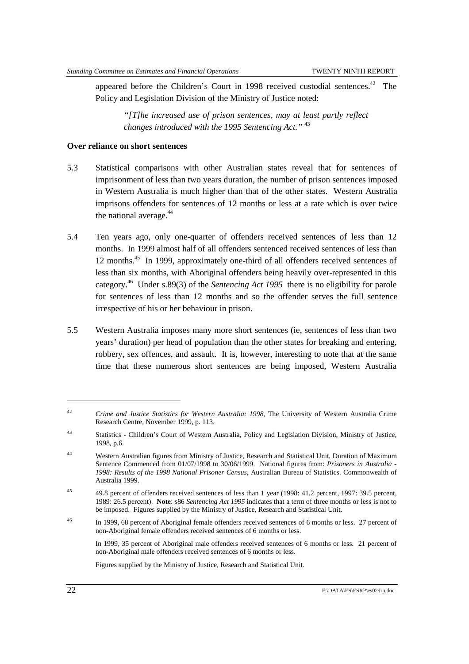appeared before the Children's Court in 1998 received custodial sentences.<sup>42</sup> The Policy and Legislation Division of the Ministry of Justice noted:

*"[T]he increased use of prison sentences, may at least partly reflect changes introduced with the 1995 Sentencing Act."* <sup>43</sup>

#### **Over reliance on short sentences**

- 5.3 Statistical comparisons with other Australian states reveal that for sentences of imprisonment of less than two years duration, the number of prison sentences imposed in Western Australia is much higher than that of the other states. Western Australia imprisons offenders for sentences of 12 months or less at a rate which is over twice the national average. $44$
- 5.4 Ten years ago, only one-quarter of offenders received sentences of less than 12 months. In 1999 almost half of all offenders sentenced received sentences of less than 12 months.45 In 1999, approximately one-third of all offenders received sentences of less than six months, with Aboriginal offenders being heavily over-represented in this category.46 Under s.89(3) of the *Sentencing Act 1995* there is no eligibility for parole for sentences of less than 12 months and so the offender serves the full sentence irrespective of his or her behaviour in prison.
- 5.5 Western Australia imposes many more short sentences (ie, sentences of less than two years' duration) per head of population than the other states for breaking and entering, robbery, sex offences, and assault. It is, however, interesting to note that at the same time that these numerous short sentences are being imposed, Western Australia

In 1999, 35 percent of Aboriginal male offenders received sentences of 6 months or less. 21 percent of non-Aboriginal male offenders received sentences of 6 months or less.

Figures supplied by the Ministry of Justice, Research and Statistical Unit.

<sup>42</sup> *Crime and Justice Statistics for Western Australia: 1998*, The University of Western Australia Crime Research Centre, November 1999, p. 113.

<sup>43</sup> Statistics - Children's Court of Western Australia, Policy and Legislation Division, Ministry of Justice, 1998, p.6.

<sup>44</sup> Western Australian figures from Ministry of Justice, Research and Statistical Unit, Duration of Maximum Sentence Commenced from 01/07/1998 to 30/06/1999. National figures from: *Prisoners in Australia - 1998: Results of the 1998 National Prisoner Census*, Australian Bureau of Statistics. Commonwealth of Australia 1999.

<sup>45</sup> 49.8 percent of offenders received sentences of less than 1 year (1998: 41.2 percent, 1997: 39.5 percent, 1989: 26.5 percent). **Note**: s86 *Sentencing Act 1995* indicates that a term of three months or less is not to be imposed. Figures supplied by the Ministry of Justice, Research and Statistical Unit.

<sup>&</sup>lt;sup>46</sup> In 1999, 68 percent of Aboriginal female offenders received sentences of 6 months or less. 27 percent of non-Aboriginal female offenders received sentences of 6 months or less.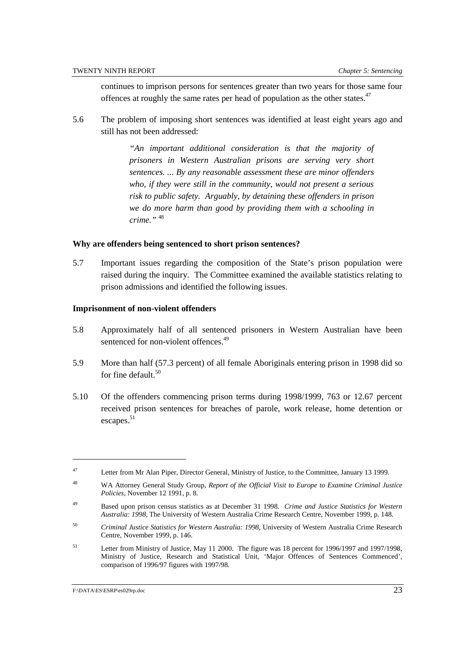continues to imprison persons for sentences greater than two years for those same four offences at roughly the same rates per head of population as the other states.<sup>47</sup>

5.6 The problem of imposing short sentences was identified at least eight years ago and still has not been addressed:

> *"An important additional consideration is that the majority of prisoners in Western Australian prisons are serving very short sentences. ... By any reasonable assessment these are minor offenders who, if they were still in the community, would not present a serious risk to public safety. Arguably, by detaining these offenders in prison we do more harm than good by providing them with a schooling in crime."* <sup>48</sup>

#### **Why are offenders being sentenced to short prison sentences?**

5.7 Important issues regarding the composition of the State's prison population were raised during the inquiry. The Committee examined the available statistics relating to prison admissions and identified the following issues.

#### **Imprisonment of non-violent offenders**

- 5.8 Approximately half of all sentenced prisoners in Western Australian have been sentenced for non-violent offences.<sup>49</sup>
- 5.9 More than half (57.3 percent) of all female Aboriginals entering prison in 1998 did so for fine default  $50$
- 5.10 Of the offenders commencing prison terms during 1998/1999, 763 or 12.67 percent received prison sentences for breaches of parole, work release, home detention or escapes. 51

<sup>47</sup> Letter from Mr Alan Piper, Director General, Ministry of Justice, to the Committee, January 13 1999.

<sup>48</sup> WA Attorney General Study Group, *Report of the Official Visit to Europe to Examine Criminal Justice Policies*, November 12 1991, p. 8.

<sup>49</sup> Based upon prison census statistics as at December 31 1998. *Crime and Justice Statistics for Western Australia: 1998*, The University of Western Australia Crime Research Centre, November 1999, p. 148.

<sup>50</sup> *Criminal Justice Statistics for Western Australia: 1998*, University of Western Australia Crime Research Centre, November 1999, p. 146.

<sup>51</sup> Letter from Ministry of Justice, May 11 2000. The figure was 18 percent for 1996/1997 and 1997/1998, Ministry of Justice, Research and Statistical Unit, 'Major Offences of Sentences Commenced', comparison of 1996/97 figures with 1997/98.

F:\DATA\ES\ESRP\es029rp.doc 23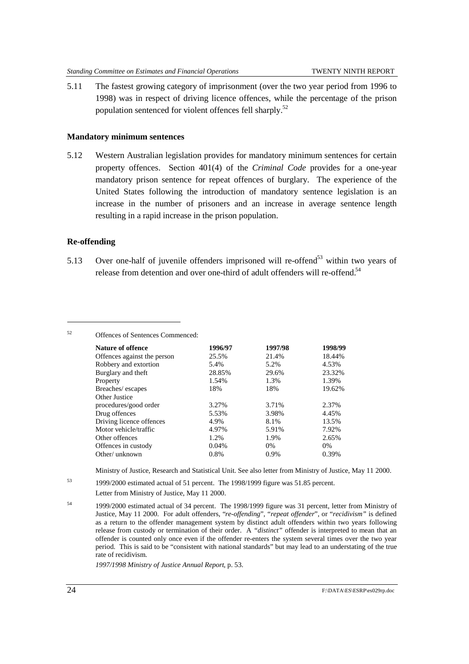5.11 The fastest growing category of imprisonment (over the two year period from 1996 to 1998) was in respect of driving licence offences, while the percentage of the prison population sentenced for violent offences fell sharply.<sup>52</sup>

#### **Mandatory minimum sentences**

<sup>52</sup> Offences of Sentences Commenced:

5.12 Western Australian legislation provides for mandatory minimum sentences for certain property offences. Section 401(4) of the *Criminal Code* provides for a one-year mandatory prison sentence for repeat offences of burglary. The experience of the United States following the introduction of mandatory sentence legislation is an increase in the number of prisoners and an increase in average sentence length resulting in a rapid increase in the prison population.

#### **Re-offending**

 $\overline{a}$ 

5.13 Over one-half of juvenile offenders imprisoned will re-offend<sup>53</sup> within two years of release from detention and over one-third of adult offenders will re-offend.<sup>54</sup>

| <b>Nature of offence</b>    | 1996/97 | 1997/98 | 1998/99 |
|-----------------------------|---------|---------|---------|
| Offences against the person | 25.5%   | 21.4%   | 18.44%  |
| Robbery and extortion       | 5.4%    | 5.2%    | 4.53%   |
| Burglary and theft          | 28.85%  | 29.6%   | 23.32%  |
| Property                    | 1.54%   | 1.3%    | 1.39%   |
| Breaches/escapes            | 18%     | 18%     | 19.62%  |
| Other Justice               |         |         |         |
| procedures/good order       | 3.27%   | 3.71%   | 2.37%   |
| Drug offences               | 5.53%   | 3.98%   | 4.45%   |
| Driving licence offences    | 4.9%    | 8.1%    | 13.5%   |
| Motor vehicle/traffic       | 4.97%   | 5.91%   | 7.92%   |
| Other offences              | 1.2%    | 1.9%    | 2.65%   |
| Offences in custody         | 0.04%   | $0\%$   | $0\%$   |
| Other/unknown               | 0.8%    | 0.9%    | 0.39%   |

Ministry of Justice, Research and Statistical Unit. See also letter from Ministry of Justice, May 11 2000.

- <sup>53</sup> 1999/2000 estimated actual of 51 percent. The 1998/1999 figure was 51.85 percent. Letter from Ministry of Justice, May 11 2000.
- <sup>54</sup> 1999/2000 estimated actual of 34 percent. The 1998/1999 figure was 31 percent, letter from Ministry of Justice, May 11 2000. For adult offenders, "*re-offending*", "*repeat offender*", or "*recidivism"* is defined as a return to the offender management system by distinct adult offenders within two years following release from custody or termination of their order. A *"distinct"* offender is interpreted to mean that an offender is counted only once even if the offender re-enters the system several times over the two year period. This is said to be "consistent with national standards" but may lead to an understating of the true rate of recidivism.

*1997/1998 Ministry of Justice Annual Report*, p. 53.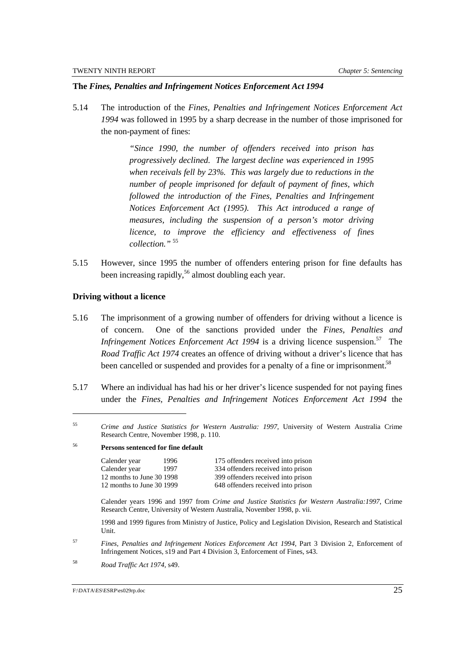#### **The** *Fines, Penalties and Infringement Notices Enforcement Act 1994*

5.14 The introduction of the *Fines, Penalties and Infringement Notices Enforcement Act 1994* was followed in 1995 by a sharp decrease in the number of those imprisoned for the non-payment of fines:

> *"Since 1990, the number of offenders received into prison has progressively declined. The largest decline was experienced in 1995 when receivals fell by 23%. This was largely due to reductions in the number of people imprisoned for default of payment of fines, which followed the introduction of the Fines, Penalties and Infringement Notices Enforcement Act (1995). This Act introduced a range of measures, including the suspension of a person's motor driving licence, to improve the efficiency and effectiveness of fines collection."* <sup>55</sup>

5.15 However, since 1995 the number of offenders entering prison for fine defaults has been increasing rapidly,<sup>56</sup> almost doubling each year.

#### **Driving without a licence**

 $\overline{a}$ 

- 5.16 The imprisonment of a growing number of offenders for driving without a licence is of concern. One of the sanctions provided under the *Fines, Penalties and Infringement Notices Enforcement Act 1994* is a driving licence suspension.<sup>57</sup> The *Road Traffic Act 1974* creates an offence of driving without a driver's licence that has been cancelled or suspended and provides for a penalty of a fine or imprisonment.<sup>58</sup>
- 5.17 Where an individual has had his or her driver's licence suspended for not paying fines under the *Fines, Penalties and Infringement Notices Enforcement Act 1994* the

### <sup>56</sup> **Persons sentenced for fine default**

Calender year 1996 175 offenders received into prison Calender year 1997 334 offenders received into prison 12 months to June 30 1998 399 offenders received into prison 12 months to June 30 1999 648 offenders received into prison

Calender years 1996 and 1997 from *Crime and Justice Statistics for Western Australia:1997*, Crime Research Centre, University of Western Australia, November 1998, p. vii.

1998 and 1999 figures from Ministry of Justice, Policy and Legislation Division, Research and Statistical Unit.

<sup>57</sup> *Fines, Penalties and Infringement Notices Enforcement Act 1994*, Part 3 Division 2, Enforcement of Infringement Notices, s19 and Part 4 Division 3, Enforcement of Fines, s43.

<sup>58</sup> *Road Traffic Act 1974,* s49.

<sup>55</sup> *Crime and Justice Statistics for Western Australia: 1997*, University of Western Australia Crime Research Centre, November 1998, p. 110.

F:\DATA\ES\ESRP\es029rp.doc 25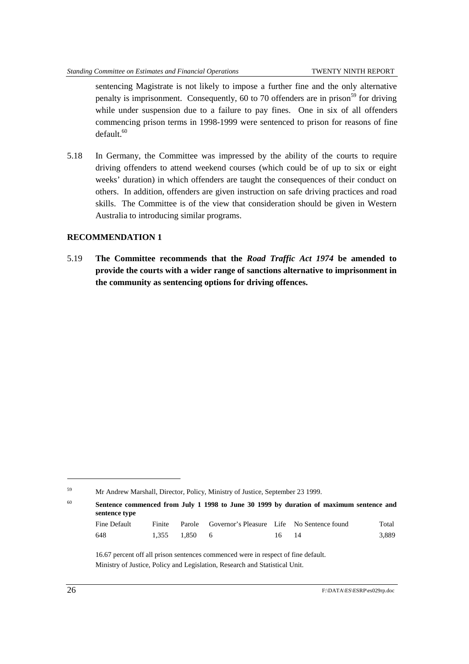sentencing Magistrate is not likely to impose a further fine and the only alternative penalty is imprisonment. Consequently,  $60$  to 70 offenders are in prison<sup>59</sup> for driving while under suspension due to a failure to pay fines. One in six of all offenders commencing prison terms in 1998-1999 were sentenced to prison for reasons of fine  $default.<sup>60</sup>$ 

5.18 In Germany, the Committee was impressed by the ability of the courts to require driving offenders to attend weekend courses (which could be of up to six or eight weeks' duration) in which offenders are taught the consequences of their conduct on others. In addition, offenders are given instruction on safe driving practices and road skills. The Committee is of the view that consideration should be given in Western Australia to introducing similar programs.

#### **RECOMMENDATION 1**

5.19 **The Committee recommends that the** *Road Traffic Act 1974* **be amended to provide the courts with a wider range of sanctions alternative to imprisonment in the community as sentencing options for driving offences.**

<sup>60</sup> **Sentence commenced from July 1 1998 to June 30 1999 by duration of maximum sentence and sentence type**

| Fine Default |               | Finite Parole Governor's Pleasure Life No Sentence found |       | Total |
|--------------|---------------|----------------------------------------------------------|-------|-------|
| 648          | 1.355 1.850 6 |                                                          | 16 14 | 3.889 |

<sup>16.67</sup> percent off all prison sentences commenced were in respect of fine default. Ministry of Justice, Policy and Legislation, Research and Statistical Unit.

<sup>59</sup> Mr Andrew Marshall, Director, Policy, Ministry of Justice, September 23 1999.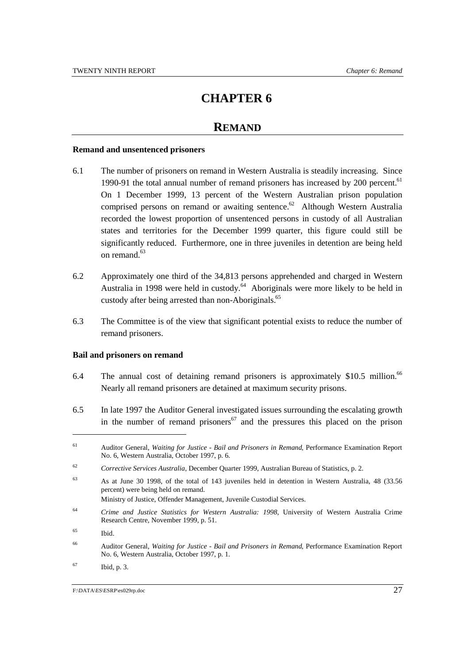### **REMAND**

#### **Remand and unsentenced prisoners**

- 6.1 The number of prisoners on remand in Western Australia is steadily increasing. Since 1990-91 the total annual number of remand prisoners has increased by  $200$  percent.<sup>61</sup> On 1 December 1999, 13 percent of the Western Australian prison population comprised persons on remand or awaiting sentence.<sup>62</sup> Although Western Australia recorded the lowest proportion of unsentenced persons in custody of all Australian states and territories for the December 1999 quarter, this figure could still be significantly reduced. Furthermore, one in three juveniles in detention are being held on remand.<sup>63</sup>
- 6.2 Approximately one third of the 34,813 persons apprehended and charged in Western Australia in 1998 were held in custody.<sup>64</sup> Aboriginals were more likely to be held in custody after being arrested than non-Aboriginals.<sup>65</sup>
- 6.3 The Committee is of the view that significant potential exists to reduce the number of remand prisoners.

#### **Bail and prisoners on remand**

- 6.4 The annual cost of detaining remand prisoners is approximately \$10.5 million.<sup>66</sup> Nearly all remand prisoners are detained at maximum security prisons.
- 6.5 In late 1997 the Auditor General investigated issues surrounding the escalating growth in the number of remand prisoners<sup>67</sup> and the pressures this placed on the prison

<sup>64</sup> *Crime and Justice Statistics for Western Australia: 1998*, University of Western Australia Crime

 $\overline{a}$ 

<sup>67</sup> Ibid, p. 3.

<sup>61</sup> Auditor General, *Waiting for Justice - Bail and Prisoners in Remand*, Performance Examination Report No. 6, Western Australia, October 1997, p. 6.

<sup>62</sup> *Corrective Services Australia*, December Quarter 1999, Australian Bureau of Statistics, p. 2.

<sup>63</sup> As at June 30 1998, of the total of 143 juveniles held in detention in Western Australia, 48 (33.56 percent) were being held on remand. Ministry of Justice, Offender Management, Juvenile Custodial Services.

Research Centre, November 1999, p. 51.

<sup>65</sup> Ibid.

<sup>66</sup> Auditor General, *Waiting for Justice - Bail and Prisoners in Remand*, Performance Examination Report No. 6, Western Australia, October 1997, p. 1.

F:\DATA\ES\ESRP\es029rp.doc 27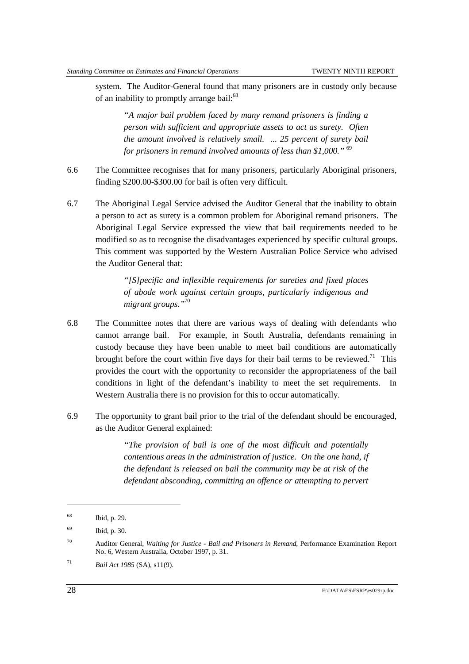system. The Auditor-General found that many prisoners are in custody only because of an inability to promptly arrange bail:<sup>68</sup>

*"A major bail problem faced by many remand prisoners is finding a person with sufficient and appropriate assets to act as surety. Often the amount involved is relatively small. ... 25 percent of surety bail for prisoners in remand involved amounts of less than \$1,000."* <sup>69</sup>

- 6.6 The Committee recognises that for many prisoners, particularly Aboriginal prisoners, finding \$200.00-\$300.00 for bail is often very difficult.
- 6.7 The Aboriginal Legal Service advised the Auditor General that the inability to obtain a person to act as surety is a common problem for Aboriginal remand prisoners. The Aboriginal Legal Service expressed the view that bail requirements needed to be modified so as to recognise the disadvantages experienced by specific cultural groups. This comment was supported by the Western Australian Police Service who advised the Auditor General that:

*"[S]pecific and inflexible requirements for sureties and fixed places of abode work against certain groups, particularly indigenous and migrant groups."*<sup>70</sup>

- 6.8 The Committee notes that there are various ways of dealing with defendants who cannot arrange bail. For example, in South Australia, defendants remaining in custody because they have been unable to meet bail conditions are automatically brought before the court within five days for their bail terms to be reviewed.<sup>71</sup> This provides the court with the opportunity to reconsider the appropriateness of the bail conditions in light of the defendant's inability to meet the set requirements. In Western Australia there is no provision for this to occur automatically.
- 6.9 The opportunity to grant bail prior to the trial of the defendant should be encouraged, as the Auditor General explained:

*"The provision of bail is one of the most difficult and potentially contentious areas in the administration of justice. On the one hand, if the defendant is released on bail the community may be at risk of the defendant absconding, committing an offence or attempting to pervert*

<sup>68</sup> Ibid, p. 29.

<sup>69</sup> Ibid, p. 30.

<sup>70</sup> Auditor General, *Waiting for Justice - Bail and Prisoners in Remand*, Performance Examination Report No. 6, Western Australia, October 1997, p. 31.

<sup>71</sup> *Bail Act 1985* (SA), s11(9).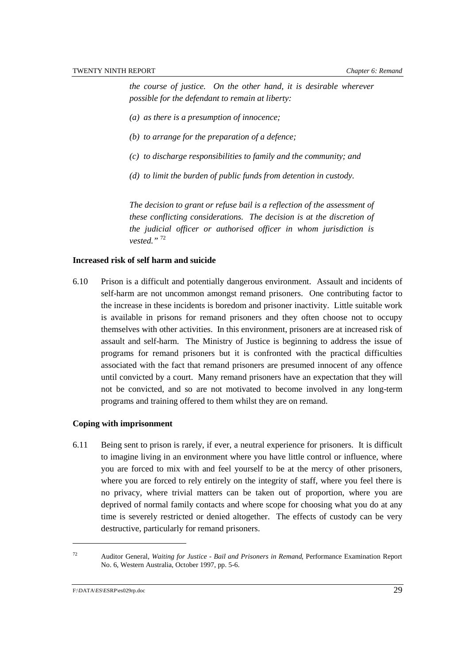*the course of justice. On the other hand, it is desirable wherever possible for the defendant to remain at liberty:*

- *(a) as there is a presumption of innocence;*
- *(b) to arrange for the preparation of a defence;*
- *(c) to discharge responsibilities to family and the community; and*
- *(d) to limit the burden of public funds from detention in custody.*

*The decision to grant or refuse bail is a reflection of the assessment of these conflicting considerations. The decision is at the discretion of the judicial officer or authorised officer in whom jurisdiction is vested."* <sup>72</sup>

#### **Increased risk of self harm and suicide**

6.10 Prison is a difficult and potentially dangerous environment. Assault and incidents of self-harm are not uncommon amongst remand prisoners. One contributing factor to the increase in these incidents is boredom and prisoner inactivity. Little suitable work is available in prisons for remand prisoners and they often choose not to occupy themselves with other activities. In this environment, prisoners are at increased risk of assault and self-harm. The Ministry of Justice is beginning to address the issue of programs for remand prisoners but it is confronted with the practical difficulties associated with the fact that remand prisoners are presumed innocent of any offence until convicted by a court. Many remand prisoners have an expectation that they will not be convicted, and so are not motivated to become involved in any long-term programs and training offered to them whilst they are on remand.

#### **Coping with imprisonment**

6.11 Being sent to prison is rarely, if ever, a neutral experience for prisoners. It is difficult to imagine living in an environment where you have little control or influence, where you are forced to mix with and feel yourself to be at the mercy of other prisoners, where you are forced to rely entirely on the integrity of staff, where you feel there is no privacy, where trivial matters can be taken out of proportion, where you are deprived of normal family contacts and where scope for choosing what you do at any time is severely restricted or denied altogether. The effects of custody can be very destructive, particularly for remand prisoners.

<sup>72</sup> Auditor General, *Waiting for Justice - Bail and Prisoners in Remand*, Performance Examination Report No. 6, Western Australia, October 1997, pp. 5-6.

F:\DATA\ES\ESRP\es029rp.doc 29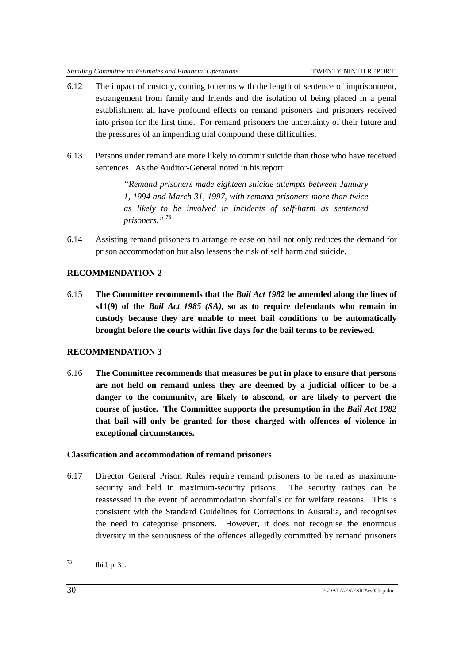- 6.12 The impact of custody, coming to terms with the length of sentence of imprisonment, estrangement from family and friends and the isolation of being placed in a penal establishment all have profound effects on remand prisoners and prisoners received into prison for the first time. For remand prisoners the uncertainty of their future and the pressures of an impending trial compound these difficulties.
- 6.13 Persons under remand are more likely to commit suicide than those who have received sentences. As the Auditor-General noted in his report:

*"Remand prisoners made eighteen suicide attempts between January 1, 1994 and March 31, 1997, with remand prisoners more than twice as likely to be involved in incidents of self-harm as sentenced prisoners."* <sup>73</sup>

6.14 Assisting remand prisoners to arrange release on bail not only reduces the demand for prison accommodation but also lessens the risk of self harm and suicide.

#### **RECOMMENDATION 2**

6.15 **The Committee recommends that the** *Bail Act 1982* **be amended along the lines of s11(9) of the** *Bail Act 1985 (SA)***, so as to require defendants who remain in custody because they are unable to meet bail conditions to be automatically brought before the courts within five days for the bail terms to be reviewed.**

#### **RECOMMENDATION 3**

6.16 **The Committee recommends that measures be put in place to ensure that persons are not held on remand unless they are deemed by a judicial officer to be a danger to the community, are likely to abscond, or are likely to pervert the course of justice. The Committee supports the presumption in the** *Bail Act 1982* **that bail will only be granted for those charged with offences of violence in exceptional circumstances.**

#### **Classification and accommodation of remand prisoners**

6.17 Director General Prison Rules require remand prisoners to be rated as maximumsecurity and held in maximum-security prisons. The security ratings can be reassessed in the event of accommodation shortfalls or for welfare reasons. This is consistent with the Standard Guidelines for Corrections in Australia, and recognises the need to categorise prisoners. However, it does not recognise the enormous diversity in the seriousness of the offences allegedly committed by remand prisoners

<sup>73</sup> Ibid, p. 31.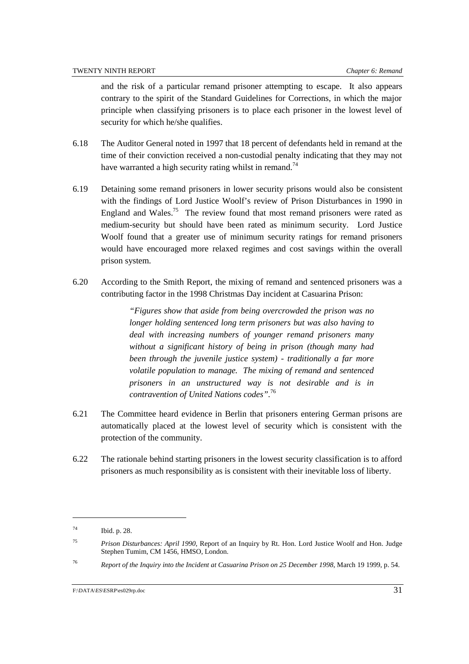and the risk of a particular remand prisoner attempting to escape. It also appears contrary to the spirit of the Standard Guidelines for Corrections, in which the major principle when classifying prisoners is to place each prisoner in the lowest level of security for which he/she qualifies.

- 6.18 The Auditor General noted in 1997 that 18 percent of defendants held in remand at the time of their conviction received a non-custodial penalty indicating that they may not have warranted a high security rating whilst in remand.<sup>74</sup>
- 6.19 Detaining some remand prisoners in lower security prisons would also be consistent with the findings of Lord Justice Woolf's review of Prison Disturbances in 1990 in England and Wales.<sup>75</sup> The review found that most remand prisoners were rated as medium-security but should have been rated as minimum security. Lord Justice Woolf found that a greater use of minimum security ratings for remand prisoners would have encouraged more relaxed regimes and cost savings within the overall prison system.
- 6.20 According to the Smith Report, the mixing of remand and sentenced prisoners was a contributing factor in the 1998 Christmas Day incident at Casuarina Prison:

*"Figures show that aside from being overcrowded the prison was no longer holding sentenced long term prisoners but was also having to deal with increasing numbers of younger remand prisoners many without a significant history of being in prison (though many had been through the juvenile justice system) - traditionally a far more volatile population to manage. The mixing of remand and sentenced prisoners in an unstructured way is not desirable and is in contravention of United Nations codes".*<sup>76</sup>

- 6.21 The Committee heard evidence in Berlin that prisoners entering German prisons are automatically placed at the lowest level of security which is consistent with the protection of the community.
- 6.22 The rationale behind starting prisoners in the lowest security classification is to afford prisoners as much responsibility as is consistent with their inevitable loss of liberty.

l

<sup>76</sup> *Report of the Inquiry into the Incident at Casuarina Prison on 25 December 1998*, March 19 1999, p. 54.

<sup>74</sup> Ibid. p. 28.

<sup>75</sup> *Prison Disturbances: April 1990*, Report of an Inquiry by Rt. Hon. Lord Justice Woolf and Hon. Judge Stephen Tumim, CM 1456, HMSO, London.

F:\DATA\ES\ESRP\es029rp.doc 31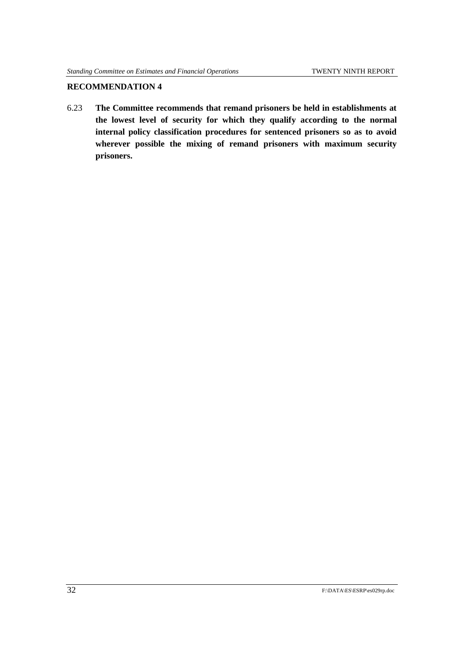#### **RECOMMENDATION 4**

6.23 **The Committee recommends that remand prisoners be held in establishments at the lowest level of security for which they qualify according to the normal internal policy classification procedures for sentenced prisoners so as to avoid wherever possible the mixing of remand prisoners with maximum security prisoners.**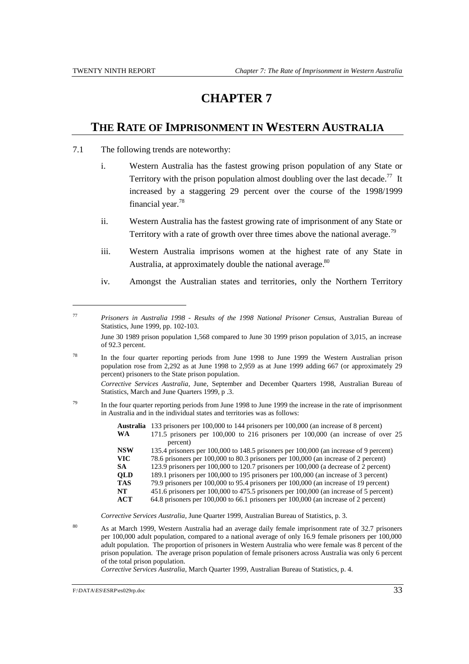$\overline{a}$ 

# **CHAPTER 7**

### **THE RATE OF IMPRISONMENT IN WESTERN AUSTRALIA**

- 7.1 The following trends are noteworthy:
	- i. Western Australia has the fastest growing prison population of any State or Territory with the prison population almost doubling over the last decade.<sup>77</sup> It increased by a staggering 29 percent over the course of the 1998/1999 financial year.78
	- ii. Western Australia has the fastest growing rate of imprisonment of any State or Territory with a rate of growth over three times above the national average.<sup>79</sup>
	- iii. Western Australia imprisons women at the highest rate of any State in Australia, at approximately double the national average.<sup>80</sup>
	- iv. Amongst the Australian states and territories, only the Northern Territory

*Corrective Services Australia,* June, September and December Quarters 1998, Australian Bureau of Statistics, March and June Quarters 1999, p .3.

 $^{79}$  In the four quarter reporting periods from June 1998 to June 1999 the increase in the rate of imprisonment in Australia and in the individual states and territories was as follows:

> **Australia** 133 prisoners per 100,000 to 144 prisoners per 100,000 (an increase of 8 percent) **WA** 171.5 prisoners per 100,000 to 216 prisoners per 100,000 (an increase of over 25

- percent) **NSW** 135.4 prisoners per 100,000 to 148.5 prisoners per 100,000 (an increase of 9 percent) **VIC** 78.6 prisoners per 100,000 to 80.3 prisoners per 100,000 (an increase of 2 percent) **SA** 123.9 prisoners per 100,000 to 120.7 prisoners per 100,000 (a decrease of 2 percent) **QLD** 189.1 prisoners per 100,000 to 195 prisoners per 100,000 (an increase of 3 percent)<br> **TAS** 79.9 prisoners per 100,000 to 95.4 prisoners per 100,000 (an increase of 19 percent) **TAS** 79.9 prisoners per 100,000 to 95.4 prisoners per 100,000 (an increase of 19 percent) **NT** 451.6 prisoners per 100,000 to 475.5 prisoners per 100,000 (an increase of 5 percent)
- **ACT** 64.8 prisoners per 100,000 to 66.1 prisoners per 100,000 (an increase of 2 percent)

*Corrective Services Australia,* June Quarter 1999, Australian Bureau of Statistics, p. 3.

<sup>80</sup> As at March 1999, Western Australia had an average daily female imprisonment rate of 32.7 prisoners per 100,000 adult population, compared to a national average of only 16.9 female prisoners per 100,000 adult population. The proportion of prisoners in Western Australia who were female was 8 percent of the prison population. The average prison population of female prisoners across Australia was only 6 percent of the total prison population.

*Corrective Services Australia*, March Quarter 1999, Australian Bureau of Statistics, p. 4.

<sup>77</sup> *Prisoners in Australia 1998 - Results of the 1998 National Prisoner Census,* Australian Bureau of Statistics, June 1999, pp. 102-103.

June 30 1989 prison population 1,568 compared to June 30 1999 prison population of 3,015, an increase of 92.3 percent.

<sup>&</sup>lt;sup>78</sup> In the four quarter reporting periods from June 1998 to June 1999 the Western Australian prison population rose from 2,292 as at June 1998 to 2,959 as at June 1999 adding 667 (or approximately 29 percent) prisoners to the State prison population.

F:\DATA\ES\ESRP\es029rp.doc 33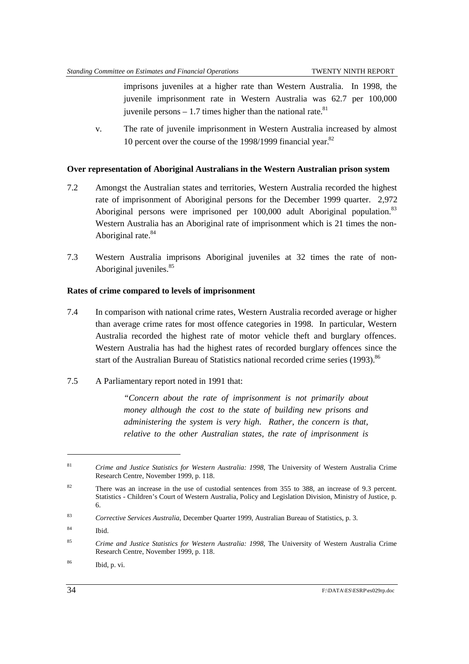imprisons juveniles at a higher rate than Western Australia. In 1998, the juvenile imprisonment rate in Western Australia was 62.7 per 100,000 juvenile persons  $-1.7$  times higher than the national rate.<sup>81</sup>

v. The rate of juvenile imprisonment in Western Australia increased by almost 10 percent over the course of the  $1998/1999$  financial year.<sup>82</sup>

#### **Over representation of Aboriginal Australians in the Western Australian prison system**

- 7.2 Amongst the Australian states and territories, Western Australia recorded the highest rate of imprisonment of Aboriginal persons for the December 1999 quarter. 2,972 Aboriginal persons were imprisoned per 100,000 adult Aboriginal population.<sup>83</sup> Western Australia has an Aboriginal rate of imprisonment which is 21 times the non-Aboriginal rate.<sup>84</sup>
- 7.3 Western Australia imprisons Aboriginal juveniles at 32 times the rate of non-Aboriginal juveniles.<sup>85</sup>

#### **Rates of crime compared to levels of imprisonment**

- 7.4 In comparison with national crime rates, Western Australia recorded average or higher than average crime rates for most offence categories in 1998. In particular, Western Australia recorded the highest rate of motor vehicle theft and burglary offences. Western Australia has had the highest rates of recorded burglary offences since the start of the Australian Bureau of Statistics national recorded crime series  $(1993)$ .<sup>86</sup>
- 7.5 A Parliamentary report noted in 1991 that:

*"Concern about the rate of imprisonment is not primarily about money although the cost to the state of building new prisons and administering the system is very high. Rather, the concern is that, relative to the other Australian states, the rate of imprisonment is*

<sup>81</sup> *Crime and Justice Statistics for Western Australia: 1998*, The University of Western Australia Crime Research Centre, November 1999, p. 118.

<sup>&</sup>lt;sup>82</sup> There was an increase in the use of custodial sentences from 355 to 388, an increase of 9.3 percent. Statistics - Children's Court of Western Australia, Policy and Legislation Division, Ministry of Justice, p. 6.

<sup>83</sup> *Corrective Services Australia*, December Quarter 1999, Australian Bureau of Statistics, p. 3.

<sup>84</sup> Ibid.

<sup>85</sup> *Crime and Justice Statistics for Western Australia: 1998*, The University of Western Australia Crime Research Centre, November 1999, p. 118.

<sup>86</sup> Ibid, p. vi.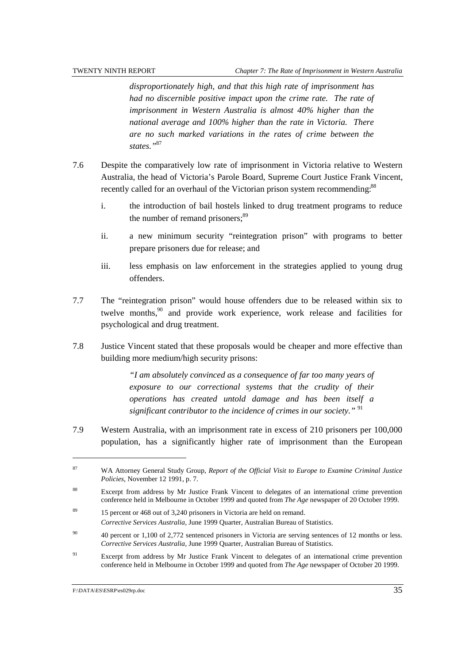*disproportionately high, and that this high rate of imprisonment has had no discernible positive impact upon the crime rate. The rate of imprisonment in Western Australia is almost 40% higher than the national average and 100% higher than the rate in Victoria. There are no such marked variations in the rates of crime between the states."*<sup>87</sup>

- 7.6 Despite the comparatively low rate of imprisonment in Victoria relative to Western Australia, the head of Victoria's Parole Board, Supreme Court Justice Frank Vincent, recently called for an overhaul of the Victorian prison system recommending.<sup>88</sup>
	- i. the introduction of bail hostels linked to drug treatment programs to reduce the number of remand prisoners;<sup>89</sup>
	- ii. a new minimum security "reintegration prison" with programs to better prepare prisoners due for release; and
	- iii. less emphasis on law enforcement in the strategies applied to young drug offenders.
- 7.7 The "reintegration prison" would house offenders due to be released within six to twelve months, $90$  and provide work experience, work release and facilities for psychological and drug treatment.
- 7.8 Justice Vincent stated that these proposals would be cheaper and more effective than building more medium/high security prisons:

*"I am absolutely convinced as a consequence of far too many years of exposure to our correctional systems that the crudity of their operations has created untold damage and has been itself a significant contributor to the incidence of crimes in our society."* <sup>91</sup>

7.9 Western Australia, with an imprisonment rate in excess of 210 prisoners per 100,000 population, has a significantly higher rate of imprisonment than the European

<sup>87</sup> WA Attorney General Study Group, *Report of the Official Visit to Europe to Examine Criminal Justice Policies*, November 12 1991, p. 7.

<sup>&</sup>lt;sup>88</sup> Excerpt from address by Mr Justice Frank Vincent to delegates of an international crime prevention conference held in Melbourne in October 1999 and quoted from *The Age* newspaper of 20 October 1999.

<sup>&</sup>lt;sup>89</sup> 15 percent or 468 out of 3,240 prisoners in Victoria are held on remand. *Corrective Services Australia,* June 1999 Quarter, Australian Bureau of Statistics.

<sup>90</sup> 40 percent or 1,100 of 2,772 sentenced prisoners in Victoria are serving sentences of 12 months or less. *Corrective Services Australia,* June 1999 Quarter, Australian Bureau of Statistics.

<sup>&</sup>lt;sup>91</sup> Excerpt from address by Mr Justice Frank Vincent to delegates of an international crime prevention conference held in Melbourne in October 1999 and quoted from *The Age* newspaper of October 20 1999.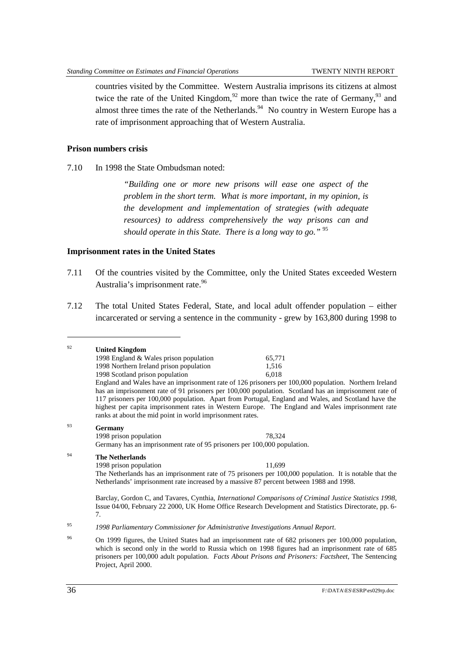countries visited by the Committee. Western Australia imprisons its citizens at almost twice the rate of the United Kingdom, $92$  more than twice the rate of Germany, $93$  and almost three times the rate of the Netherlands.  $94$  No country in Western Europe has a rate of imprisonment approaching that of Western Australia.

#### **Prison numbers crisis**

7.10 In 1998 the State Ombudsman noted:

*"Building one or more new prisons will ease one aspect of the problem in the short term. What is more important, in my opinion, is the development and implementation of strategies (with adequate resources) to address comprehensively the way prisons can and should operate in this State. There is a long way to go."* <sup>95</sup>

#### **Imprisonment rates in the United States**

- 7.11 Of the countries visited by the Committee, only the United States exceeded Western Australia's imprisonment rate.<sup>96</sup>
- 7.12 The total United States Federal, State, and local adult offender population either incarcerated or serving a sentence in the community - grew by 163,800 during 1998 to

| 92 | <b>United Kingdom</b>                                                                                                                                                                                                                                                                                                                                                                                                                                                                  |        |  |  |
|----|----------------------------------------------------------------------------------------------------------------------------------------------------------------------------------------------------------------------------------------------------------------------------------------------------------------------------------------------------------------------------------------------------------------------------------------------------------------------------------------|--------|--|--|
|    | 1998 England & Wales prison population                                                                                                                                                                                                                                                                                                                                                                                                                                                 | 65,771 |  |  |
|    | 1998 Northern Ireland prison population                                                                                                                                                                                                                                                                                                                                                                                                                                                | 1,516  |  |  |
|    | 1998 Scotland prison population                                                                                                                                                                                                                                                                                                                                                                                                                                                        | 6,018  |  |  |
|    | England and Wales have an imprisonment rate of 126 prisoners per 100,000 population. Northern Ireland<br>has an imprisonment rate of 91 prisoners per 100,000 population. Scotland has an imprisonment rate of<br>117 prisoners per 100,000 population. Apart from Portugal, England and Wales, and Scotland have the<br>highest per capita imprisonment rates in Western Europe. The England and Wales imprisonment rate<br>ranks at about the mid point in world imprisonment rates. |        |  |  |
| 93 | Germany                                                                                                                                                                                                                                                                                                                                                                                                                                                                                |        |  |  |
|    | 1998 prison population                                                                                                                                                                                                                                                                                                                                                                                                                                                                 | 78,324 |  |  |
|    | Germany has an imprisonment rate of 95 prisoners per 100,000 population.                                                                                                                                                                                                                                                                                                                                                                                                               |        |  |  |
| 94 | <b>The Netherlands</b>                                                                                                                                                                                                                                                                                                                                                                                                                                                                 |        |  |  |
|    | 1998 prison population                                                                                                                                                                                                                                                                                                                                                                                                                                                                 | 11,699 |  |  |
|    | The Netherlands has an imprisonment rate of 75 prisoners per 100,000 population. It is notable that the<br>Netherlands' imprisonment rate increased by a massive 87 percent between 1988 and 1998.                                                                                                                                                                                                                                                                                     |        |  |  |
|    | Barclay, Gordon C, and Tavares, Cynthia, <i>International Comparisons of Criminal Justice Statistics 1998</i> ,<br>Issue 04/00, February 22 2000, UK Home Office Research Development and Statistics Directorate, pp. 6-<br>7.                                                                                                                                                                                                                                                         |        |  |  |
| 95 | 1998 Parliamentary Commissioner for Administrative Investigations Annual Report.                                                                                                                                                                                                                                                                                                                                                                                                       |        |  |  |
| 96 | On 1999 figures, the United States had an imprisonment rate of 682 prisoners per 100,000 population,<br>which is second only in the world to Russia which on 1998 figures had an imprisonment rate of 685<br>prisoners per 100,000 adult population. Facts About Prisons and Prisoners: Factsheet, The Sentencing                                                                                                                                                                      |        |  |  |

Project, April 2000.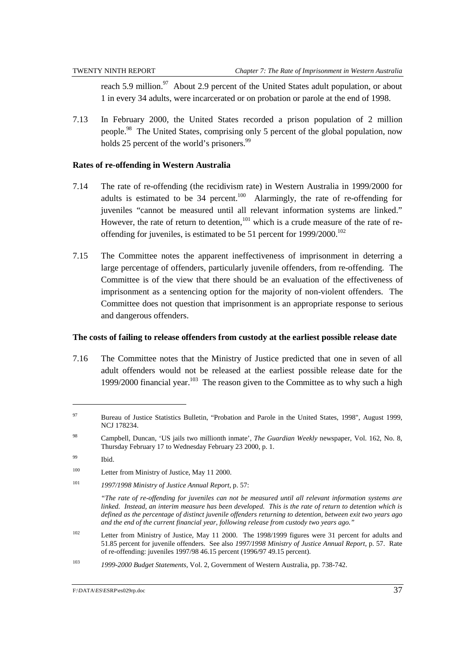reach 5.9 million.<sup>97</sup> About 2.9 percent of the United States adult population, or about 1 in every 34 adults, were incarcerated or on probation or parole at the end of 1998.

7.13 In February 2000, the United States recorded a prison population of 2 million people.98 The United States, comprising only 5 percent of the global population, now holds 25 percent of the world's prisoners.<sup>99</sup>

#### **Rates of re-offending in Western Australia**

- 7.14 The rate of re-offending (the recidivism rate) in Western Australia in 1999/2000 for adults is estimated to be  $34$  percent.<sup>100</sup> Alarmingly, the rate of re-offending for juveniles "cannot be measured until all relevant information systems are linked." However, the rate of return to detention, $101$  which is a crude measure of the rate of reoffending for juveniles, is estimated to be 51 percent for 1999/2000.<sup>102</sup>
- 7.15 The Committee notes the apparent ineffectiveness of imprisonment in deterring a large percentage of offenders, particularly juvenile offenders, from re-offending. The Committee is of the view that there should be an evaluation of the effectiveness of imprisonment as a sentencing option for the majority of non-violent offenders. The Committee does not question that imprisonment is an appropriate response to serious and dangerous offenders.

#### **The costs of failing to release offenders from custody at the earliest possible release date**

7.16 The Committee notes that the Ministry of Justice predicted that one in seven of all adult offenders would not be released at the earliest possible release date for the 1999/2000 financial year.<sup>103</sup> The reason given to the Committee as to why such a high

<sup>&</sup>lt;sup>97</sup> Bureau of Justice Statistics Bulletin, "Probation and Parole in the United States, 1998", August 1999, NCJ 178234.

<sup>98</sup> Campbell, Duncan, 'US jails two millionth inmate', *The Guardian Weekly* newspaper, Vol. 162, No. 8, Thursday February 17 to Wednesday February 23 2000, p. 1.

<sup>99</sup> Ibid.

<sup>&</sup>lt;sup>100</sup> Letter from Ministry of Justice, May 11 2000.

<sup>101</sup> *1997/1998 Ministry of Justice Annual Report*, p. 57:

*<sup>&</sup>quot;The rate of re-offending for juveniles can not be measured until all relevant information systems are linked. Instead, an interim measure has been developed. This is the rate of return to detention which is defined as the percentage of distinct juvenile offenders returning to detention, between exit two years ago and the end of the current financial year, following release from custody two years ago."*

<sup>102</sup> Letter from Ministry of Justice, May 11 2000. The 1998/1999 figures were 31 percent for adults and 51.85 percent for juvenile offenders. See also *1997/1998 Ministry of Justice Annual Report*, p. 57. Rate of re-offending: juveniles 1997/98 46.15 percent (1996/97 49.15 percent).

<sup>103</sup> *1999-2000 Budget Statements,* Vol. 2, Government of Western Australia, pp. 738-742.

F:\DATA\ES\ESRP\es029rp.doc 37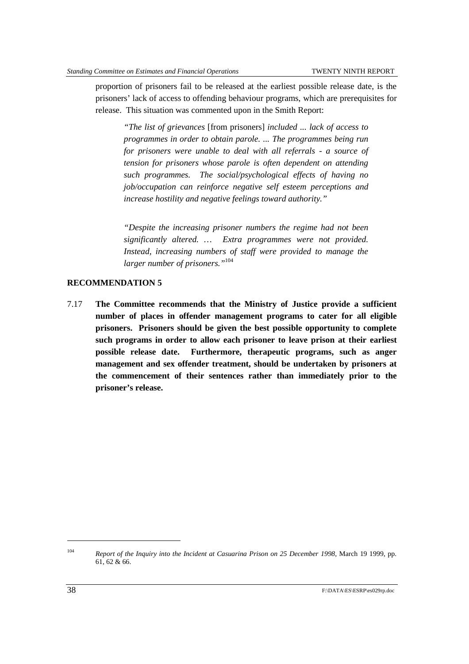proportion of prisoners fail to be released at the earliest possible release date, is the prisoners' lack of access to offending behaviour programs, which are prerequisites for release. This situation was commented upon in the Smith Report:

*"The list of grievances* [from prisoners] *included ... lack of access to programmes in order to obtain parole. ... The programmes being run for prisoners were unable to deal with all referrals - a source of tension for prisoners whose parole is often dependent on attending such programmes. The social/psychological effects of having no job/occupation can reinforce negative self esteem perceptions and increase hostility and negative feelings toward authority."*

*"Despite the increasing prisoner numbers the regime had not been significantly altered. … Extra programmes were not provided. Instead, increasing numbers of staff were provided to manage the larger number of prisoners."*<sup>104</sup>

#### **RECOMMENDATION 5**

7.17 **The Committee recommends that the Ministry of Justice provide a sufficient number of places in offender management programs to cater for all eligible prisoners. Prisoners should be given the best possible opportunity to complete such programs in order to allow each prisoner to leave prison at their earliest possible release date. Furthermore, therapeutic programs, such as anger management and sex offender treatment, should be undertaken by prisoners at the commencement of their sentences rather than immediately prior to the prisoner's release.**

<sup>104</sup> *Report of the Inquiry into the Incident at Casuarina Prison on 25 December 1998*, March 19 1999, pp. 61, 62 & 66.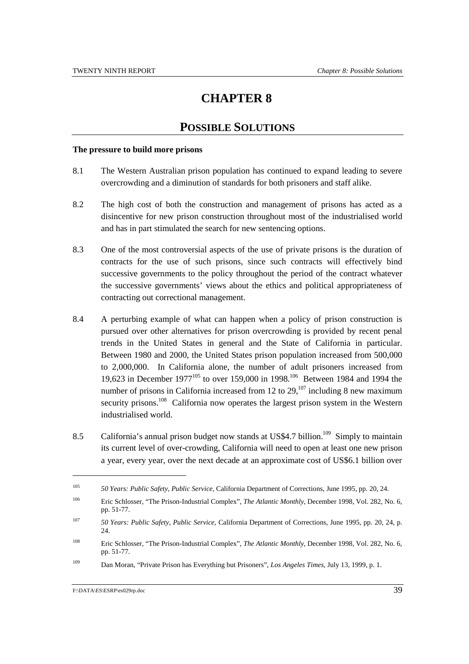# **CHAPTER 8**

## **POSSIBLE SOLUTIONS**

#### **The pressure to build more prisons**

- 8.1 The Western Australian prison population has continued to expand leading to severe overcrowding and a diminution of standards for both prisoners and staff alike.
- 8.2 The high cost of both the construction and management of prisons has acted as a disincentive for new prison construction throughout most of the industrialised world and has in part stimulated the search for new sentencing options.
- 8.3 One of the most controversial aspects of the use of private prisons is the duration of contracts for the use of such prisons, since such contracts will effectively bind successive governments to the policy throughout the period of the contract whatever the successive governments' views about the ethics and political appropriateness of contracting out correctional management.
- 8.4 A perturbing example of what can happen when a policy of prison construction is pursued over other alternatives for prison overcrowding is provided by recent penal trends in the United States in general and the State of California in particular. Between 1980 and 2000, the United States prison population increased from 500,000 to 2,000,000. In California alone, the number of adult prisoners increased from 19,623 in December 1977<sup>105</sup> to over 159,000 in 1998.<sup>106</sup> Between 1984 and 1994 the number of prisons in California increased from 12 to  $29$ ,  $107$  including 8 new maximum security prisons.<sup>108</sup> California now operates the largest prison system in the Western industrialised world.
- 8.5 California's annual prison budget now stands at US\$4.7 billion.<sup>109</sup> Simply to maintain its current level of over-crowding, California will need to open at least one new prison a year, every year, over the next decade at an approximate cost of US\$6.1 billion over

<sup>105</sup> *50 Years: Public Safety, Public Service,* California Department of Corrections, June 1995, pp. 20, 24.

<sup>106</sup> Eric Schlosser, "The Prison-Industrial Complex", *The Atlantic Monthly*, December 1998, Vol. 282, No. 6, pp. 51-77.

<sup>107</sup>*50 Years: Public Safety, Public Service,* California Department of Corrections, June 1995, pp. 20, 24, p. 24.

<sup>108</sup> Eric Schlosser, "The Prison-Industrial Complex", *The Atlantic Monthly*, December 1998, Vol. 282, No. 6, pp. 51-77.

<sup>109</sup> Dan Moran, "Private Prison has Everything but Prisoners", *Los Angeles Times*, July 13, 1999, p. 1.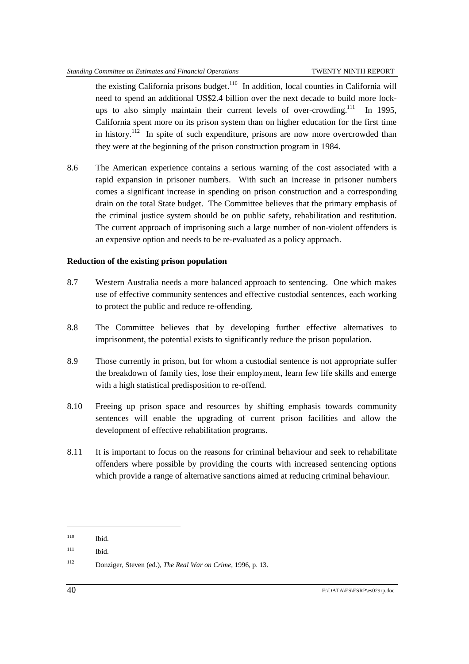the existing California prisons budget.<sup>110</sup> In addition, local counties in California will need to spend an additional US\$2.4 billion over the next decade to build more lockups to also simply maintain their current levels of over-crowding.<sup>111</sup> In 1995, California spent more on its prison system than on higher education for the first time in history.<sup>112</sup> In spite of such expenditure, prisons are now more overcrowded than they were at the beginning of the prison construction program in 1984.

8.6 The American experience contains a serious warning of the cost associated with a rapid expansion in prisoner numbers. With such an increase in prisoner numbers comes a significant increase in spending on prison construction and a corresponding drain on the total State budget. The Committee believes that the primary emphasis of the criminal justice system should be on public safety, rehabilitation and restitution. The current approach of imprisoning such a large number of non-violent offenders is an expensive option and needs to be re-evaluated as a policy approach.

#### **Reduction of the existing prison population**

- 8.7 Western Australia needs a more balanced approach to sentencing. One which makes use of effective community sentences and effective custodial sentences, each working to protect the public and reduce re-offending.
- 8.8 The Committee believes that by developing further effective alternatives to imprisonment, the potential exists to significantly reduce the prison population.
- 8.9 Those currently in prison, but for whom a custodial sentence is not appropriate suffer the breakdown of family ties, lose their employment, learn few life skills and emerge with a high statistical predisposition to re-offend.
- 8.10 Freeing up prison space and resources by shifting emphasis towards community sentences will enable the upgrading of current prison facilities and allow the development of effective rehabilitation programs.
- 8.11 It is important to focus on the reasons for criminal behaviour and seek to rehabilitate offenders where possible by providing the courts with increased sentencing options which provide a range of alternative sanctions aimed at reducing criminal behaviour.

<sup>110</sup> Ibid.

 $111$  Ibid.

<sup>112</sup> Donziger, Steven (ed.), *The Real War on Crime*, 1996, p. 13.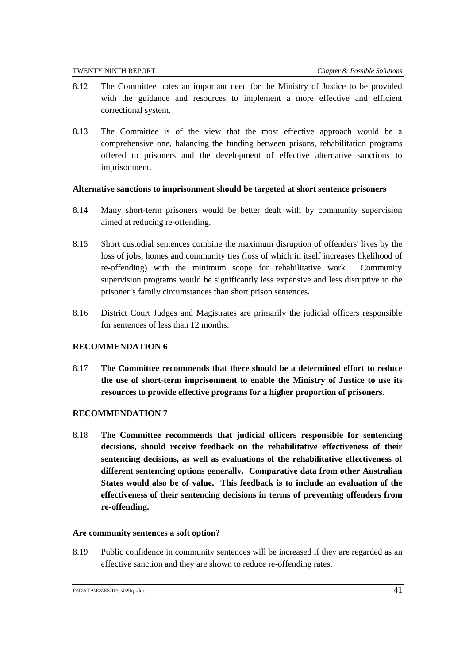- 8.12 The Committee notes an important need for the Ministry of Justice to be provided with the guidance and resources to implement a more effective and efficient correctional system.
- 8.13 The Committee is of the view that the most effective approach would be a comprehensive one, balancing the funding between prisons, rehabilitation programs offered to prisoners and the development of effective alternative sanctions to imprisonment.

#### **Alternative sanctions to imprisonment should be targeted at short sentence prisoners**

- 8.14 Many short-term prisoners would be better dealt with by community supervision aimed at reducing re-offending.
- 8.15 Short custodial sentences combine the maximum disruption of offenders' lives by the loss of jobs, homes and community ties (loss of which in itself increases likelihood of re-offending) with the minimum scope for rehabilitative work. Community supervision programs would be significantly less expensive and less disruptive to the prisoner's family circumstances than short prison sentences.
- 8.16 District Court Judges and Magistrates are primarily the judicial officers responsible for sentences of less than 12 months.

#### **RECOMMENDATION 6**

8.17 **The Committee recommends that there should be a determined effort to reduce the use of short-term imprisonment to enable the Ministry of Justice to use its resources to provide effective programs for a higher proportion of prisoners.**

#### **RECOMMENDATION 7**

8.18 **The Committee recommends that judicial officers responsible for sentencing decisions, should receive feedback on the rehabilitative effectiveness of their sentencing decisions, as well as evaluations of the rehabilitative effectiveness of different sentencing options generally. Comparative data from other Australian States would also be of value. This feedback is to include an evaluation of the effectiveness of their sentencing decisions in terms of preventing offenders from re-offending.**

#### **Are community sentences a soft option?**

8.19 Public confidence in community sentences will be increased if they are regarded as an effective sanction and they are shown to reduce re-offending rates.

F:\DATA\ES\ESRP\es029rp.doc 41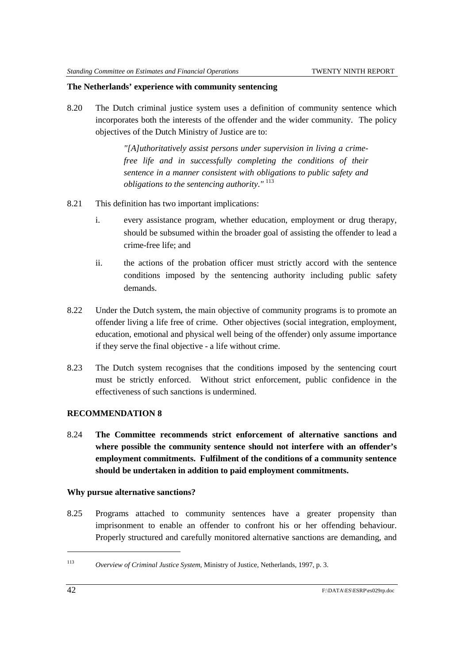#### **The Netherlands' experience with community sentencing**

8.20 The Dutch criminal justice system uses a definition of community sentence which incorporates both the interests of the offender and the wider community. The policy objectives of the Dutch Ministry of Justice are to:

> *"[A]uthoritatively assist persons under supervision in living a crimefree life and in successfully completing the conditions of their sentence in a manner consistent with obligations to public safety and obligations to the sentencing authority."* <sup>113</sup>

- 8.21 This definition has two important implications:
	- i. every assistance program, whether education, employment or drug therapy, should be subsumed within the broader goal of assisting the offender to lead a crime-free life; and
	- ii. the actions of the probation officer must strictly accord with the sentence conditions imposed by the sentencing authority including public safety demands.
- 8.22 Under the Dutch system, the main objective of community programs is to promote an offender living a life free of crime. Other objectives (social integration, employment, education, emotional and physical well being of the offender) only assume importance if they serve the final objective - a life without crime.
- 8.23 The Dutch system recognises that the conditions imposed by the sentencing court must be strictly enforced. Without strict enforcement, public confidence in the effectiveness of such sanctions is undermined.

#### **RECOMMENDATION 8**

8.24 **The Committee recommends strict enforcement of alternative sanctions and where possible the community sentence should not interfere with an offender's employment commitments. Fulfilment of the conditions of a community sentence should be undertaken in addition to paid employment commitments.**

#### **Why pursue alternative sanctions?**

8.25 Programs attached to community sentences have a greater propensity than imprisonment to enable an offender to confront his or her offending behaviour. Properly structured and carefully monitored alternative sanctions are demanding, and

<sup>113</sup> *Overview of Criminal Justice System*, Ministry of Justice, Netherlands, 1997, p. 3.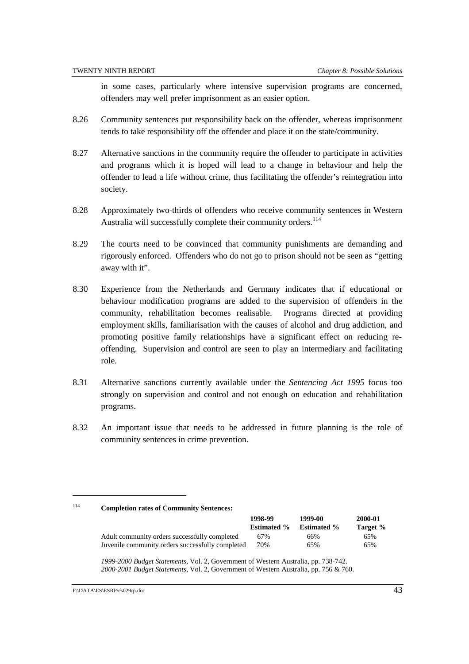in some cases, particularly where intensive supervision programs are concerned, offenders may well prefer imprisonment as an easier option.

- 8.26 Community sentences put responsibility back on the offender, whereas imprisonment tends to take responsibility off the offender and place it on the state/community.
- 8.27 Alternative sanctions in the community require the offender to participate in activities and programs which it is hoped will lead to a change in behaviour and help the offender to lead a life without crime, thus facilitating the offender's reintegration into society.
- 8.28 Approximately two-thirds of offenders who receive community sentences in Western Australia will successfully complete their community orders.<sup>114</sup>
- 8.29 The courts need to be convinced that community punishments are demanding and rigorously enforced. Offenders who do not go to prison should not be seen as "getting away with it".
- 8.30 Experience from the Netherlands and Germany indicates that if educational or behaviour modification programs are added to the supervision of offenders in the community, rehabilitation becomes realisable. Programs directed at providing employment skills, familiarisation with the causes of alcohol and drug addiction, and promoting positive family relationships have a significant effect on reducing reoffending. Supervision and control are seen to play an intermediary and facilitating role.
- 8.31 Alternative sanctions currently available under the *Sentencing Act 1995* focus too strongly on supervision and control and not enough on education and rehabilitation programs.
- 8.32 An important issue that needs to be addressed in future planning is the role of community sentences in crime prevention.

<sup>114</sup> **Completion rates of Community Sentences:**

|                                                  | 1998-99            | 1999-00            | 2000-01  |
|--------------------------------------------------|--------------------|--------------------|----------|
|                                                  | <b>Estimated %</b> | <b>Estimated %</b> | Target % |
| Adult community orders successfully completed    | 67%                | 66%                | 65%      |
| Juvenile community orders successfully completed | 70%                | 65%                | 65%      |

*1999-2000 Budget Statements*, Vol. 2, Government of Western Australia, pp. 738-742. *2000-2001 Budget Statements*, Vol. 2, Government of Western Australia, pp. 756 & 760.

F:\DATA\ES\ESRP\es029rp.doc 43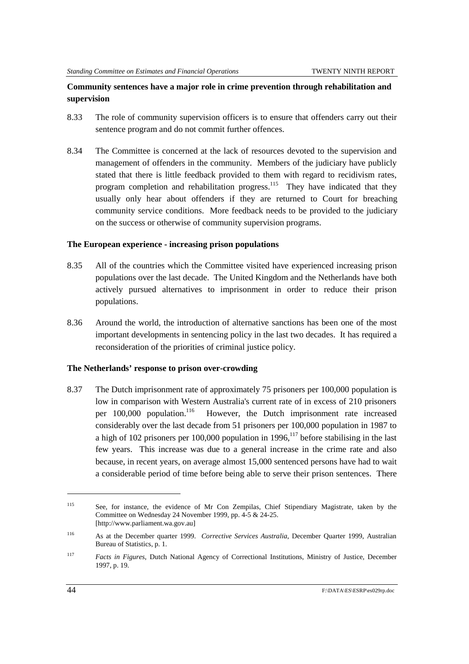### **Community sentences have a major role in crime prevention through rehabilitation and supervision**

- 8.33 The role of community supervision officers is to ensure that offenders carry out their sentence program and do not commit further offences.
- 8.34 The Committee is concerned at the lack of resources devoted to the supervision and management of offenders in the community. Members of the judiciary have publicly stated that there is little feedback provided to them with regard to recidivism rates, program completion and rehabilitation progress.<sup>115</sup> They have indicated that they usually only hear about offenders if they are returned to Court for breaching community service conditions. More feedback needs to be provided to the judiciary on the success or otherwise of community supervision programs.

#### **The European experience - increasing prison populations**

- 8.35 All of the countries which the Committee visited have experienced increasing prison populations over the last decade. The United Kingdom and the Netherlands have both actively pursued alternatives to imprisonment in order to reduce their prison populations.
- 8.36 Around the world, the introduction of alternative sanctions has been one of the most important developments in sentencing policy in the last two decades. It has required a reconsideration of the priorities of criminal justice policy.

#### **The Netherlands' response to prison over-crowding**

8.37 The Dutch imprisonment rate of approximately 75 prisoners per 100,000 population is low in comparison with Western Australia's current rate of in excess of 210 prisoners per 100,000 population.<sup>116</sup> However, the Dutch imprisonment rate increased considerably over the last decade from 51 prisoners per 100,000 population in 1987 to a high of 102 prisoners per 100,000 population in  $1996$ ,  $117$  before stabilising in the last few years. This increase was due to a general increase in the crime rate and also because, in recent years, on average almost 15,000 sentenced persons have had to wait a considerable period of time before being able to serve their prison sentences. There

l

<sup>115</sup> See, for instance, the evidence of Mr Con Zempilas, Chief Stipendiary Magistrate, taken by the Committee on Wednesday 24 November 1999, pp. 4-5 & 24-25. [http://www.parliament.wa.gov.au]

<sup>116</sup> As at the December quarter 1999. *Corrective Services Australia*, December Quarter 1999, Australian Bureau of Statistics, p. 1.

<sup>117</sup> *Facts in Figures*, Dutch National Agency of Correctional Institutions, Ministry of Justice, December 1997, p. 19.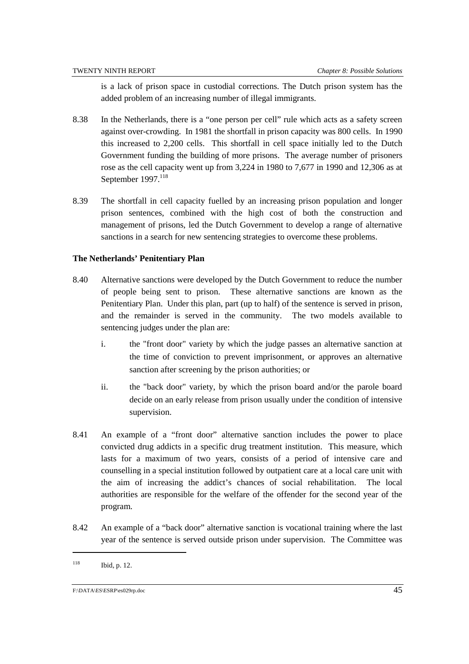is a lack of prison space in custodial corrections. The Dutch prison system has the added problem of an increasing number of illegal immigrants.

- 8.38 In the Netherlands, there is a "one person per cell" rule which acts as a safety screen against over-crowding. In 1981 the shortfall in prison capacity was 800 cells. In 1990 this increased to 2,200 cells. This shortfall in cell space initially led to the Dutch Government funding the building of more prisons. The average number of prisoners rose as the cell capacity went up from 3,224 in 1980 to 7,677 in 1990 and 12,306 as at September 1997.<sup>118</sup>
- 8.39 The shortfall in cell capacity fuelled by an increasing prison population and longer prison sentences, combined with the high cost of both the construction and management of prisons, led the Dutch Government to develop a range of alternative sanctions in a search for new sentencing strategies to overcome these problems.

#### **The Netherlands' Penitentiary Plan**

- 8.40 Alternative sanctions were developed by the Dutch Government to reduce the number of people being sent to prison. These alternative sanctions are known as the Penitentiary Plan. Under this plan, part (up to half) of the sentence is served in prison, and the remainder is served in the community. The two models available to sentencing judges under the plan are:
	- i. the "front door" variety by which the judge passes an alternative sanction at the time of conviction to prevent imprisonment, or approves an alternative sanction after screening by the prison authorities; or
	- ii. the "back door" variety, by which the prison board and/or the parole board decide on an early release from prison usually under the condition of intensive supervision.
- 8.41 An example of a "front door" alternative sanction includes the power to place convicted drug addicts in a specific drug treatment institution. This measure, which lasts for a maximum of two years, consists of a period of intensive care and counselling in a special institution followed by outpatient care at a local care unit with the aim of increasing the addict's chances of social rehabilitation. The local authorities are responsible for the welfare of the offender for the second year of the program.
- 8.42 An example of a "back door" alternative sanction is vocational training where the last year of the sentence is served outside prison under supervision. The Committee was

118 Ibid, p. 12.

F:\DATA\ES\ESRP\es029rp.doc 45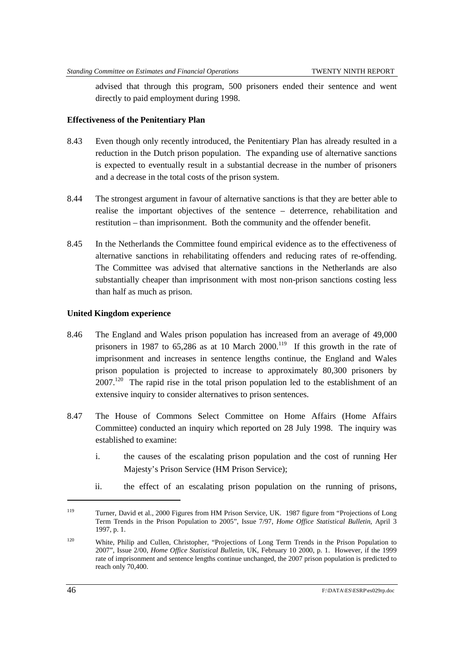advised that through this program, 500 prisoners ended their sentence and went directly to paid employment during 1998.

#### **Effectiveness of the Penitentiary Plan**

- 8.43 Even though only recently introduced, the Penitentiary Plan has already resulted in a reduction in the Dutch prison population. The expanding use of alternative sanctions is expected to eventually result in a substantial decrease in the number of prisoners and a decrease in the total costs of the prison system.
- 8.44 The strongest argument in favour of alternative sanctions is that they are better able to realise the important objectives of the sentence – deterrence, rehabilitation and restitution – than imprisonment. Both the community and the offender benefit.
- 8.45 In the Netherlands the Committee found empirical evidence as to the effectiveness of alternative sanctions in rehabilitating offenders and reducing rates of re-offending. The Committee was advised that alternative sanctions in the Netherlands are also substantially cheaper than imprisonment with most non-prison sanctions costing less than half as much as prison.

#### **United Kingdom experience**

- 8.46 The England and Wales prison population has increased from an average of 49,000 prisoners in 1987 to 65,286 as at 10 March 2000.<sup>119</sup> If this growth in the rate of imprisonment and increases in sentence lengths continue, the England and Wales prison population is projected to increase to approximately 80,300 prisoners by  $2007<sup>120</sup>$  The rapid rise in the total prison population led to the establishment of an extensive inquiry to consider alternatives to prison sentences.
- 8.47 The House of Commons Select Committee on Home Affairs (Home Affairs Committee) conducted an inquiry which reported on 28 July 1998. The inquiry was established to examine:
	- i. the causes of the escalating prison population and the cost of running Her Majesty's Prison Service (HM Prison Service);
	- ii. the effect of an escalating prison population on the running of prisons,

<sup>119</sup> Turner, David et al., 2000 Figures from HM Prison Service, UK. 1987 figure from "Projections of Long Term Trends in the Prison Population to 2005", Issue 7/97, *Home Office Statistical Bulletin*, April 3 1997, p. 1.

<sup>120</sup> White, Philip and Cullen, Christopher, "Projections of Long Term Trends in the Prison Population to 2007", Issue 2/00, *Home Office Statistical Bulletin*, UK, February 10 2000, p. 1. However, if the 1999 rate of imprisonment and sentence lengths continue unchanged, the 2007 prison population is predicted to reach only 70,400.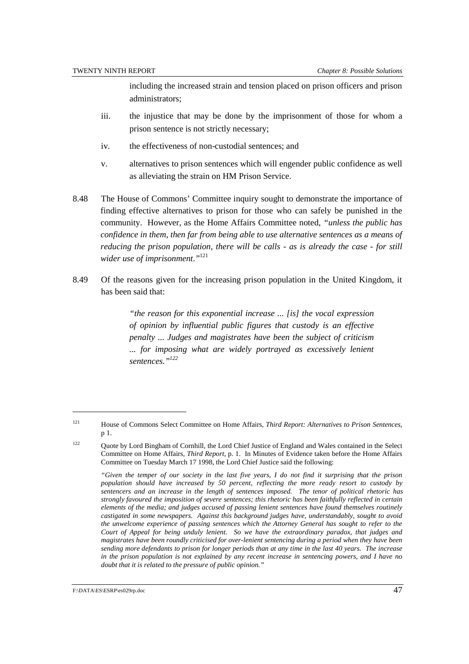including the increased strain and tension placed on prison officers and prison administrators;

- iii. the injustice that may be done by the imprisonment of those for whom a prison sentence is not strictly necessary;
- iv. the effectiveness of non-custodial sentences; and
- v. alternatives to prison sentences which will engender public confidence as well as alleviating the strain on HM Prison Service.
- 8.48 The House of Commons' Committee inquiry sought to demonstrate the importance of finding effective alternatives to prison for those who can safely be punished in the community. However, as the Home Affairs Committee noted, *"unless the public has confidence in them, then far from being able to use alternative sentences as a means of reducing the prison population, there will be calls - as is already the case - for still wider use of imprisonment*.*"*<sup>121</sup>
- 8.49 Of the reasons given for the increasing prison population in the United Kingdom, it has been said that:

*"the reason for this exponential increase ... [is] the vocal expression of opinion by influential public figures that custody is an effective penalty ... Judges and magistrates have been the subject of criticism ... for imposing what are widely portrayed as excessively lenient sentences."122*

<sup>121</sup> House of Commons Select Committee on Home Affairs, *Third Report: Alternatives to Prison Sentences*, p 1.

<sup>&</sup>lt;sup>122</sup> Quote by Lord Bingham of Cornhill, the Lord Chief Justice of England and Wales contained in the Select Committee on Home Affairs, *Third Report*, p. 1. In Minutes of Evidence taken before the Home Affairs Committee on Tuesday March 17 1998, the Lord Chief Justice said the following:

*<sup>&</sup>quot;Given the temper of our society in the last five years, I do not find it surprising that the prison population should have increased by 50 percent, reflecting the more ready resort to custody by sentencers and an increase in the length of sentences imposed. The tenor of political rhetoric has strongly favoured the imposition of severe sentences; this rhetoric has been faithfully reflected in certain elements of the media; and judges accused of passing lenient sentences have found themselves routinely castigated in some newspapers. Against this background judges have, understandably, sought to avoid the unwelcome experience of passing sentences which the Attorney General has sought to refer to the Court of Appeal for being unduly lenient. So we have the extraordinary paradox, that judges and magistrates have been roundly criticised for over-lenient sentencing during a period when they have been sending more defendants to prison for longer periods than at any time in the last 40 years. The increase in the prison population is not explained by any recent increase in sentencing powers, and I have no doubt that it is related to the pressure of public opinion."*

F:\DATA\ES\ESRP\es029rp.doc 47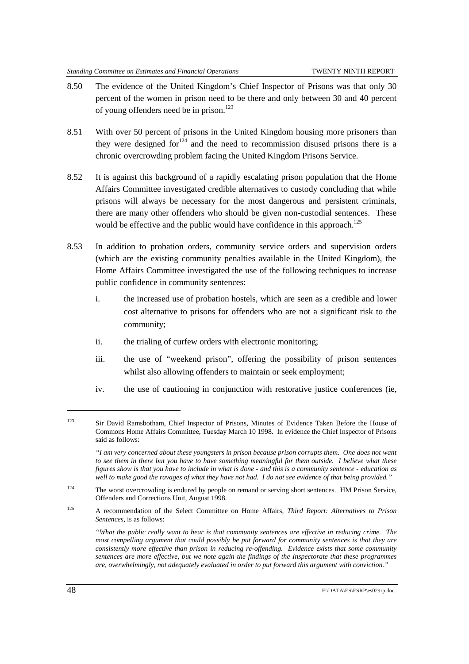- 8.50 The evidence of the United Kingdom's Chief Inspector of Prisons was that only 30 percent of the women in prison need to be there and only between 30 and 40 percent of young offenders need be in prison.<sup>123</sup>
- 8.51 With over 50 percent of prisons in the United Kingdom housing more prisoners than they were designed for  $124$  and the need to recommission disused prisons there is a chronic overcrowding problem facing the United Kingdom Prisons Service.
- 8.52 It is against this background of a rapidly escalating prison population that the Home Affairs Committee investigated credible alternatives to custody concluding that while prisons will always be necessary for the most dangerous and persistent criminals, there are many other offenders who should be given non-custodial sentences. These would be effective and the public would have confidence in this approach.<sup>125</sup>
- 8.53 In addition to probation orders, community service orders and supervision orders (which are the existing community penalties available in the United Kingdom), the Home Affairs Committee investigated the use of the following techniques to increase public confidence in community sentences:
	- i. the increased use of probation hostels, which are seen as a credible and lower cost alternative to prisons for offenders who are not a significant risk to the community;
	- ii. the trialing of curfew orders with electronic monitoring;
	- iii. the use of "weekend prison", offering the possibility of prison sentences whilst also allowing offenders to maintain or seek employment;
	- iv. the use of cautioning in conjunction with restorative justice conferences (ie,

<sup>123</sup> Sir David Ramsbotham, Chief Inspector of Prisons, Minutes of Evidence Taken Before the House of Commons Home Affairs Committee, Tuesday March 10 1998. In evidence the Chief Inspector of Prisons said as follows:

*<sup>&</sup>quot;I am very concerned about these youngsters in prison because prison corrupts them. One does not want to see them in there but you have to have something meaningful for them outside. I believe what these figures show is that you have to include in what is done - and this is a community sentence - education as well to make good the ravages of what they have not had. I do not see evidence of that being provided."*

<sup>&</sup>lt;sup>124</sup> The worst overcrowding is endured by people on remand or serving short sentences. HM Prison Service, Offenders and Corrections Unit, August 1998.

<sup>125</sup> A recommendation of the Select Committee on Home Affairs, *Third Report: Alternatives to Prison Sentences*, is as follows:

*<sup>&</sup>quot;What the public really want to hear is that community sentences are effective in reducing crime. The most compelling argument that could possibly be put forward for community sentences is that they are consistently more effective than prison in reducing re-offending. Evidence exists that some community sentences are more effective, but we note again the findings of the Inspectorate that these programmes are, overwhelmingly, not adequately evaluated in order to put forward this argument with conviction."*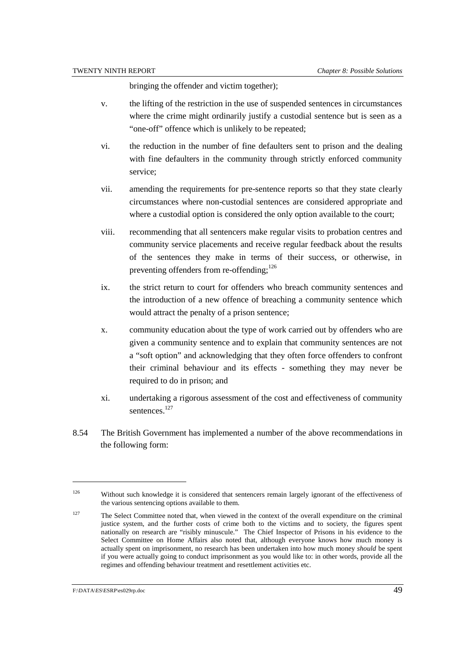bringing the offender and victim together);

- v. the lifting of the restriction in the use of suspended sentences in circumstances where the crime might ordinarily justify a custodial sentence but is seen as a "one-off" offence which is unlikely to be repeated;
- vi. the reduction in the number of fine defaulters sent to prison and the dealing with fine defaulters in the community through strictly enforced community service;
- vii. amending the requirements for pre-sentence reports so that they state clearly circumstances where non-custodial sentences are considered appropriate and where a custodial option is considered the only option available to the court:
- viii. recommending that all sentencers make regular visits to probation centres and community service placements and receive regular feedback about the results of the sentences they make in terms of their success, or otherwise, in preventing offenders from re-offending; $^{126}$
- ix. the strict return to court for offenders who breach community sentences and the introduction of a new offence of breaching a community sentence which would attract the penalty of a prison sentence;
- x. community education about the type of work carried out by offenders who are given a community sentence and to explain that community sentences are not a "soft option" and acknowledging that they often force offenders to confront their criminal behaviour and its effects - something they may never be required to do in prison; and
- xi. undertaking a rigorous assessment of the cost and effectiveness of community sentences<sup>127</sup>
- 8.54 The British Government has implemented a number of the above recommendations in the following form:

l

<sup>&</sup>lt;sup>126</sup> Without such knowledge it is considered that sentencers remain largely ignorant of the effectiveness of the various sentencing options available to them.

<sup>&</sup>lt;sup>127</sup> The Select Committee noted that, when viewed in the context of the overall expenditure on the criminal justice system, and the further costs of crime both to the victims and to society, the figures spent nationally on research are "risibly minuscule." The Chief Inspector of Prisons in his evidence to the Select Committee on Home Affairs also noted that, although everyone knows how much money is actually spent on imprisonment, no research has been undertaken into how much money *should* be spent if you were actually going to conduct imprisonment as you would like to: in other words, provide all the regimes and offending behaviour treatment and resettlement activities etc.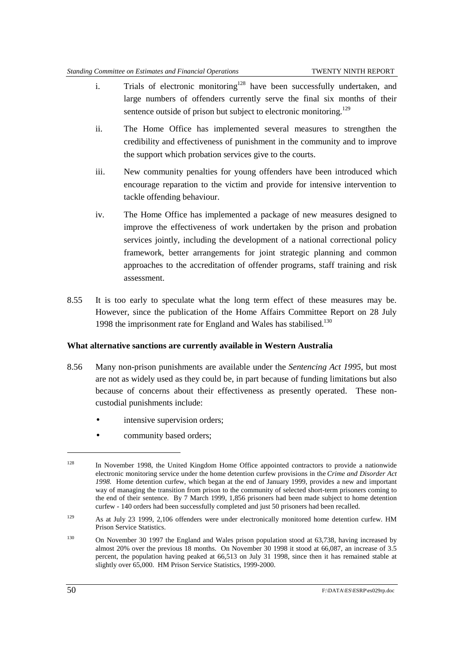- i. Trials of electronic monitoring<sup>128</sup> have been successfully undertaken, and large numbers of offenders currently serve the final six months of their sentence outside of prison but subject to electronic monitoring.<sup>129</sup>
- ii. The Home Office has implemented several measures to strengthen the credibility and effectiveness of punishment in the community and to improve the support which probation services give to the courts.
- iii. New community penalties for young offenders have been introduced which encourage reparation to the victim and provide for intensive intervention to tackle offending behaviour.
- iv. The Home Office has implemented a package of new measures designed to improve the effectiveness of work undertaken by the prison and probation services jointly, including the development of a national correctional policy framework, better arrangements for joint strategic planning and common approaches to the accreditation of offender programs, staff training and risk assessment.
- 8.55 It is too early to speculate what the long term effect of these measures may be. However, since the publication of the Home Affairs Committee Report on 28 July 1998 the imprisonment rate for England and Wales has stabilised.<sup>130</sup>

#### **What alternative sanctions are currently available in Western Australia**

- 8.56 Many non-prison punishments are available under the *Sentencing Act 1995*, but most are not as widely used as they could be, in part because of funding limitations but also because of concerns about their effectiveness as presently operated. These noncustodial punishments include:
	- intensive supervision orders;
	- community based orders;

 $128$  In November 1998, the United Kingdom Home Office appointed contractors to provide a nationwide electronic monitoring service under the home detention curfew provisions in the *Crime and Disorder Act 1998.* Home detention curfew, which began at the end of January 1999, provides a new and important way of managing the transition from prison to the community of selected short-term prisoners coming to the end of their sentence. By 7 March 1999, 1,856 prisoners had been made subject to home detention curfew - 140 orders had been successfully completed and just 50 prisoners had been recalled.

<sup>129</sup> As at July 23 1999, 2,106 offenders were under electronically monitored home detention curfew. HM Prison Service Statistics.

<sup>&</sup>lt;sup>130</sup> On November 30 1997 the England and Wales prison population stood at 63,738, having increased by almost 20% over the previous 18 months. On November 30 1998 it stood at 66,087, an increase of 3.5 percent, the population having peaked at 66,513 on July 31 1998, since then it has remained stable at slightly over 65,000. HM Prison Service Statistics, 1999-2000.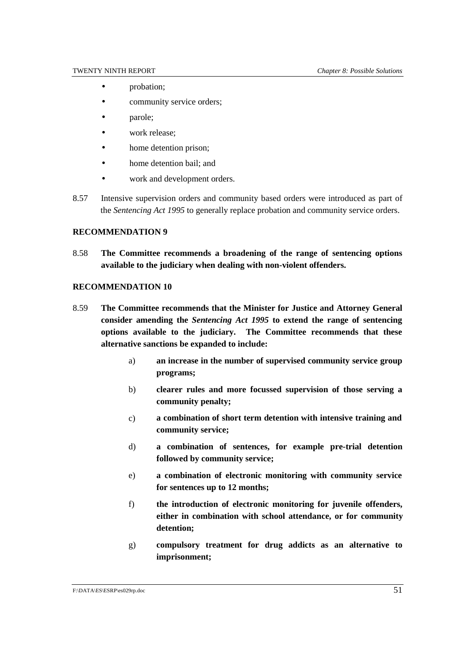- probation:
- community service orders:
- parole;
- work release:
- home detention prison;
- home detention bail: and
- work and development orders.
- 8.57 Intensive supervision orders and community based orders were introduced as part of the *Sentencing Act 1995* to generally replace probation and community service orders.

#### **RECOMMENDATION 9**

8.58 **The Committee recommends a broadening of the range of sentencing options available to the judiciary when dealing with non-violent offenders.**

#### **RECOMMENDATION 10**

- 8.59 **The Committee recommends that the Minister for Justice and Attorney General consider amending the** *Sentencing Act 1995* **to extend the range of sentencing options available to the judiciary. The Committee recommends that these alternative sanctions be expanded to include:**
	- a) **an increase in the number of supervised community service group programs;**
	- b) **clearer rules and more focussed supervision of those serving a community penalty;**
	- c) **a combination of short term detention with intensive training and community service;**
	- d) **a combination of sentences, for example pre-trial detention followed by community service;**
	- e) **a combination of electronic monitoring with community service for sentences up to 12 months;**
	- f) **the introduction of electronic monitoring for juvenile offenders, either in combination with school attendance, or for community detention;**
	- g) **compulsory treatment for drug addicts as an alternative to imprisonment;**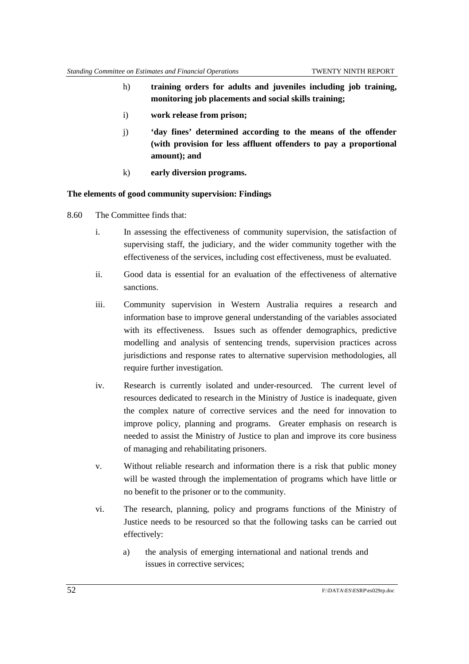- h) **training orders for adults and juveniles including job training, monitoring job placements and social skills training;**
- i) **work release from prison;**
- j) **'day fines' determined according to the means of the offender (with provision for less affluent offenders to pay a proportional amount); and**
- k) **early diversion programs.**

#### **The elements of good community supervision: Findings**

- 8.60 The Committee finds that:
	- i. In assessing the effectiveness of community supervision, the satisfaction of supervising staff, the judiciary, and the wider community together with the effectiveness of the services, including cost effectiveness, must be evaluated.
	- ii. Good data is essential for an evaluation of the effectiveness of alternative sanctions.
	- iii. Community supervision in Western Australia requires a research and information base to improve general understanding of the variables associated with its effectiveness. Issues such as offender demographics, predictive modelling and analysis of sentencing trends, supervision practices across jurisdictions and response rates to alternative supervision methodologies, all require further investigation.
	- iv. Research is currently isolated and under-resourced. The current level of resources dedicated to research in the Ministry of Justice is inadequate, given the complex nature of corrective services and the need for innovation to improve policy, planning and programs. Greater emphasis on research is needed to assist the Ministry of Justice to plan and improve its core business of managing and rehabilitating prisoners.
	- v. Without reliable research and information there is a risk that public money will be wasted through the implementation of programs which have little or no benefit to the prisoner or to the community.
	- vi. The research, planning, policy and programs functions of the Ministry of Justice needs to be resourced so that the following tasks can be carried out effectively:
		- a) the analysis of emerging international and national trends and issues in corrective services;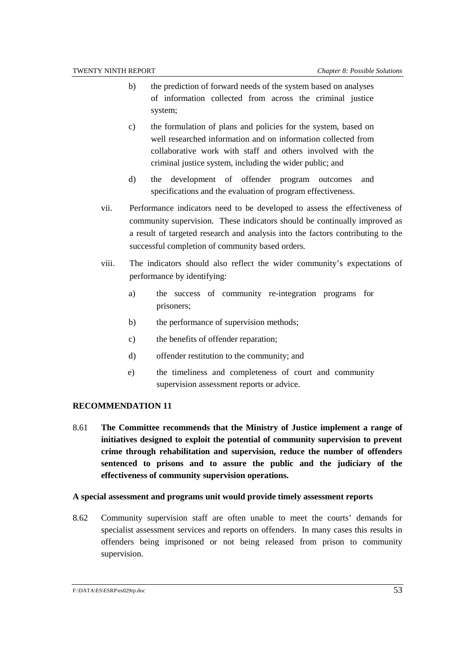- b) the prediction of forward needs of the system based on analyses of information collected from across the criminal justice system;
- c) the formulation of plans and policies for the system, based on well researched information and on information collected from collaborative work with staff and others involved with the criminal justice system, including the wider public; and
- d) the development of offender program outcomes and specifications and the evaluation of program effectiveness.
- vii. Performance indicators need to be developed to assess the effectiveness of community supervision. These indicators should be continually improved as a result of targeted research and analysis into the factors contributing to the successful completion of community based orders.
- viii. The indicators should also reflect the wider community's expectations of performance by identifying:
	- a) the success of community re-integration programs for prisoners;
	- b) the performance of supervision methods;
	- c) the benefits of offender reparation;
	- d) offender restitution to the community; and
	- e) the timeliness and completeness of court and community supervision assessment reports or advice.

#### **RECOMMENDATION 11**

8.61 **The Committee recommends that the Ministry of Justice implement a range of initiatives designed to exploit the potential of community supervision to prevent crime through rehabilitation and supervision, reduce the number of offenders sentenced to prisons and to assure the public and the judiciary of the effectiveness of community supervision operations.**

#### **A special assessment and programs unit would provide timely assessment reports**

8.62 Community supervision staff are often unable to meet the courts' demands for specialist assessment services and reports on offenders. In many cases this results in offenders being imprisoned or not being released from prison to community supervision.

F:\DATA\ES\ESRP\es029rp.doc 53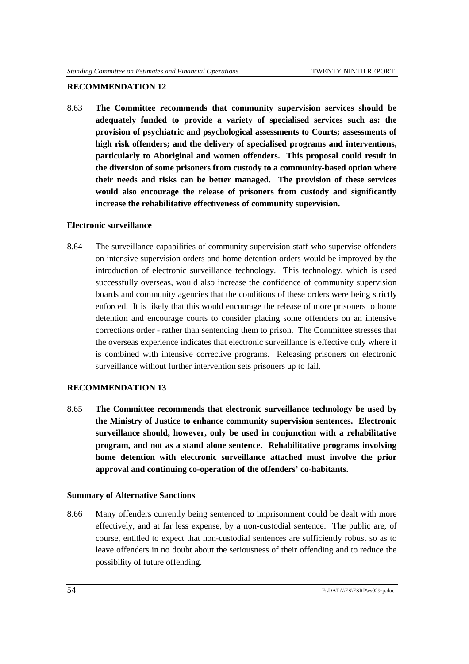#### **RECOMMENDATION 12**

8.63 **The Committee recommends that community supervision services should be adequately funded to provide a variety of specialised services such as: the provision of psychiatric and psychological assessments to Courts; assessments of high risk offenders; and the delivery of specialised programs and interventions, particularly to Aboriginal and women offenders. This proposal could result in the diversion of some prisoners from custody to a community-based option where their needs and risks can be better managed. The provision of these services would also encourage the release of prisoners from custody and significantly increase the rehabilitative effectiveness of community supervision.**

#### **Electronic surveillance**

8.64 The surveillance capabilities of community supervision staff who supervise offenders on intensive supervision orders and home detention orders would be improved by the introduction of electronic surveillance technology. This technology, which is used successfully overseas, would also increase the confidence of community supervision boards and community agencies that the conditions of these orders were being strictly enforced. It is likely that this would encourage the release of more prisoners to home detention and encourage courts to consider placing some offenders on an intensive corrections order - rather than sentencing them to prison. The Committee stresses that the overseas experience indicates that electronic surveillance is effective only where it is combined with intensive corrective programs. Releasing prisoners on electronic surveillance without further intervention sets prisoners up to fail.

#### **RECOMMENDATION 13**

8.65 **The Committee recommends that electronic surveillance technology be used by the Ministry of Justice to enhance community supervision sentences. Electronic surveillance should, however, only be used in conjunction with a rehabilitative program, and not as a stand alone sentence. Rehabilitative programs involving home detention with electronic surveillance attached must involve the prior approval and continuing co-operation of the offenders' co-habitants.**

#### **Summary of Alternative Sanctions**

8.66 Many offenders currently being sentenced to imprisonment could be dealt with more effectively, and at far less expense, by a non-custodial sentence. The public are, of course, entitled to expect that non-custodial sentences are sufficiently robust so as to leave offenders in no doubt about the seriousness of their offending and to reduce the possibility of future offending.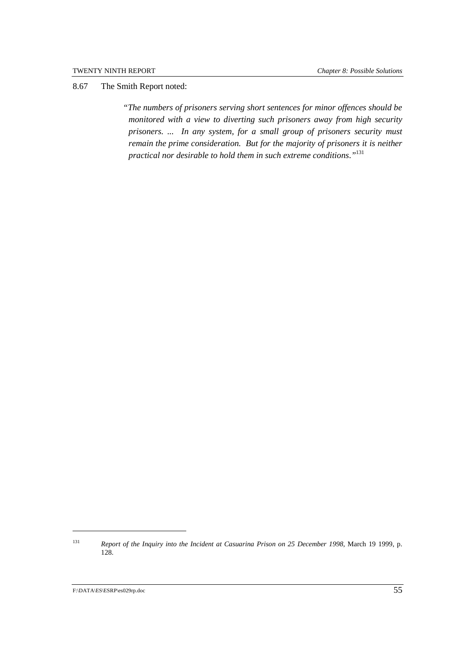8.67 The Smith Report noted:

*"The numbers of prisoners serving short sentences for minor offences should be monitored with a view to diverting such prisoners away from high security prisoners. ... In any system, for a small group of prisoners security must remain the prime consideration. But for the majority of prisoners it is neither practical nor desirable to hold them in such extreme conditions*.*"*<sup>131</sup>

<sup>131</sup> *Report of the Inquiry into the Incident at Casuarina Prison on 25 December 1998*, March 19 1999, p. 128.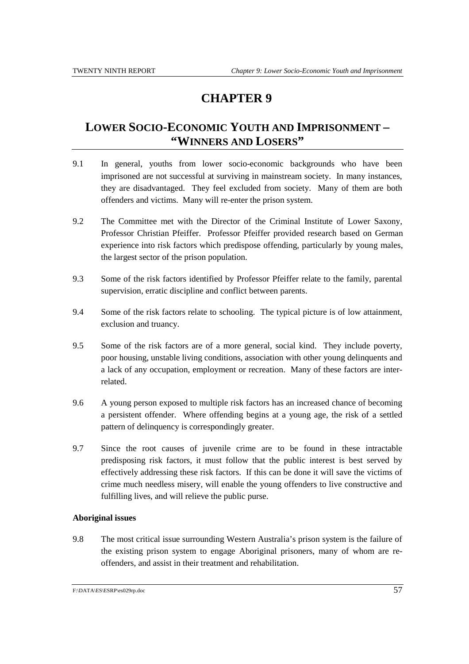# **CHAPTER 9**

## **LOWER SOCIO-ECONOMIC YOUTH AND IMPRISONMENT – "WINNERS AND LOSERS"**

- 9.1 In general, youths from lower socio-economic backgrounds who have been imprisoned are not successful at surviving in mainstream society. In many instances, they are disadvantaged. They feel excluded from society. Many of them are both offenders and victims. Many will re-enter the prison system.
- 9.2 The Committee met with the Director of the Criminal Institute of Lower Saxony, Professor Christian Pfeiffer. Professor Pfeiffer provided research based on German experience into risk factors which predispose offending, particularly by young males, the largest sector of the prison population.
- 9.3 Some of the risk factors identified by Professor Pfeiffer relate to the family, parental supervision, erratic discipline and conflict between parents.
- 9.4 Some of the risk factors relate to schooling. The typical picture is of low attainment, exclusion and truancy.
- 9.5 Some of the risk factors are of a more general, social kind. They include poverty, poor housing, unstable living conditions, association with other young delinquents and a lack of any occupation, employment or recreation. Many of these factors are interrelated.
- 9.6 A young person exposed to multiple risk factors has an increased chance of becoming a persistent offender. Where offending begins at a young age, the risk of a settled pattern of delinquency is correspondingly greater.
- 9.7 Since the root causes of juvenile crime are to be found in these intractable predisposing risk factors, it must follow that the public interest is best served by effectively addressing these risk factors. If this can be done it will save the victims of crime much needless misery, will enable the young offenders to live constructive and fulfilling lives, and will relieve the public purse.

#### **Aboriginal issues**

9.8 The most critical issue surrounding Western Australia's prison system is the failure of the existing prison system to engage Aboriginal prisoners, many of whom are reoffenders, and assist in their treatment and rehabilitation.

F:\DATA\ES\ESRP\es029rp.doc 57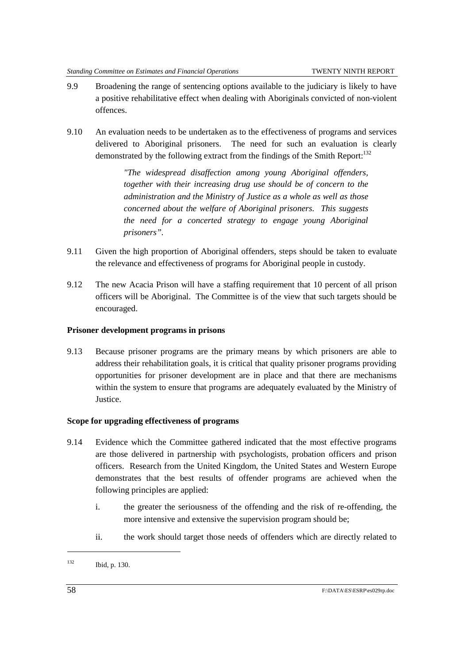- 9.9 Broadening the range of sentencing options available to the judiciary is likely to have a positive rehabilitative effect when dealing with Aboriginals convicted of non-violent offences.
- 9.10 An evaluation needs to be undertaken as to the effectiveness of programs and services delivered to Aboriginal prisoners. The need for such an evaluation is clearly demonstrated by the following extract from the findings of the Smith Report:<sup>132</sup>

*"The widespread disaffection among young Aboriginal offenders, together with their increasing drug use should be of concern to the administration and the Ministry of Justice as a whole as well as those concerned about the welfare of Aboriginal prisoners. This suggests the need for a concerted strategy to engage young Aboriginal prisoners".*

- 9.11 Given the high proportion of Aboriginal offenders, steps should be taken to evaluate the relevance and effectiveness of programs for Aboriginal people in custody.
- 9.12 The new Acacia Prison will have a staffing requirement that 10 percent of all prison officers will be Aboriginal. The Committee is of the view that such targets should be encouraged.

#### **Prisoner development programs in prisons**

9.13 Because prisoner programs are the primary means by which prisoners are able to address their rehabilitation goals, it is critical that quality prisoner programs providing opportunities for prisoner development are in place and that there are mechanisms within the system to ensure that programs are adequately evaluated by the Ministry of Justice.

#### **Scope for upgrading effectiveness of programs**

- 9.14 Evidence which the Committee gathered indicated that the most effective programs are those delivered in partnership with psychologists, probation officers and prison officers. Research from the United Kingdom, the United States and Western Europe demonstrates that the best results of offender programs are achieved when the following principles are applied:
	- i. the greater the seriousness of the offending and the risk of re-offending, the more intensive and extensive the supervision program should be;
	- ii. the work should target those needs of offenders which are directly related to

<sup>132</sup> Ibid, p. 130.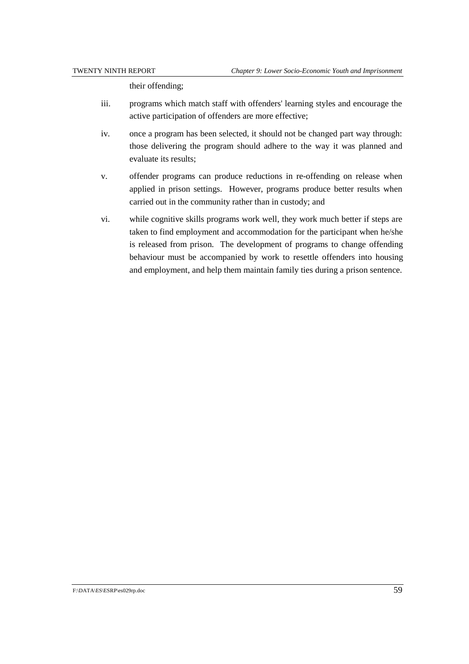their offending;

- iii. programs which match staff with offenders' learning styles and encourage the active participation of offenders are more effective;
- iv. once a program has been selected, it should not be changed part way through: those delivering the program should adhere to the way it was planned and evaluate its results;
- v. offender programs can produce reductions in re-offending on release when applied in prison settings. However, programs produce better results when carried out in the community rather than in custody; and
- vi. while cognitive skills programs work well, they work much better if steps are taken to find employment and accommodation for the participant when he/she is released from prison. The development of programs to change offending behaviour must be accompanied by work to resettle offenders into housing and employment, and help them maintain family ties during a prison sentence.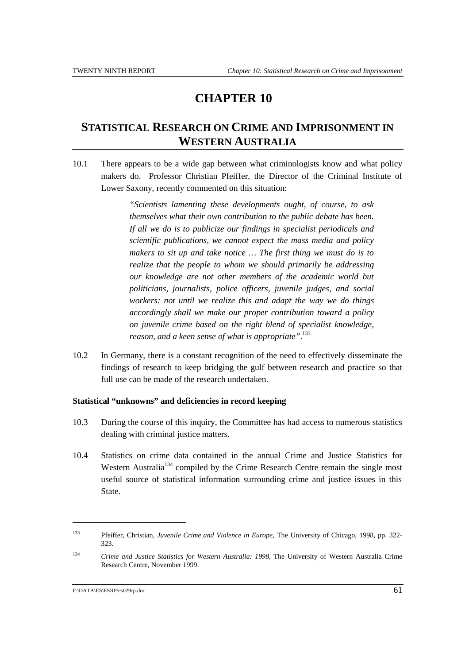# **CHAPTER 10**

### **STATISTICAL RESEARCH ON CRIME AND IMPRISONMENT IN WESTERN AUSTRALIA**

10.1 There appears to be a wide gap between what criminologists know and what policy makers do. Professor Christian Pfeiffer, the Director of the Criminal Institute of Lower Saxony, recently commented on this situation:

> *"Scientists lamenting these developments ought, of course, to ask themselves what their own contribution to the public debate has been. If all we do is to publicize our findings in specialist periodicals and scientific publications, we cannot expect the mass media and policy makers to sit up and take notice … The first thing we must do is to realize that the people to whom we should primarily be addressing our knowledge are not other members of the academic world but politicians, journalists, police officers, juvenile judges, and social workers: not until we realize this and adapt the way we do things accordingly shall we make our proper contribution toward a policy on juvenile crime based on the right blend of specialist knowledge, reason, and a keen sense of what is appropriate"*. 133

10.2 In Germany, there is a constant recognition of the need to effectively disseminate the findings of research to keep bridging the gulf between research and practice so that full use can be made of the research undertaken.

#### **Statistical "unknowns" and deficiencies in record keeping**

- 10.3 During the course of this inquiry, the Committee has had access to numerous statistics dealing with criminal justice matters.
- 10.4 Statistics on crime data contained in the annual Crime and Justice Statistics for Western Australia<sup>134</sup> compiled by the Crime Research Centre remain the single most useful source of statistical information surrounding crime and justice issues in this State.

l

<sup>133</sup> Pfeiffer, Christian, *Juvenile Crime and Violence in Europe*, The University of Chicago, 1998, pp. 322- 323.

<sup>134</sup> *Crime and Justice Statistics for Western Australia: 1998*, The University of Western Australia Crime Research Centre, November 1999.

 $F:\text{DATA}\to\text{ES}\text{ESRP}\cong\text{SO}^2$ rp.doc 61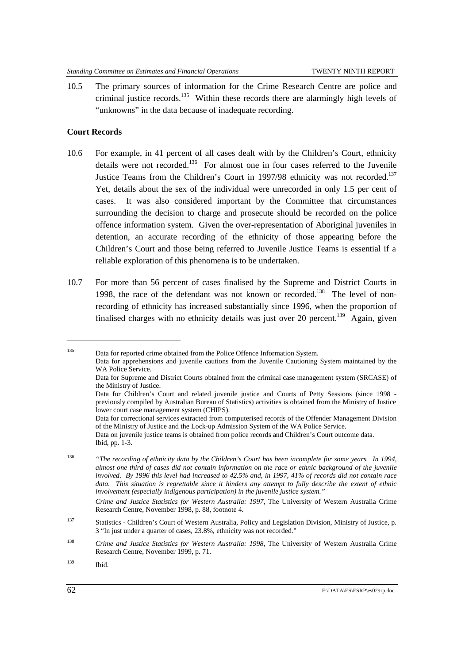10.5 The primary sources of information for the Crime Research Centre are police and criminal justice records.<sup>135</sup> Within these records there are alarmingly high levels of "unknowns" in the data because of inadequate recording.

#### **Court Records**

- 10.6 For example, in 41 percent of all cases dealt with by the Children's Court, ethnicity details were not recorded.<sup>136</sup> For almost one in four cases referred to the Juvenile Justice Teams from the Children's Court in 1997/98 ethnicity was not recorded.<sup>137</sup> Yet, details about the sex of the individual were unrecorded in only 1.5 per cent of cases. It was also considered important by the Committee that circumstances surrounding the decision to charge and prosecute should be recorded on the police offence information system. Given the over-representation of Aboriginal juveniles in detention, an accurate recording of the ethnicity of those appearing before the Children's Court and those being referred to Juvenile Justice Teams is essential if a reliable exploration of this phenomena is to be undertaken.
- 10.7 For more than 56 percent of cases finalised by the Supreme and District Courts in 1998, the race of the defendant was not known or recorded.<sup>138</sup> The level of nonrecording of ethnicity has increased substantially since 1996, when the proportion of finalised charges with no ethnicity details was just over 20 percent.<sup>139</sup> Again, given

<sup>136</sup> *"The recording of ethnicity data by the Children's Court has been incomplete for some years. In 1994, almost one third of cases did not contain information on the race or ethnic background of the juvenile involved. By 1996 this level had increased to 42.5% and, in 1997, 41% of records did not contain race data. This situation is regrettable since it hinders any attempt to fully describe the extent of ethnic involvement (especially indigenous participation) in the juvenile justice system."*

*Crime and Justice Statistics for Western Australia: 1997*, The University of Western Australia Crime Research Centre, November 1998, p. 88, footnote 4.

<sup>135</sup> Data for reported crime obtained from the Police Offence Information System. Data for apprehensions and juvenile cautions from the Juvenile Cautioning System maintained by the WA Police Service. Data for Supreme and District Courts obtained from the criminal case management system (SRCASE) of the Ministry of Justice. Data for Children's Court and related juvenile justice and Courts of Petty Sessions (since 1998 -

previously compiled by Australian Bureau of Statistics) activities is obtained from the Ministry of Justice lower court case management system (CHIPS).

Data for correctional services extracted from computerised records of the Offender Management Division of the Ministry of Justice and the Lock-up Admission System of the WA Police Service.

Data on juvenile justice teams is obtained from police records and Children's Court outcome data. Ibid, pp. 1-3.

<sup>137</sup> Statistics - Children's Court of Western Australia, Policy and Legislation Division, Ministry of Justice, p. 3 "In just under a quarter of cases, 23.8%, ethnicity was not recorded."

<sup>138</sup> *Crime and Justice Statistics for Western Australia: 1998*, The University of Western Australia Crime Research Centre, November 1999, p. 71.

<sup>139</sup> Ibid.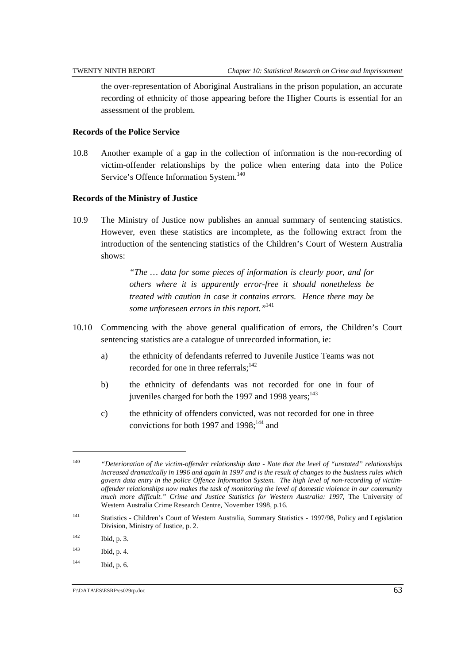the over-representation of Aboriginal Australians in the prison population, an accurate recording of ethnicity of those appearing before the Higher Courts is essential for an assessment of the problem.

#### **Records of the Police Service**

10.8 Another example of a gap in the collection of information is the non-recording of victim-offender relationships by the police when entering data into the Police Service's Offence Information System.<sup>140</sup>

#### **Records of the Ministry of Justice**

10.9 The Ministry of Justice now publishes an annual summary of sentencing statistics. However, even these statistics are incomplete, as the following extract from the introduction of the sentencing statistics of the Children's Court of Western Australia shows:

> *"The … data for some pieces of information is clearly poor, and for others where it is apparently error-free it should nonetheless be treated with caution in case it contains errors. Hence there may be some unforeseen errors in this report."*<sup>141</sup>

- 10.10 Commencing with the above general qualification of errors, the Children's Court sentencing statistics are a catalogue of unrecorded information, ie:
	- a) the ethnicity of defendants referred to Juvenile Justice Teams was not recorded for one in three referrals:<sup>142</sup>
	- b) the ethnicity of defendants was not recorded for one in four of juveniles charged for both the 1997 and 1998 years; $143$
	- c) the ethnicity of offenders convicted, was not recorded for one in three convictions for both 1997 and  $1998$ ;  $^{144}$  and

<sup>140</sup> *"Deterioration of the victim-offender relationship data - Note that the level of "unstated" relationships increased dramatically in 1996 and again in 1997 and is the result of changes to the business rules which govern data entry in the police Offence Information System. The high level of non-recording of victimoffender relationships now makes the task of monitoring the level of domestic violence in our community much more difficult." Crime and Justice Statistics for Western Australia: 1997*, The University of Western Australia Crime Research Centre, November 1998, p.16.

<sup>141</sup> Statistics - Children's Court of Western Australia, Summary Statistics - 1997/98, Policy and Legislation Division, Ministry of Justice, p. 2.

<sup>142</sup> Ibid, p. 3.

<sup>143</sup> Ibid, p. 4.

<sup>144</sup> Ibid, p. 6.

F:\DATA\ES\ESRP\es029rp.doc 63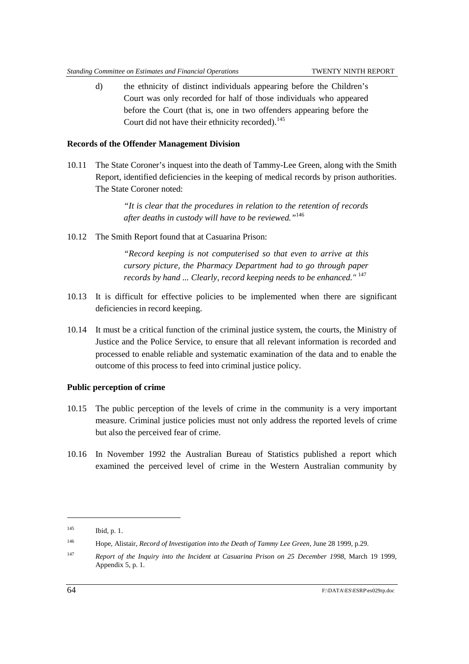d) the ethnicity of distinct individuals appearing before the Children's Court was only recorded for half of those individuals who appeared before the Court (that is, one in two offenders appearing before the Court did not have their ethnicity recorded).<sup>145</sup>

#### **Records of the Offender Management Division**

10.11 The State Coroner's inquest into the death of Tammy-Lee Green, along with the Smith Report, identified deficiencies in the keeping of medical records by prison authorities. The State Coroner noted:

> *"It is clear that the procedures in relation to the retention of records after deaths in custody will have to be reviewed."*<sup>146</sup>

10.12 The Smith Report found that at Casuarina Prison:

*"Record keeping is not computerised so that even to arrive at this cursory picture, the Pharmacy Department had to go through paper records by hand ... Clearly, record keeping needs to be enhanced."* <sup>147</sup>

- 10.13 It is difficult for effective policies to be implemented when there are significant deficiencies in record keeping.
- 10.14 It must be a critical function of the criminal justice system, the courts, the Ministry of Justice and the Police Service, to ensure that all relevant information is recorded and processed to enable reliable and systematic examination of the data and to enable the outcome of this process to feed into criminal justice policy.

#### **Public perception of crime**

- 10.15 The public perception of the levels of crime in the community is a very important measure. Criminal justice policies must not only address the reported levels of crime but also the perceived fear of crime.
- 10.16 In November 1992 the Australian Bureau of Statistics published a report which examined the perceived level of crime in the Western Australian community by

l

<sup>145</sup> Ibid, p. 1.

<sup>146</sup> Hope, Alistair, *Record of Investigation into the Death of Tammy Lee Green*, June 28 1999, p.29.

<sup>147</sup> *Report of the Inquiry into the Incident at Casuarina Prison on 25 December 1998*, March 19 1999, Appendix 5, p. 1.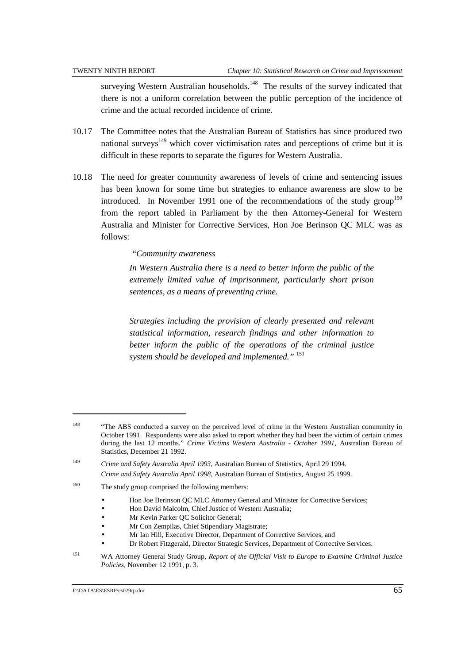surveying Western Australian households.<sup>148</sup> The results of the survey indicated that there is not a uniform correlation between the public perception of the incidence of crime and the actual recorded incidence of crime.

- 10.17 The Committee notes that the Australian Bureau of Statistics has since produced two national surveys<sup> $149$ </sup> which cover victimisation rates and perceptions of crime but it is difficult in these reports to separate the figures for Western Australia.
- 10.18 The need for greater community awareness of levels of crime and sentencing issues has been known for some time but strategies to enhance awareness are slow to be introduced. In November 1991 one of the recommendations of the study group<sup>150</sup> from the report tabled in Parliament by the then Attorney-General for Western Australia and Minister for Corrective Services, Hon Joe Berinson QC MLC was as follows:

#### *"Community awareness*

*In Western Australia there is a need to better inform the public of the extremely limited value of imprisonment, particularly short prison sentences, as a means of preventing crime.*

*Strategies including the provision of clearly presented and relevant statistical information, research findings and other information to better inform the public of the operations of the criminal justice system should be developed and implemented."* <sup>151</sup>

- Hon Joe Berinson QC MLC Attorney General and Minister for Corrective Services;
- Hon David Malcolm, Chief Justice of Western Australia;
- Mr Kevin Parker QC Solicitor General;
- Mr Con Zempilas, Chief Stipendiary Magistrate;
- Mr Ian Hill, Executive Director, Department of Corrective Services, and
- Dr Robert Fitzgerald, Director Strategic Services, Department of Corrective Services.
- <sup>151</sup> WA Attorney General Study Group, *Report of the Official Visit to Europe to Examine Criminal Justice Policies*, November 12 1991, p. 3.

<sup>&</sup>lt;sup>148</sup> "The ABS conducted a survey on the perceived level of crime in the Western Australian community in October 1991. Respondents were also asked to report whether they had been the victim of certain crimes during the last 12 months." *Crime Victims Western Australia - October 1991*, Australian Bureau of Statistics, December 21 1992.

<sup>149</sup> *Crime and Safety Australia April 1993*, Australian Bureau of Statistics, April 29 1994. *Crime and Safety Australia April 1998*, Australian Bureau of Statistics, August 25 1999.

<sup>&</sup>lt;sup>150</sup> The study group comprised the following members:

F:\DATA\ES\ESRP\es029rp.doc 65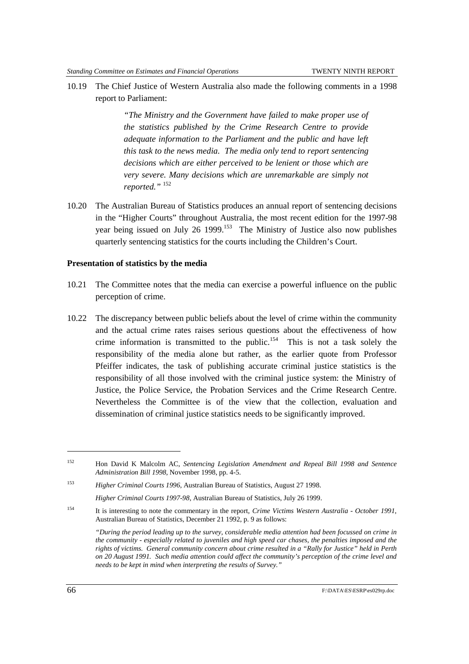10.19 The Chief Justice of Western Australia also made the following comments in a 1998 report to Parliament:

> *"The Ministry and the Government have failed to make proper use of the statistics published by the Crime Research Centre to provide adequate information to the Parliament and the public and have left this task to the news media. The media only tend to report sentencing decisions which are either perceived to be lenient or those which are very severe. Many decisions which are unremarkable are simply not reported."* <sup>152</sup>

10.20 The Australian Bureau of Statistics produces an annual report of sentencing decisions in the "Higher Courts" throughout Australia, the most recent edition for the 1997-98 year being issued on July 26 1999.<sup>153</sup> The Ministry of Justice also now publishes quarterly sentencing statistics for the courts including the Children's Court.

#### **Presentation of statistics by the media**

- 10.21 The Committee notes that the media can exercise a powerful influence on the public perception of crime.
- 10.22 The discrepancy between public beliefs about the level of crime within the community and the actual crime rates raises serious questions about the effectiveness of how crime information is transmitted to the public.<sup>154</sup> This is not a task solely the responsibility of the media alone but rather, as the earlier quote from Professor Pfeiffer indicates, the task of publishing accurate criminal justice statistics is the responsibility of all those involved with the criminal justice system: the Ministry of Justice, the Police Service, the Probation Services and the Crime Research Centre. Nevertheless the Committee is of the view that the collection, evaluation and dissemination of criminal justice statistics needs to be significantly improved.

<sup>152</sup> Hon David K Malcolm AC, *Sentencing Legislation Amendment and Repeal Bill 1998 and Sentence Administration Bill 1998*, November 1998, pp. 4-5.

<sup>153</sup> *Higher Criminal Courts 1996*, Australian Bureau of Statistics, August 27 1998.

*Higher Criminal Courts 1997-98*, Australian Bureau of Statistics, July 26 1999.

<sup>154</sup> It is interesting to note the commentary in the report, *Crime Victims Western Australia - October 1991*, Australian Bureau of Statistics, December 21 1992, p. 9 as follows:

*<sup>&</sup>quot;During the period leading up to the survey, considerable media attention had been focussed on crime in the community - especially related to juveniles and high speed car chases, the penalties imposed and the rights of victims. General community concern about crime resulted in a "Rally for Justice" held in Perth on 20 August 1991. Such media attention could affect the community's perception of the crime level and needs to be kept in mind when interpreting the results of Survey."*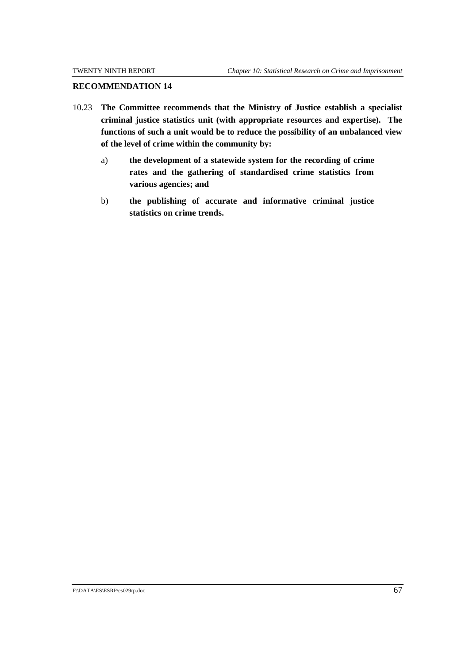#### **RECOMMENDATION 14**

- 10.23 **The Committee recommends that the Ministry of Justice establish a specialist criminal justice statistics unit (with appropriate resources and expertise). The functions of such a unit would be to reduce the possibility of an unbalanced view of the level of crime within the community by:**
	- a) **the development of a statewide system for the recording of crime rates and the gathering of standardised crime statistics from various agencies; and**
	- b) **the publishing of accurate and informative criminal justice statistics on crime trends.**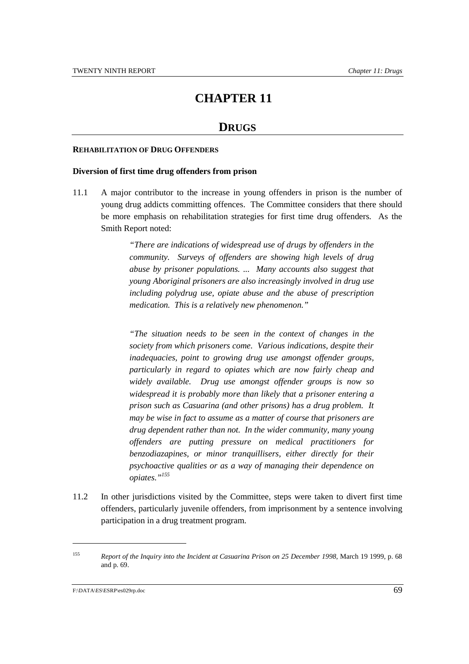# **CHAPTER 11**

# **DRUGS**

#### **REHABILITATION OF DRUG OFFENDERS**

#### **Diversion of first time drug offenders from prison**

11.1 A major contributor to the increase in young offenders in prison is the number of young drug addicts committing offences. The Committee considers that there should be more emphasis on rehabilitation strategies for first time drug offenders. As the Smith Report noted:

> *"There are indications of widespread use of drugs by offenders in the community. Surveys of offenders are showing high levels of drug abuse by prisoner populations. ... Many accounts also suggest that young Aboriginal prisoners are also increasingly involved in drug use including polydrug use, opiate abuse and the abuse of prescription medication. This is a relatively new phenomenon."*

> *"The situation needs to be seen in the context of changes in the society from which prisoners come. Various indications, despite their inadequacies, point to grow*i*ng drug use amongst offender groups, particularly in regard to opiates which are now fairly cheap and widely available. Drug use amongst offender groups is now so widespread it is probably more than likely that a prisoner entering a prison such as Casuarina (and other prisons) has a drug problem. It may be wise in fact to assume as a matter of course that prisoners are drug dependent rather than not. In the wider community, many young offenders are putting pressure on medical practitioners for benzodiazapines, or minor tranquillisers, either directly for their psychoactive qualities or as a way of managing their dependence on opiates."155*

11.2 In other jurisdictions visited by the Committee, steps were taken to divert first time offenders, particularly juvenile offenders, from imprisonment by a sentence involving participation in a drug treatment program.

l

<sup>155</sup> *Report of the Inquiry into the Incident at Casuarina Prison on 25 December 1998*, March 19 1999, p. 68 and p. 69.

F:\DATA\ES\ESRP\es029rp.doc 69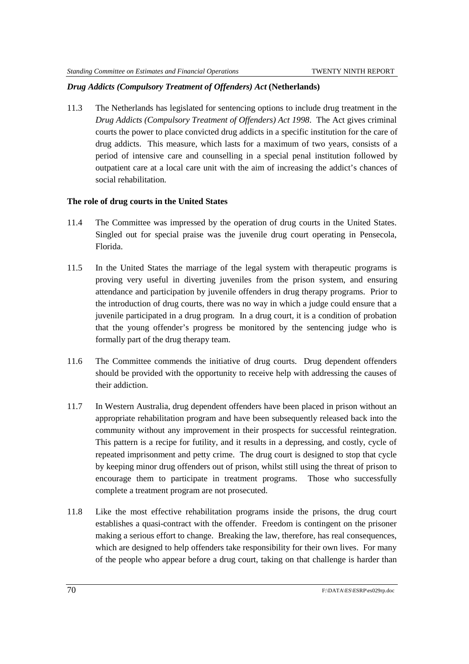## *Drug Addicts (Compulsory Treatment of Offenders) Act* **(Netherlands)**

11.3 The Netherlands has legislated for sentencing options to include drug treatment in the *Drug Addicts (Compulsory Treatment of Offenders) Act 1998*. The Act gives criminal courts the power to place convicted drug addicts in a specific institution for the care of drug addicts. This measure, which lasts for a maximum of two years, consists of a period of intensive care and counselling in a special penal institution followed by outpatient care at a local care unit with the aim of increasing the addict's chances of social rehabilitation.

## **The role of drug courts in the United States**

- 11.4 The Committee was impressed by the operation of drug courts in the United States. Singled out for special praise was the juvenile drug court operating in Pensecola, Florida.
- 11.5 In the United States the marriage of the legal system with therapeutic programs is proving very useful in diverting juveniles from the prison system, and ensuring attendance and participation by juvenile offenders in drug therapy programs. Prior to the introduction of drug courts, there was no way in which a judge could ensure that a juvenile participated in a drug program. In a drug court, it is a condition of probation that the young offender's progress be monitored by the sentencing judge who is formally part of the drug therapy team.
- 11.6 The Committee commends the initiative of drug courts. Drug dependent offenders should be provided with the opportunity to receive help with addressing the causes of their addiction.
- 11.7 In Western Australia, drug dependent offenders have been placed in prison without an appropriate rehabilitation program and have been subsequently released back into the community without any improvement in their prospects for successful reintegration. This pattern is a recipe for futility, and it results in a depressing, and costly, cycle of repeated imprisonment and petty crime. The drug court is designed to stop that cycle by keeping minor drug offenders out of prison, whilst still using the threat of prison to encourage them to participate in treatment programs. Those who successfully complete a treatment program are not prosecuted.
- 11.8 Like the most effective rehabilitation programs inside the prisons, the drug court establishes a quasi-contract with the offender. Freedom is contingent on the prisoner making a serious effort to change. Breaking the law, therefore, has real consequences, which are designed to help offenders take responsibility for their own lives. For many of the people who appear before a drug court, taking on that challenge is harder than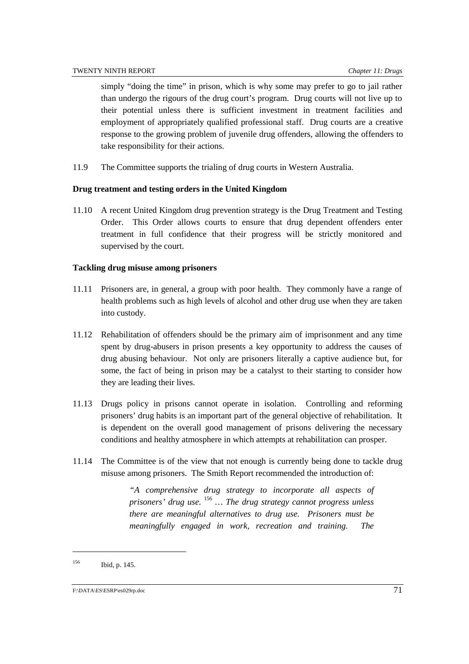simply "doing the time" in prison, which is why some may prefer to go to jail rather than undergo the rigours of the drug court's program. Drug courts will not live up to their potential unless there is sufficient investment in treatment facilities and employment of appropriately qualified professional staff. Drug courts are a creative response to the growing problem of juvenile drug offenders, allowing the offenders to take responsibility for their actions.

11.9 The Committee supports the trialing of drug courts in Western Australia.

#### **Drug treatment and testing orders in the United Kingdom**

11.10 A recent United Kingdom drug prevention strategy is the Drug Treatment and Testing Order. This Order allows courts to ensure that drug dependent offenders enter treatment in full confidence that their progress will be strictly monitored and supervised by the court.

#### **Tackling drug misuse among prisoners**

- 11.11 Prisoners are, in general, a group with poor health. They commonly have a range of health problems such as high levels of alcohol and other drug use when they are taken into custody.
- 11.12 Rehabilitation of offenders should be the primary aim of imprisonment and any time spent by drug-abusers in prison presents a key opportunity to address the causes of drug abusing behaviour. Not only are prisoners literally a captive audience but, for some, the fact of being in prison may be a catalyst to their starting to consider how they are leading their lives.
- 11.13 Drugs policy in prisons cannot operate in isolation. Controlling and reforming prisoners' drug habits is an important part of the general objective of rehabilitation. It is dependent on the overall good management of prisons delivering the necessary conditions and healthy atmosphere in which attempts at rehabilitation can prosper.
- 11.14 The Committee is of the view that not enough is currently being done to tackle drug misuse among prisoners. The Smith Report recommended the introduction of:

*"A comprehensive drug strategy to incorporate all aspects of prisoners' drug use.* <sup>156</sup> *… The drug strategy cannot progress unless there are meaningful alternatives to drug use. Prisoners must be meaningfully engaged in work, recreation and training. The*

<sup>156</sup> Ibid, p. 145.

F:\DATA\ES\ESRP\es029rp.doc 71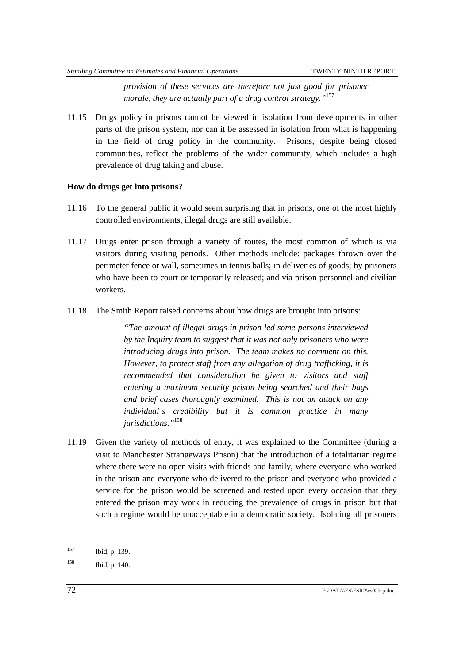*provision of these services are therefore not just good for prisoner morale, they are actually part of a drug control strategy."*<sup>157</sup>

11.15 Drugs policy in prisons cannot be viewed in isolation from developments in other parts of the prison system, nor can it be assessed in isolation from what is happening in the field of drug policy in the community. Prisons, despite being closed communities, reflect the problems of the wider community, which includes a high prevalence of drug taking and abuse.

## **How do drugs get into prisons?**

- 11.16 To the general public it would seem surprising that in prisons, one of the most highly controlled environments, illegal drugs are still available.
- 11.17 Drugs enter prison through a variety of routes, the most common of which is via visitors during visiting periods. Other methods include: packages thrown over the perimeter fence or wall, sometimes in tennis balls; in deliveries of goods; by prisoners who have been to court or temporarily released; and via prison personnel and civilian workers.
- 11.18 The Smith Report raised concerns about how drugs are brought into prisons:

*"The amount of illegal drugs in prison led some persons interviewed by the Inquiry team to suggest that it was not only prisoners who were introducing drugs into prison. The team makes no comment on this. However, to protect staff from any allegation of drug trafficking, it is recommended that consideration be given to visitors and staff entering a maximum security prison being searched and their bags and brief cases thoroughly examined. This is not an attack on any individual's credibility but it is common practice in many jurisdictions."*<sup>158</sup>

11.19 Given the variety of methods of entry, it was explained to the Committee (during a visit to Manchester Strangeways Prison) that the introduction of a totalitarian regime where there were no open visits with friends and family, where everyone who worked in the prison and everyone who delivered to the prison and everyone who provided a service for the prison would be screened and tested upon every occasion that they entered the prison may work in reducing the prevalence of drugs in prison but that such a regime would be unacceptable in a democratic society. Isolating all prisoners

l

<sup>157</sup> Ibid, p. 139.

<sup>158</sup> Ibid, p. 140.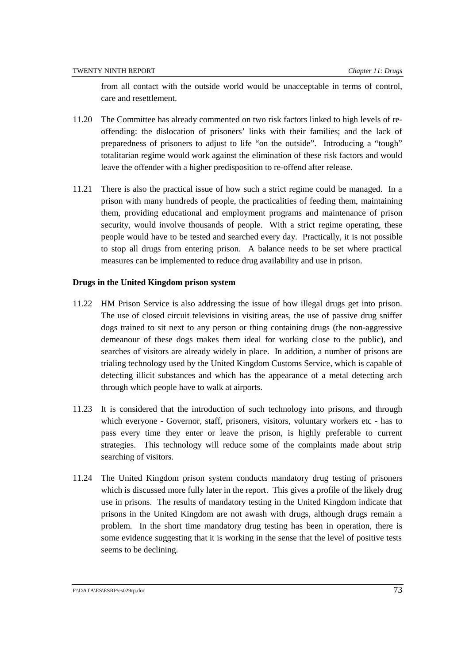from all contact with the outside world would be unacceptable in terms of control, care and resettlement.

- 11.20 The Committee has already commented on two risk factors linked to high levels of reoffending: the dislocation of prisoners' links with their families; and the lack of preparedness of prisoners to adjust to life "on the outside". Introducing a "tough" totalitarian regime would work against the elimination of these risk factors and would leave the offender with a higher predisposition to re-offend after release.
- 11.21 There is also the practical issue of how such a strict regime could be managed. In a prison with many hundreds of people, the practicalities of feeding them, maintaining them, providing educational and employment programs and maintenance of prison security, would involve thousands of people. With a strict regime operating, these people would have to be tested and searched every day. Practically, it is not possible to stop all drugs from entering prison. A balance needs to be set where practical measures can be implemented to reduce drug availability and use in prison.

#### **Drugs in the United Kingdom prison system**

- 11.22 HM Prison Service is also addressing the issue of how illegal drugs get into prison. The use of closed circuit televisions in visiting areas, the use of passive drug sniffer dogs trained to sit next to any person or thing containing drugs (the non-aggressive demeanour of these dogs makes them ideal for working close to the public), and searches of visitors are already widely in place. In addition, a number of prisons are trialing technology used by the United Kingdom Customs Service, which is capable of detecting illicit substances and which has the appearance of a metal detecting arch through which people have to walk at airports.
- 11.23 It is considered that the introduction of such technology into prisons, and through which everyone - Governor, staff, prisoners, visitors, voluntary workers etc - has to pass every time they enter or leave the prison, is highly preferable to current strategies. This technology will reduce some of the complaints made about strip searching of visitors.
- 11.24 The United Kingdom prison system conducts mandatory drug testing of prisoners which is discussed more fully later in the report. This gives a profile of the likely drug use in prisons. The results of mandatory testing in the United Kingdom indicate that prisons in the United Kingdom are not awash with drugs, although drugs remain a problem. In the short time mandatory drug testing has been in operation, there is some evidence suggesting that it is working in the sense that the level of positive tests seems to be declining.

#### F:\DATA\ES\ESRP\es029rp.doc 73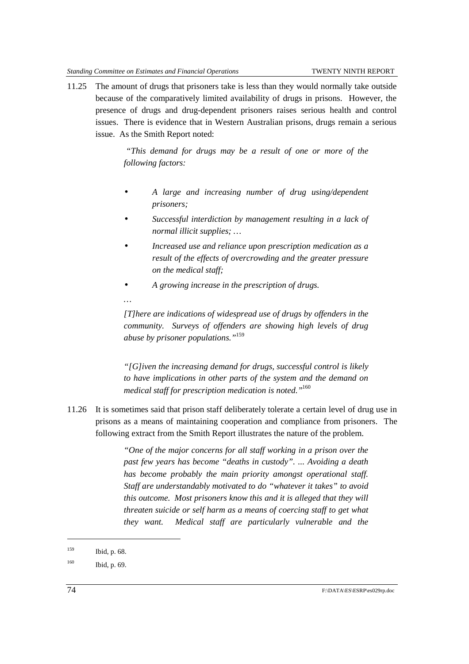11.25 The amount of drugs that prisoners take is less than they would normally take outside because of the comparatively limited availability of drugs in prisons. However, the presence of drugs and drug-dependent prisoners raises serious health and control issues. There is evidence that in Western Australian prisons, drugs remain a serious issue. As the Smith Report noted:

> *"This demand for drugs may be a result of one or more of the following factors:*

- *A large and increasing number of drug using/dependent prisoners;*
- *Successful interdiction by management resulting in a lack of normal illicit supplies; …*
- *Increased use and reliance upon prescription medication as a result of the effects of overcrowding and the greater pressure on the medical staff;*
- *A growing increase in the prescription of drugs.*
- *…*

*[T]here are indications of widespread use of drugs by offenders in the community. Surveys of offenders are showing high levels of drug abuse by prisoner populations."*<sup>159</sup>

*"[G]iven the increasing demand for drugs, successful control is likely to have implications in other parts of the system and the demand on medical staff for prescription medication is noted."*<sup>160</sup>

11.26 It is sometimes said that prison staff deliberately tolerate a certain level of drug use in prisons as a means of maintaining cooperation and compliance from prisoners. The following extract from the Smith Report illustrates the nature of the problem.

> *"One of the major concerns for all staff working in a prison over the past few years has become "deaths in custody". ... Avoiding a death has become probably the main priority amongst operational staff. Staff are understandably motivated to do "whatever it takes" to avoid this outcome. Most prisoners know this and it is alleged that they will threaten suicide or self harm as a means of coercing staff to get what they want. Medical staff are particularly vulnerable and the*

<sup>159</sup> Ibid, p. 68.

<sup>160</sup> Ibid, p. 69.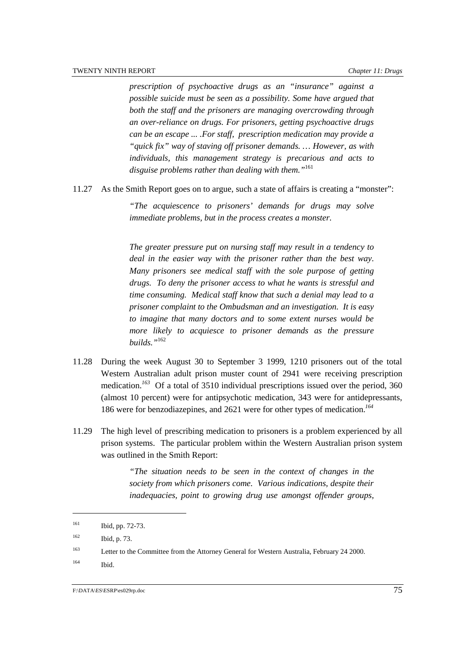*prescription of psychoactive drugs as an "insurance" against a possible suicide must be seen as a possibility. Some have argued that both the staff and the prisoners are managing overcrowding through an over-reliance on drugs. For prisoners, getting psychoactive drugs can be an escape ... .For staff, prescription medication may provide a "quick fix" way of staving off prisoner demands. … However, as with individuals, this management strategy is precarious and acts to disguise problems rather than dealing with them."*<sup>161</sup>

11.27 As the Smith Report goes on to argue, such a state of affairs is creating a "monster":

*"The acquiescence to prisoners' demands for drugs may solve immediate problems, but in the process creates a monster.*

*The greater pressure put on nursing staff may result in a tendency to deal in the easier way with the prisoner rather than the best way. Many prisoners see medical staff with the sole purpose of getting drugs. To deny the prisoner access to what he wants is stressful and time consuming. Medical staff know that such a denial may lead to a prisoner complaint to the Ombudsman and an investigation. It is easy to imagine that many doctors and to some extent nurses would be more likely to acquiesce to prisoner demands as the pressure builds."*<sup>162</sup>

- 11.28 During the week August 30 to September 3 1999, 1210 prisoners out of the total Western Australian adult prison muster count of 2941 were receiving prescription medication.*<sup>163</sup>* Of a total of 3510 individual prescriptions issued over the period, 360 (almost 10 percent) were for antipsychotic medication, 343 were for antidepressants, 186 were for benzodiazepines, and 2621 were for other types of medication.*<sup>164</sup>*
- 11.29 The high level of prescribing medication to prisoners is a problem experienced by all prison systems. The particular problem within the Western Australian prison system was outlined in the Smith Report:

*"The situation needs to be seen in the context of changes in the society from which prisoners come. Various indications, despite their inadequacies, point to growing drug use amongst offender groups,*

l

<sup>161</sup> Ibid, pp. 72-73.

<sup>162</sup> Ibid, p. 73.

<sup>&</sup>lt;sup>163</sup> Letter to the Committee from the Attorney General for Western Australia, February 24 2000.

 $^{164}$  Ibid.

F:\DATA\ES\ESRP\es029rp.doc 75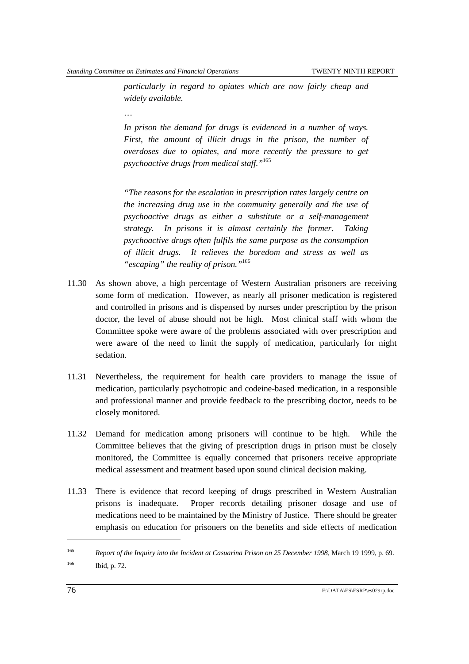*particularly in regard to opiates which are now fairly cheap and widely available.*

…

*In prison the demand for drugs is evidenced in a number of ways. First, the amount of illicit drugs in the prison, the number of overdoses due to opiates, and more recently the pressure to get psychoactive drugs from medical staff."*<sup>165</sup>

*"The reasons for the escalation in prescription rates largely centre on the increasing drug use in the community generally and the use of psychoactive drugs as either a substitute or a self-management strategy. In prisons it is almost certainly the former. Taking psychoactive drugs often fulfils the same purpose as the consumption of illicit drugs. It relieves the boredom and stress as well as "escaping" the reality of prison."*<sup>166</sup>

- 11.30 As shown above, a high percentage of Western Australian prisoners are receiving some form of medication. However, as nearly all prisoner medication is registered and controlled in prisons and is dispensed by nurses under prescription by the prison doctor, the level of abuse should not be high. Most clinical staff with whom the Committee spoke were aware of the problems associated with over prescription and were aware of the need to limit the supply of medication, particularly for night sedation.
- 11.31 Nevertheless, the requirement for health care providers to manage the issue of medication, particularly psychotropic and codeine-based medication, in a responsible and professional manner and provide feedback to the prescribing doctor, needs to be closely monitored.
- 11.32 Demand for medication among prisoners will continue to be high. While the Committee believes that the giving of prescription drugs in prison must be closely monitored, the Committee is equally concerned that prisoners receive appropriate medical assessment and treatment based upon sound clinical decision making.
- 11.33 There is evidence that record keeping of drugs prescribed in Western Australian prisons is inadequate. Proper records detailing prisoner dosage and use of medications need to be maintained by the Ministry of Justice. There should be greater emphasis on education for prisoners on the benefits and side effects of medication

<sup>165</sup> *Report of the Inquiry into the Incident at Casuarina Prison on 25 December 1998*, March 19 1999, p. 69. 166 Ibid, p. 72.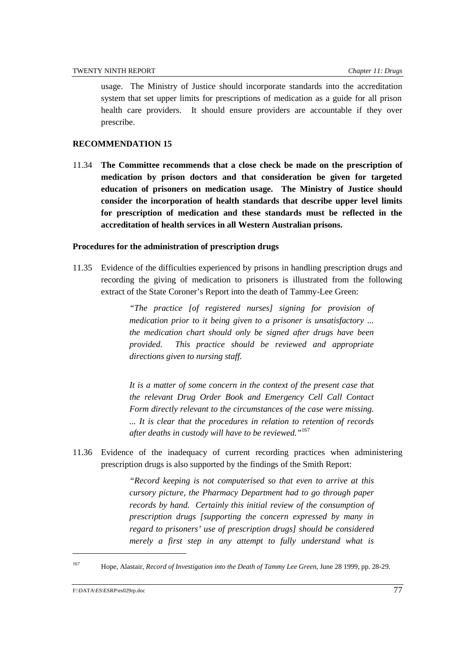usage. The Ministry of Justice should incorporate standards into the accreditation system that set upper limits for prescriptions of medication as a guide for all prison health care providers. It should ensure providers are accountable if they over prescribe.

## **RECOMMENDATION 15**

11.34 **The Committee recommends that a close check be made on the prescription of medication by prison doctors and that consideration be given for targeted education of prisoners on medication usage. The Ministry of Justice should consider the incorporation of health standards that describe upper level limits for prescription of medication and these standards must be reflected in the accreditation of health services in all Western Australian prisons.**

## **Procedures for the administration of prescription drugs**

11.35 Evidence of the difficulties experienced by prisons in handling prescription drugs and recording the giving of medication to prisoners is illustrated from the following extract of the State Coroner's Report into the death of Tammy-Lee Green:

> *"The practice [of registered nurses] signing for provision of medication prior to it being given to a prisoner is unsatisfactory ... the medication chart should only be signed after drugs have been provided. This practice should be reviewed and appropriate directions given to nursing staff.*

> *It is a matter of some concern in the context of the present case that the relevant Drug Order Book and Emergency Cell Call Contact Form directly relevant to the circumstances of the case were missing. ... It is clear that the procedures in relation to retention of records after deaths in custody will have to be reviewed."*<sup>167</sup>

11.36 Evidence of the inadequacy of current recording practices when administering prescription drugs is also supported by the findings of the Smith Report:

> *"Record keeping is not computerised so that even to arrive at this cursory picture, the Pharmacy Department had to go through paper records by hand. Certainly this initial review of the consumption of prescription drugs [supporting the concern expressed by many in regard to prisoners' use of prescription drugs] should be considered merely a first step in any attempt to fully understand what is*

<sup>167</sup> Hope, Alastair, *Record of Investigation into the Death of Tammy Lee Green*, June 28 1999, pp. 28-29.

F:\DATA\ES\ESRP\es029rp.doc 77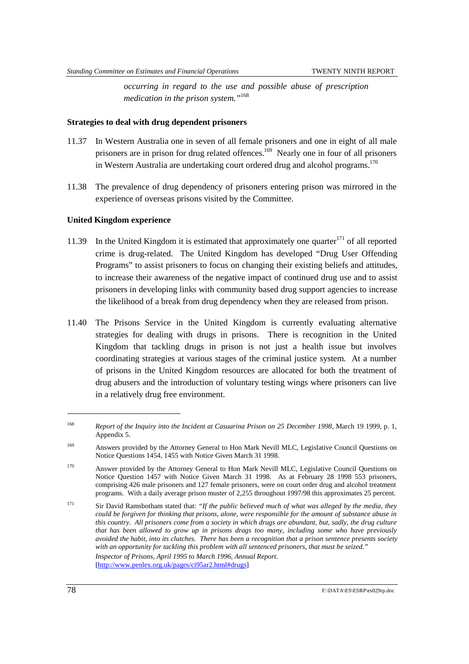*occurring in regard to the use and possible abuse of prescription medication in the prison system."*<sup>168</sup>

#### **Strategies to deal with drug dependent prisoners**

- 11.37 In Western Australia one in seven of all female prisoners and one in eight of all male prisoners are in prison for drug related offences.<sup>169</sup> Nearly one in four of all prisoners in Western Australia are undertaking court ordered drug and alcohol programs.<sup>170</sup>
- 11.38 The prevalence of drug dependency of prisoners entering prison was mirrored in the experience of overseas prisons visited by the Committee.

## **United Kingdom experience**

- 11.39 In the United Kingdom it is estimated that approximately one quarter<sup>171</sup> of all reported crime is drug-related. The United Kingdom has developed "Drug User Offending Programs" to assist prisoners to focus on changing their existing beliefs and attitudes, to increase their awareness of the negative impact of continued drug use and to assist prisoners in developing links with community based drug support agencies to increase the likelihood of a break from drug dependency when they are released from prison.
- 11.40 The Prisons Service in the United Kingdom is currently evaluating alternative strategies for dealing with drugs in prisons. There is recognition in the United Kingdom that tackling drugs in prison is not just a health issue but involves coordinating strategies at various stages of the criminal justice system. At a number of prisons in the United Kingdom resources are allocated for both the treatment of drug abusers and the introduction of voluntary testing wings where prisoners can live in a relatively drug free environment.

<sup>168</sup> *Report of the Inquiry into the Incident at Casuarina Prison on 25 December 1998*, March 19 1999, p. 1, Appendix 5.

<sup>169</sup> Answers provided by the Attorney General to Hon Mark Nevill MLC, Legislative Council Questions on Notice Questions 1454, 1455 with Notice Given March 31 1998.

<sup>170</sup> Answer provided by the Attorney General to Hon Mark Nevill MLC, Legislative Council Questions on Notice Question 1457 with Notice Given March 31 1998. As at February 28 1998 553 prisoners, comprising 426 male prisoners and 127 female prisoners, were on court order drug and alcohol treatment programs. With a daily average prison muster of 2,255 throughout 1997/98 this approximates 25 percent.

<sup>171</sup> Sir David Ramsbotham stated that: *"If the public believed much of what was alleged by the media, they could be forgiven for thinking that prisons, alone, were responsible for the amount of substance abuse in this country. All prisoners come from a society in which drugs are abundant, but, sadly, the drug culture that has been allowed to grow up in prisons drags too many, including some who have previously avoided the habit, into its clutches. There has been a recognition that a prison sentence presents society with an opportunity for tackling this problem with all sentenced prisoners, that must be seized." Inspector of Prisons, April 1995 to March 1996, Annual Report*. [http://www.penlex.org.uk/pages/ci95ar2.html#drugs]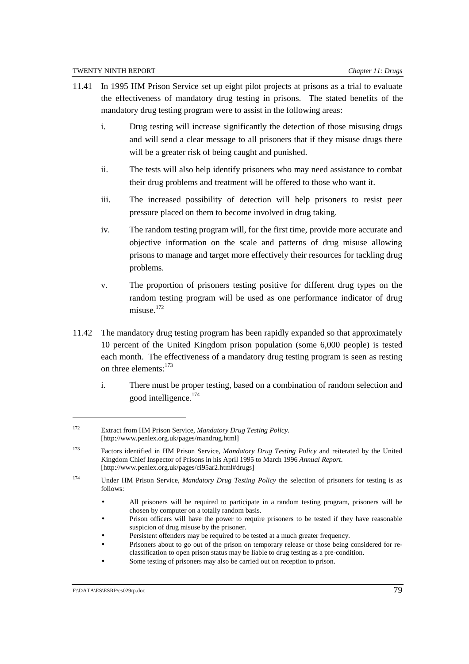- 11.41 In 1995 HM Prison Service set up eight pilot projects at prisons as a trial to evaluate the effectiveness of mandatory drug testing in prisons. The stated benefits of the mandatory drug testing program were to assist in the following areas:
	- i. Drug testing will increase significantly the detection of those misusing drugs and will send a clear message to all prisoners that if they misuse drugs there will be a greater risk of being caught and punished.
	- ii. The tests will also help identify prisoners who may need assistance to combat their drug problems and treatment will be offered to those who want it.
	- iii. The increased possibility of detection will help prisoners to resist peer pressure placed on them to become involved in drug taking.
	- iv. The random testing program will, for the first time, provide more accurate and objective information on the scale and patterns of drug misuse allowing prisons to manage and target more effectively their resources for tackling drug problems.
	- v. The proportion of prisoners testing positive for different drug types on the random testing program will be used as one performance indicator of drug misuse.<sup>172</sup>
- 11.42 The mandatory drug testing program has been rapidly expanded so that approximately 10 percent of the United Kingdom prison population (some 6,000 people) is tested each month. The effectiveness of a mandatory drug testing program is seen as resting on three elements:<sup>173</sup>
	- i. There must be proper testing, based on a combination of random selection and good intelligence.174

<sup>172</sup> Extract from HM Prison Service, *Mandatory Drug Testing Policy.* [http://www.penlex.org.uk/pages/mandrug.html]

<sup>173</sup> Factors identified in HM Prison Service, *Mandatory Drug Testing Policy* and reiterated by the United Kingdom Chief Inspector of Prisons in his April 1995 to March 1996 *Annual Report*. [http://www.penlex.org.uk/pages/ci95ar2.html#drugs]

<sup>174</sup> Under HM Prison Service, *Mandatory Drug Testing Policy* the selection of prisoners for testing is as follows:

<sup>•</sup> All prisoners will be required to participate in a random testing program, prisoners will be chosen by computer on a totally random basis.

<sup>•</sup> Prison officers will have the power to require prisoners to be tested if they have reasonable suspicion of drug misuse by the prisoner.

Persistent offenders may be required to be tested at a much greater frequency.

<sup>•</sup> Prisoners about to go out of the prison on temporary release or those being considered for reclassification to open prison status may be liable to drug testing as a pre-condition.

Some testing of prisoners may also be carried out on reception to prison.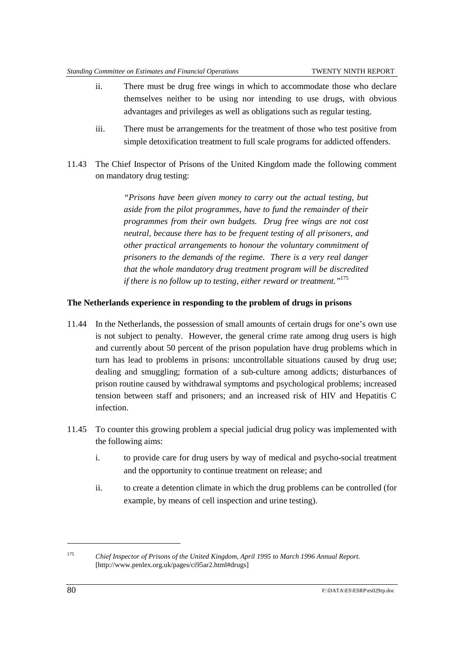- ii. There must be drug free wings in which to accommodate those who declare themselves neither to be using nor intending to use drugs, with obvious advantages and privileges as well as obligations such as regular testing.
- iii. There must be arrangements for the treatment of those who test positive from simple detoxification treatment to full scale programs for addicted offenders.
- 11.43 The Chief Inspector of Prisons of the United Kingdom made the following comment on mandatory drug testing:

*"Prisons have been given money to carry out the actual testing, but aside from the pilot programmes, have to fund the remainder of their programmes from their own budgets. Drug free wings are not cost neutral, because there has to be frequent testing of all prisoners, and other practical arrangements to honour the voluntary commitment of prisoners to the demands of the regime. There is a very real danger that the whole mandatory drug treatment program will be discredited if there is no follow up to testing, either reward or treatment."*<sup>175</sup>

## **The Netherlands experience in responding to the problem of drugs in prisons**

- 11.44 In the Netherlands, the possession of small amounts of certain drugs for one's own use is not subject to penalty. However, the general crime rate among drug users is high and currently about 50 percent of the prison population have drug problems which in turn has lead to problems in prisons: uncontrollable situations caused by drug use; dealing and smuggling; formation of a sub-culture among addicts; disturbances of prison routine caused by withdrawal symptoms and psychological problems; increased tension between staff and prisoners; and an increased risk of HIV and Hepatitis C infection.
- 11.45 To counter this growing problem a special judicial drug policy was implemented with the following aims:
	- i. to provide care for drug users by way of medical and psycho-social treatment and the opportunity to continue treatment on release; and
	- ii. to create a detention climate in which the drug problems can be controlled (for example, by means of cell inspection and urine testing).

<sup>175</sup> *Chief Inspector of Prisons of the United Kingdom, April 1995 to March 1996 Annual Report*. [http://www.penlex.org.uk/pages/ci95ar2.html#drugs]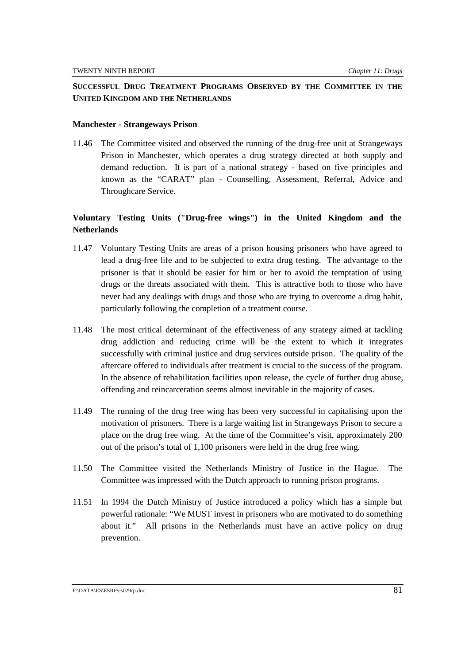# **SUCCESSFUL DRUG TREATMENT PROGRAMS OBSERVED BY THE COMMITTEE IN THE UNITED KINGDOM AND THE NETHERLANDS**

#### **Manchester - Strangeways Prison**

11.46 The Committee visited and observed the running of the drug-free unit at Strangeways Prison in Manchester, which operates a drug strategy directed at both supply and demand reduction. It is part of a national strategy - based on five principles and known as the "CARAT" plan - Counselling, Assessment, Referral, Advice and Throughcare Service.

# **Voluntary Testing Units ("Drug-free wings") in the United Kingdom and the Netherlands**

- 11.47 Voluntary Testing Units are areas of a prison housing prisoners who have agreed to lead a drug-free life and to be subjected to extra drug testing. The advantage to the prisoner is that it should be easier for him or her to avoid the temptation of using drugs or the threats associated with them. This is attractive both to those who have never had any dealings with drugs and those who are trying to overcome a drug habit, particularly following the completion of a treatment course.
- 11.48 The most critical determinant of the effectiveness of any strategy aimed at tackling drug addiction and reducing crime will be the extent to which it integrates successfully with criminal justice and drug services outside prison. The quality of the aftercare offered to individuals after treatment is crucial to the success of the program. In the absence of rehabilitation facilities upon release, the cycle of further drug abuse, offending and reincarceration seems almost inevitable in the majority of cases.
- 11.49 The running of the drug free wing has been very successful in capitalising upon the motivation of prisoners. There is a large waiting list in Strangeways Prison to secure a place on the drug free wing. At the time of the Committee's visit, approximately 200 out of the prison's total of 1,100 prisoners were held in the drug free wing.
- 11.50 The Committee visited the Netherlands Ministry of Justice in the Hague. The Committee was impressed with the Dutch approach to running prison programs.
- 11.51 In 1994 the Dutch Ministry of Justice introduced a policy which has a simple but powerful rationale: "We MUST invest in prisoners who are motivated to do something about it." All prisons in the Netherlands must have an active policy on drug prevention.

#### F:\DATA\ES\ESRP\es029rp.doc 81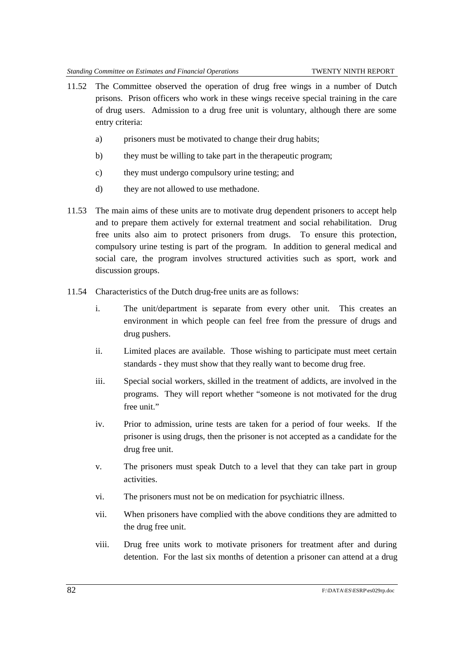- 11.52 The Committee observed the operation of drug free wings in a number of Dutch prisons. Prison officers who work in these wings receive special training in the care of drug users. Admission to a drug free unit is voluntary, although there are some entry criteria:
	- a) prisoners must be motivated to change their drug habits;
	- b) they must be willing to take part in the therapeutic program;
	- c) they must undergo compulsory urine testing; and
	- d) they are not allowed to use methadone.
- 11.53 The main aims of these units are to motivate drug dependent prisoners to accept help and to prepare them actively for external treatment and social rehabilitation. Drug free units also aim to protect prisoners from drugs. To ensure this protection, compulsory urine testing is part of the program. In addition to general medical and social care, the program involves structured activities such as sport, work and discussion groups.
- 11.54 Characteristics of the Dutch drug-free units are as follows:
	- i. The unit/department is separate from every other unit. This creates an environment in which people can feel free from the pressure of drugs and drug pushers.
	- ii. Limited places are available. Those wishing to participate must meet certain standards - they must show that they really want to become drug free.
	- iii. Special social workers, skilled in the treatment of addicts, are involved in the programs. They will report whether "someone is not motivated for the drug free unit."
	- iv. Prior to admission, urine tests are taken for a period of four weeks. If the prisoner is using drugs, then the prisoner is not accepted as a candidate for the drug free unit.
	- v. The prisoners must speak Dutch to a level that they can take part in group activities.
	- vi. The prisoners must not be on medication for psychiatric illness.
	- vii. When prisoners have complied with the above conditions they are admitted to the drug free unit.
	- viii. Drug free units work to motivate prisoners for treatment after and during detention. For the last six months of detention a prisoner can attend at a drug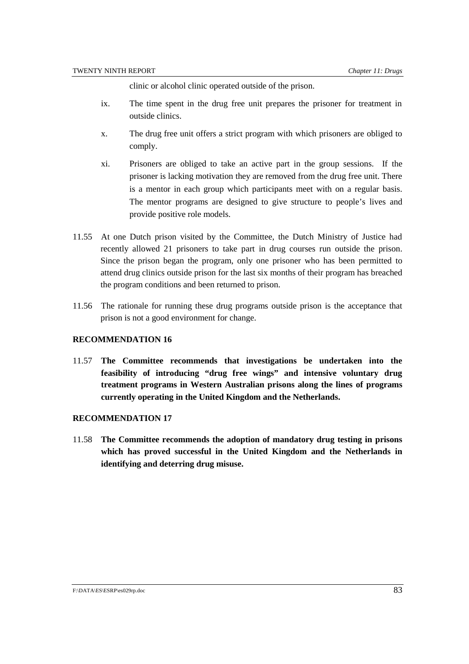clinic or alcohol clinic operated outside of the prison.

- ix. The time spent in the drug free unit prepares the prisoner for treatment in outside clinics.
- x. The drug free unit offers a strict program with which prisoners are obliged to comply.
- xi. Prisoners are obliged to take an active part in the group sessions. If the prisoner is lacking motivation they are removed from the drug free unit. There is a mentor in each group which participants meet with on a regular basis. The mentor programs are designed to give structure to people's lives and provide positive role models.
- 11.55 At one Dutch prison visited by the Committee, the Dutch Ministry of Justice had recently allowed 21 prisoners to take part in drug courses run outside the prison. Since the prison began the program, only one prisoner who has been permitted to attend drug clinics outside prison for the last six months of their program has breached the program conditions and been returned to prison.
- 11.56 The rationale for running these drug programs outside prison is the acceptance that prison is not a good environment for change.

### **RECOMMENDATION 16**

11.57 **The Committee recommends that investigations be undertaken into the feasibility of introducing "drug free wings" and intensive voluntary drug treatment programs in Western Australian prisons along the lines of programs currently operating in the United Kingdom and the Netherlands.**

#### **RECOMMENDATION 17**

11.58 **The Committee recommends the adoption of mandatory drug testing in prisons which has proved successful in the United Kingdom and the Netherlands in identifying and deterring drug misuse.**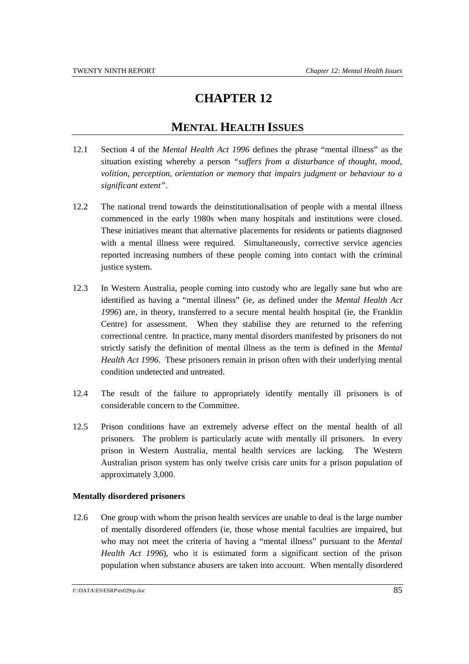# **CHAPTER 12**

# **MENTAL HEALTH ISSUES**

- 12.1 Section 4 of the *Mental Health Act 1996* defines the phrase "mental illness" as the situation existing whereby a person *"suffers from a disturbance of thought, mood, volition, perception, orientation or memory that impairs judgment or behaviour to a significant extent"*.
- 12.2 The national trend towards the deinstitutionalisation of people with a mental illness commenced in the early 1980s when many hospitals and institutions were closed. These initiatives meant that alternative placements for residents or patients diagnosed with a mental illness were required. Simultaneously, corrective service agencies reported increasing numbers of these people coming into contact with the criminal justice system.
- 12.3 In Western Australia, people coming into custody who are legally sane but who are identified as having a "mental illness" (ie, as defined under the *Mental Health Act 1996*) are, in theory, transferred to a secure mental health hospital (ie, the Franklin Centre) for assessment. When they stabilise they are returned to the referring correctional centre. In practice, many mental disorders manifested by prisoners do not strictly satisfy the definition of mental illness as the term is defined in the *Mental Health Act 1996*. These prisoners remain in prison often with their underlying mental condition undetected and untreated.
- 12.4 The result of the failure to appropriately identify mentally ill prisoners is of considerable concern to the Committee.
- 12.5 Prison conditions have an extremely adverse effect on the mental health of all prisoners. The problem is particularly acute with mentally ill prisoners. In every prison in Western Australia, mental health services are lacking. The Western Australian prison system has only twelve crisis care units for a prison population of approximately 3,000.

### **Mentally disordered prisoners**

12.6 One group with whom the prison health services are unable to deal is the large number of mentally disordered offenders (ie, those whose mental faculties are impaired, but who may not meet the criteria of having a "mental illness" pursuant to the *Mental Health Act 1996*), who it is estimated form a significant section of the prison population when substance abusers are taken into account. When mentally disordered

F:\DATA\ES\ESRP\es029rp.doc 85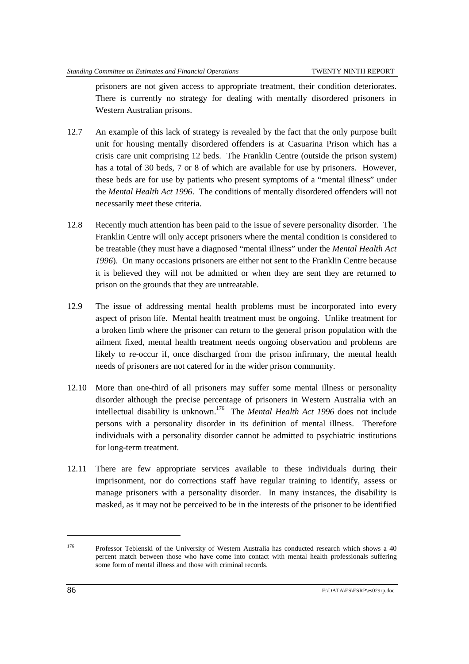prisoners are not given access to appropriate treatment, their condition deteriorates. There is currently no strategy for dealing with mentally disordered prisoners in Western Australian prisons.

- 12.7 An example of this lack of strategy is revealed by the fact that the only purpose built unit for housing mentally disordered offenders is at Casuarina Prison which has a crisis care unit comprising 12 beds. The Franklin Centre (outside the prison system) has a total of 30 beds, 7 or 8 of which are available for use by prisoners. However, these beds are for use by patients who present symptoms of a "mental illness" under the *Mental Health Act 1996*. The conditions of mentally disordered offenders will not necessarily meet these criteria.
- 12.8 Recently much attention has been paid to the issue of severe personality disorder. The Franklin Centre will only accept prisoners where the mental condition is considered to be treatable (they must have a diagnosed "mental illness" under the *Mental Health Act 1996*). On many occasions prisoners are either not sent to the Franklin Centre because it is believed they will not be admitted or when they are sent they are returned to prison on the grounds that they are untreatable.
- 12.9 The issue of addressing mental health problems must be incorporated into every aspect of prison life. Mental health treatment must be ongoing. Unlike treatment for a broken limb where the prisoner can return to the general prison population with the ailment fixed, mental health treatment needs ongoing observation and problems are likely to re-occur if, once discharged from the prison infirmary, the mental health needs of prisoners are not catered for in the wider prison community.
- 12.10 More than one-third of all prisoners may suffer some mental illness or personality disorder although the precise percentage of prisoners in Western Australia with an intellectual disability is unknown.176 The *Mental Health Act 1996* does not include persons with a personality disorder in its definition of mental illness. Therefore individuals with a personality disorder cannot be admitted to psychiatric institutions for long-term treatment.
- 12.11 There are few appropriate services available to these individuals during their imprisonment, nor do corrections staff have regular training to identify, assess or manage prisoners with a personality disorder. In many instances, the disability is masked, as it may not be perceived to be in the interests of the prisoner to be identified

<sup>176</sup> Professor Teblenski of the University of Western Australia has conducted research which shows a 40 percent match between those who have come into contact with mental health professionals suffering some form of mental illness and those with criminal records.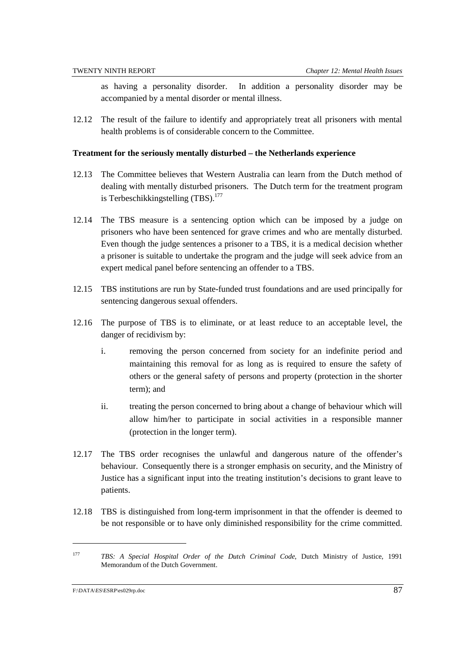as having a personality disorder. In addition a personality disorder may be accompanied by a mental disorder or mental illness.

12.12 The result of the failure to identify and appropriately treat all prisoners with mental health problems is of considerable concern to the Committee.

#### **Treatment for the seriously mentally disturbed – the Netherlands experience**

- 12.13 The Committee believes that Western Australia can learn from the Dutch method of dealing with mentally disturbed prisoners. The Dutch term for the treatment program is Terbeschikkingstelling  $(TBS)^{177}$
- 12.14 The TBS measure is a sentencing option which can be imposed by a judge on prisoners who have been sentenced for grave crimes and who are mentally disturbed. Even though the judge sentences a prisoner to a TBS, it is a medical decision whether a prisoner is suitable to undertake the program and the judge will seek advice from an expert medical panel before sentencing an offender to a TBS.
- 12.15 TBS institutions are run by State-funded trust foundations and are used principally for sentencing dangerous sexual offenders.
- 12.16 The purpose of TBS is to eliminate, or at least reduce to an acceptable level, the danger of recidivism by:
	- i. removing the person concerned from society for an indefinite period and maintaining this removal for as long as is required to ensure the safety of others or the general safety of persons and property (protection in the shorter term); and
	- ii. treating the person concerned to bring about a change of behaviour which will allow him/her to participate in social activities in a responsible manner (protection in the longer term).
- 12.17 The TBS order recognises the unlawful and dangerous nature of the offender's behaviour. Consequently there is a stronger emphasis on security, and the Ministry of Justice has a significant input into the treating institution's decisions to grant leave to patients.
- 12.18 TBS is distinguished from long-term imprisonment in that the offender is deemed to be not responsible or to have only diminished responsibility for the crime committed.

<sup>177</sup> *TBS: A Special Hospital Order of the Dutch Criminal Code*, Dutch Ministry of Justice, 1991 Memorandum of the Dutch Government.

F:\DATA\ES\ESRP\es029rp.doc 87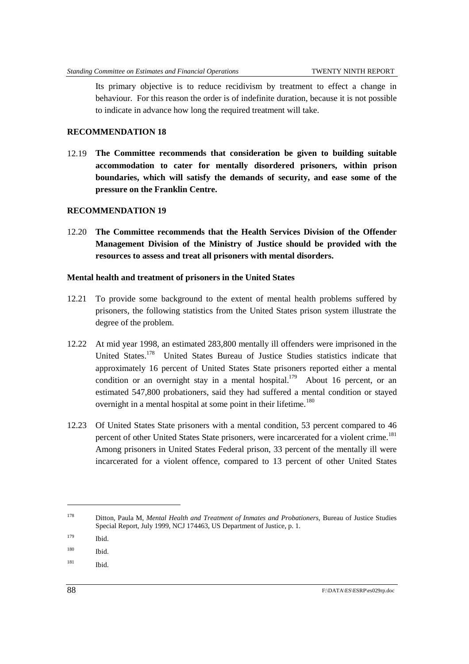Its primary objective is to reduce recidivism by treatment to effect a change in behaviour. For this reason the order is of indefinite duration, because it is not possible to indicate in advance how long the required treatment will take.

# **RECOMMENDATION 18**

12.19 **The Committee recommends that consideration be given to building suitable accommodation to cater for mentally disordered prisoners, within prison boundaries, which will satisfy the demands of security, and ease some of the pressure on the Franklin Centre.**

### **RECOMMENDATION 19**

12.20 **The Committee recommends that the Health Services Division of the Offender Management Division of the Ministry of Justice should be provided with the resources to assess and treat all prisoners with mental disorders.**

### **Mental health and treatment of prisoners in the United States**

- 12.21 To provide some background to the extent of mental health problems suffered by prisoners, the following statistics from the United States prison system illustrate the degree of the problem.
- 12.22 At mid year 1998, an estimated 283,800 mentally ill offenders were imprisoned in the United States.<sup>178</sup> United States Bureau of Justice Studies statistics indicate that approximately 16 percent of United States State prisoners reported either a mental condition or an overnight stay in a mental hospital.<sup>179</sup> About 16 percent, or an estimated 547,800 probationers, said they had suffered a mental condition or stayed overnight in a mental hospital at some point in their lifetime.<sup>180</sup>
- 12.23 Of United States State prisoners with a mental condition, 53 percent compared to 46 percent of other United States State prisoners, were incarcerated for a violent crime.<sup>181</sup> Among prisoners in United States Federal prison, 33 percent of the mentally ill were incarcerated for a violent offence, compared to 13 percent of other United States

 $181$  Ibid.

<sup>178</sup> Ditton, Paula M, *Mental Health and Treatment of Inmates and Probationers*, Bureau of Justice Studies Special Report, July 1999, NCJ 174463, US Department of Justice, p. 1.

<sup>179</sup> Ibid.

<sup>180</sup> Ibid.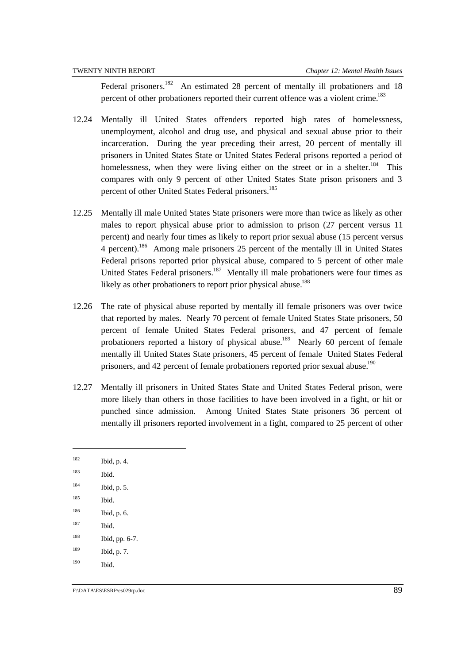Federal prisoners.<sup>182</sup> An estimated 28 percent of mentally ill probationers and 18 percent of other probationers reported their current offence was a violent crime.<sup>183</sup>

- 12.24 Mentally ill United States offenders reported high rates of homelessness, unemployment, alcohol and drug use, and physical and sexual abuse prior to their incarceration. During the year preceding their arrest, 20 percent of mentally ill prisoners in United States State or United States Federal prisons reported a period of homelessness, when they were living either on the street or in a shelter.<sup>184</sup> This compares with only 9 percent of other United States State prison prisoners and 3 percent of other United States Federal prisoners.<sup>185</sup>
- 12.25 Mentally ill male United States State prisoners were more than twice as likely as other males to report physical abuse prior to admission to prison (27 percent versus 11 percent) and nearly four times as likely to report prior sexual abuse (15 percent versus 4 percent).186 Among male prisoners 25 percent of the mentally ill in United States Federal prisons reported prior physical abuse, compared to 5 percent of other male United States Federal prisoners.<sup>187</sup> Mentally ill male probationers were four times as likely as other probationers to report prior physical abuse.<sup>188</sup>
- 12.26 The rate of physical abuse reported by mentally ill female prisoners was over twice that reported by males. Nearly 70 percent of female United States State prisoners, 50 percent of female United States Federal prisoners, and 47 percent of female probationers reported a history of physical abuse.<sup>189</sup> Nearly 60 percent of female mentally ill United States State prisoners, 45 percent of female United States Federal prisoners, and 42 percent of female probationers reported prior sexual abuse.<sup>190</sup>
- 12.27 Mentally ill prisoners in United States State and United States Federal prison, were more likely than others in those facilities to have been involved in a fight, or hit or punched since admission. Among United States State prisoners 36 percent of mentally ill prisoners reported involvement in a fight, compared to 25 percent of other

<sup>183</sup> Ibid*.*

l

- 184 Ibid, p. 5.
- 185 Ibid.

187 Ibid.

<sup>190</sup> Ibid.

<sup>182</sup> Ibid, p. 4.

<sup>186</sup> Ibid, p. 6.

<sup>188</sup> Ibid, pp. 6-7.

<sup>189</sup> Ibid, p. 7.

F:\DATA\ES\ESRP\es029rp.doc 89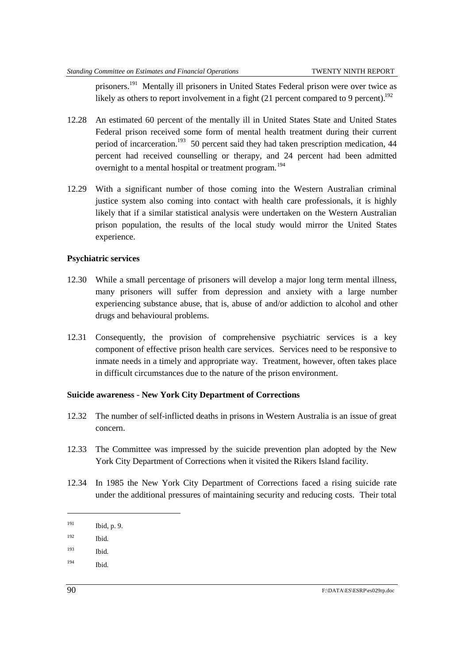prisoners.<sup>191</sup> Mentally ill prisoners in United States Federal prison were over twice as likely as others to report involvement in a fight  $(21)$  percent compared to 9 percent).<sup>192</sup>

- 12.28 An estimated 60 percent of the mentally ill in United States State and United States Federal prison received some form of mental health treatment during their current period of incarceration.<sup>193</sup> 50 percent said they had taken prescription medication, 44 percent had received counselling or therapy, and 24 percent had been admitted overnight to a mental hospital or treatment program.<sup>194</sup>
- 12.29 With a significant number of those coming into the Western Australian criminal justice system also coming into contact with health care professionals, it is highly likely that if a similar statistical analysis were undertaken on the Western Australian prison population, the results of the local study would mirror the United States experience.

#### **Psychiatric services**

- 12.30 While a small percentage of prisoners will develop a major long term mental illness, many prisoners will suffer from depression and anxiety with a large number experiencing substance abuse, that is, abuse of and/or addiction to alcohol and other drugs and behavioural problems.
- 12.31 Consequently, the provision of comprehensive psychiatric services is a key component of effective prison health care services. Services need to be responsive to inmate needs in a timely and appropriate way. Treatment, however, often takes place in difficult circumstances due to the nature of the prison environment.

## **Suicide awareness - New York City Department of Corrections**

- 12.32 The number of self-inflicted deaths in prisons in Western Australia is an issue of great concern.
- 12.33 The Committee was impressed by the suicide prevention plan adopted by the New York City Department of Corrections when it visited the Rikers Island facility.
- 12.34 In 1985 the New York City Department of Corrections faced a rising suicide rate under the additional pressures of maintaining security and reducing costs. Their total

- 192 Ibid*.*
- 193 Ibid*.*
- 194 Ibid*.*

l

 $191$  Ibid, p. 9.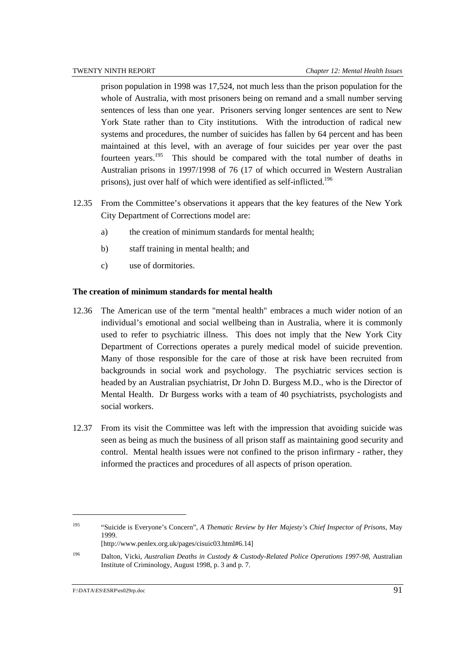prison population in 1998 was 17,524, not much less than the prison population for the whole of Australia, with most prisoners being on remand and a small number serving sentences of less than one year. Prisoners serving longer sentences are sent to New York State rather than to City institutions. With the introduction of radical new systems and procedures, the number of suicides has fallen by 64 percent and has been maintained at this level, with an average of four suicides per year over the past fourteen years.<sup>195</sup> This should be compared with the total number of deaths in Australian prisons in 1997/1998 of 76 (17 of which occurred in Western Australian prisons), just over half of which were identified as self-inflicted.<sup>196</sup>

- 12.35 From the Committee's observations it appears that the key features of the New York City Department of Corrections model are:
	- a) the creation of minimum standards for mental health;
	- b) staff training in mental health; and
	- c) use of dormitories.

### **The creation of minimum standards for mental health**

- 12.36 The American use of the term "mental health" embraces a much wider notion of an individual's emotional and social wellbeing than in Australia, where it is commonly used to refer to psychiatric illness. This does not imply that the New York City Department of Corrections operates a purely medical model of suicide prevention. Many of those responsible for the care of those at risk have been recruited from backgrounds in social work and psychology. The psychiatric services section is headed by an Australian psychiatrist, Dr John D. Burgess M.D., who is the Director of Mental Health. Dr Burgess works with a team of 40 psychiatrists, psychologists and social workers.
- 12.37 From its visit the Committee was left with the impression that avoiding suicide was seen as being as much the business of all prison staff as maintaining good security and control. Mental health issues were not confined to the prison infirmary - rather, they informed the practices and procedures of all aspects of prison operation.

<sup>195 &</sup>quot;Suicide is Everyone's Concern", *A Thematic Review by Her Majesty's Chief Inspector of Prisons*, May 1999. [http://www.penlex.org.uk/pages/cisuic03.html#6.14]

<sup>196</sup> Dalton, Vicki, *Australian Deaths in Custody & Custody-Related Police Operations 1997-98*, Australian Institute of Criminology, August 1998, p. 3 and p. 7.

F:\DATA\ES\ESRP\es029rp.doc 91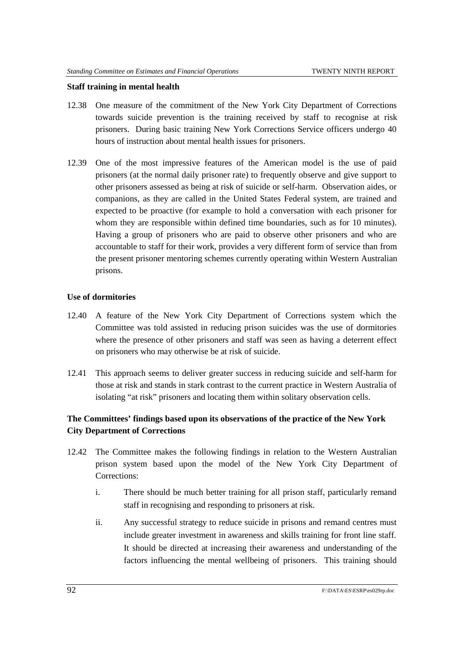#### **Staff training in mental health**

- 12.38 One measure of the commitment of the New York City Department of Corrections towards suicide prevention is the training received by staff to recognise at risk prisoners. During basic training New York Corrections Service officers undergo 40 hours of instruction about mental health issues for prisoners.
- 12.39 One of the most impressive features of the American model is the use of paid prisoners (at the normal daily prisoner rate) to frequently observe and give support to other prisoners assessed as being at risk of suicide or self-harm. Observation aides, or companions, as they are called in the United States Federal system, are trained and expected to be proactive (for example to hold a conversation with each prisoner for whom they are responsible within defined time boundaries, such as for 10 minutes). Having a group of prisoners who are paid to observe other prisoners and who are accountable to staff for their work, provides a very different form of service than from the present prisoner mentoring schemes currently operating within Western Australian prisons.

#### **Use of dormitories**

- 12.40 A feature of the New York City Department of Corrections system which the Committee was told assisted in reducing prison suicides was the use of dormitories where the presence of other prisoners and staff was seen as having a deterrent effect on prisoners who may otherwise be at risk of suicide.
- 12.41 This approach seems to deliver greater success in reducing suicide and self-harm for those at risk and stands in stark contrast to the current practice in Western Australia of isolating "at risk" prisoners and locating them within solitary observation cells.

# **The Committees' findings based upon its observations of the practice of the New York City Department of Corrections**

- 12.42 The Committee makes the following findings in relation to the Western Australian prison system based upon the model of the New York City Department of Corrections:
	- i. There should be much better training for all prison staff, particularly remand staff in recognising and responding to prisoners at risk.
	- ii. Any successful strategy to reduce suicide in prisons and remand centres must include greater investment in awareness and skills training for front line staff. It should be directed at increasing their awareness and understanding of the factors influencing the mental wellbeing of prisoners. This training should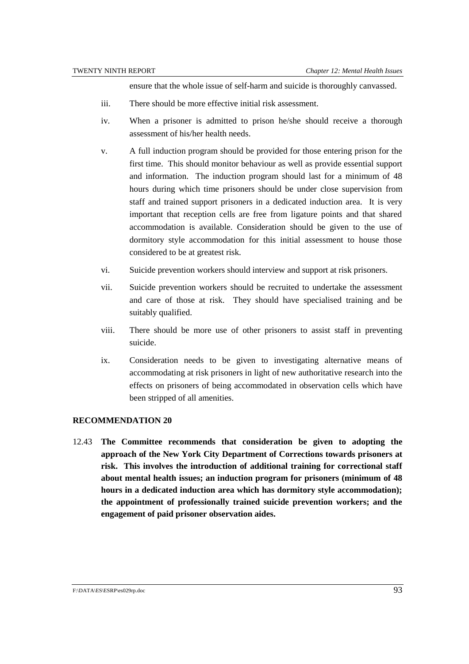ensure that the whole issue of self-harm and suicide is thoroughly canvassed.

- iii. There should be more effective initial risk assessment.
- iv. When a prisoner is admitted to prison he/she should receive a thorough assessment of his/her health needs.
- v. A full induction program should be provided for those entering prison for the first time. This should monitor behaviour as well as provide essential support and information. The induction program should last for a minimum of 48 hours during which time prisoners should be under close supervision from staff and trained support prisoners in a dedicated induction area. It is very important that reception cells are free from ligature points and that shared accommodation is available. Consideration should be given to the use of dormitory style accommodation for this initial assessment to house those considered to be at greatest risk.
- vi. Suicide prevention workers should interview and support at risk prisoners.
- vii. Suicide prevention workers should be recruited to undertake the assessment and care of those at risk. They should have specialised training and be suitably qualified.
- viii. There should be more use of other prisoners to assist staff in preventing suicide.
- ix. Consideration needs to be given to investigating alternative means of accommodating at risk prisoners in light of new authoritative research into the effects on prisoners of being accommodated in observation cells which have been stripped of all amenities.

#### **RECOMMENDATION 20**

12.43 **The Committee recommends that consideration be given to adopting the approach of the New York City Department of Corrections towards prisoners at risk. This involves the introduction of additional training for correctional staff about mental health issues; an induction program for prisoners (minimum of 48 hours in a dedicated induction area which has dormitory style accommodation); the appointment of professionally trained suicide prevention workers; and the engagement of paid prisoner observation aides.**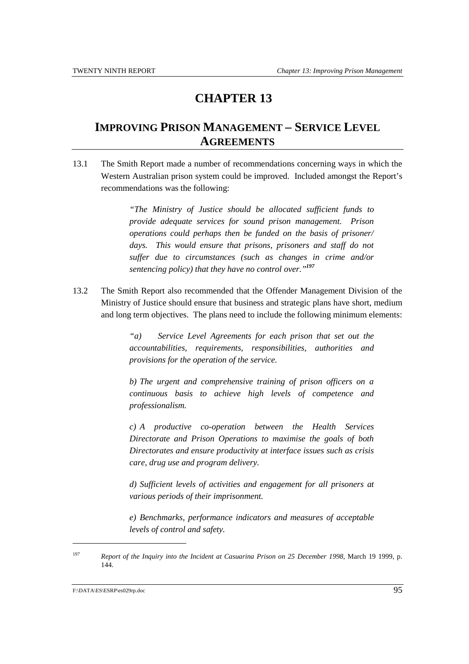# **CHAPTER 13**

# **IMPROVING PRISON MANAGEMENT – SERVICE LEVEL AGREEMENTS**

13.1 The Smith Report made a number of recommendations concerning ways in which the Western Australian prison system could be improved. Included amongst the Report's recommendations was the following:

> *"The Ministry of Justice should be allocated sufficient funds to provide adequate services for sound prison management. Prison operations could perhaps then be funded on the basis of prisoner/ days. This would ensure that prisons, prisoners and staff do not suffer due to circumstances (such as changes in crime and/or sentencing policy) that they have no control over."<sup>197</sup>*

13.2 The Smith Report also recommended that the Offender Management Division of the Ministry of Justice should ensure that business and strategic plans have short, medium and long term objectives. The plans need to include the following minimum elements:

> *"a) Service Level Agreements for each prison that set out the accountabilities, requirements, responsibilities, authorities and provisions for the operation of the service.*

> *b) The urgent and comprehensive training of prison officers on a continuous basis to achieve high levels of competence and professionalism.*

> *c) A productive co-operation between the Health Services Directorate and Prison Operations to maximise the goals of both Directorates and ensure productivity at interface issues such as crisis care, drug use and program delivery.*

> *d) Sufficient levels of activities and engagement for all prisoners at various periods of their imprisonment.*

> *e) Benchmarks, performance indicators and measures of acceptable levels of control and safety.*

<sup>197</sup> *Report of the Inquiry into the Incident at Casuarina Prison on 25 December 1998*, March 19 1999, p. 144.

F:\DATA\ES\ESRP\es029rp.doc 95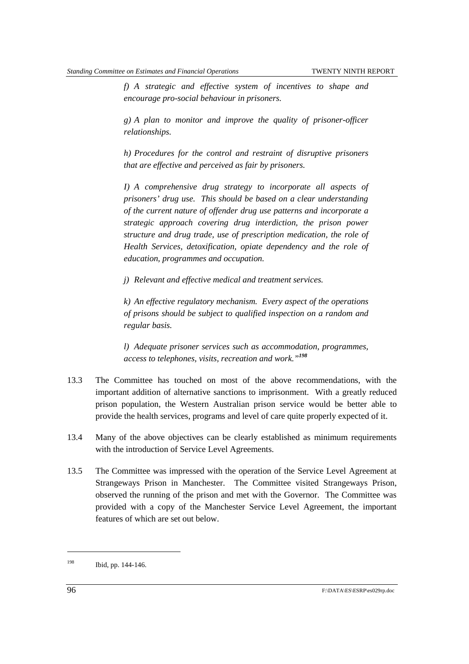*f) A strategic and effective system of incentives to shape and encourage pro-social behaviour in prisoners.*

*g) A plan to monitor and improve the quality of prisoner-officer relationships.*

*h) Procedures for the control and restraint of disruptive prisoners that are effective and perceived as fair by prisoners.*

*I) A comprehensive drug strategy to incorporate all aspects of prisoners' drug use. This should be based on a clear understanding of the current nature of offender drug use patterns and incorporate a strategic approach covering drug interdiction, the prison power structure and drug trade, use of prescription medication, the role of Health Services, detoxification, opiate dependency and the role of education, programmes and occupation.*

*j) Relevant and effective medical and treatment services.*

*k) An effective regulatory mechanism. Every aspect of the operations of prisons should be subject to qualified inspection on a random and regular basis.*

*l) Adequate prisoner services such as accommodation, programmes, access to telephones, visits, recreation and work."<sup>198</sup>*

- 13.3 The Committee has touched on most of the above recommendations, with the important addition of alternative sanctions to imprisonment. With a greatly reduced prison population, the Western Australian prison service would be better able to provide the health services, programs and level of care quite properly expected of it.
- 13.4 Many of the above objectives can be clearly established as minimum requirements with the introduction of Service Level Agreements.
- 13.5 The Committee was impressed with the operation of the Service Level Agreement at Strangeways Prison in Manchester. The Committee visited Strangeways Prison, observed the running of the prison and met with the Governor. The Committee was provided with a copy of the Manchester Service Level Agreement, the important features of which are set out below.

<sup>198</sup> Ibid, pp. 144-146.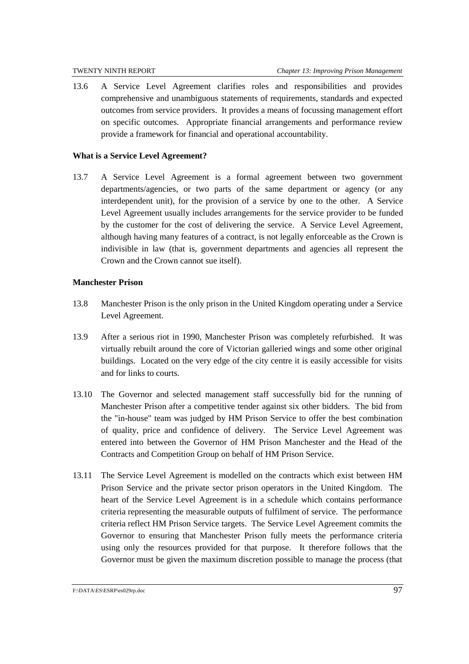13.6 A Service Level Agreement clarifies roles and responsibilities and provides comprehensive and unambiguous statements of requirements, standards and expected outcomes from service providers. It provides a means of focussing management effort on specific outcomes. Appropriate financial arrangements and performance review provide a framework for financial and operational accountability.

## **What is a Service Level Agreement?**

13.7 A Service Level Agreement is a formal agreement between two government departments/agencies, or two parts of the same department or agency (or any interdependent unit), for the provision of a service by one to the other. A Service Level Agreement usually includes arrangements for the service provider to be funded by the customer for the cost of delivering the service. A Service Level Agreement, although having many features of a contract, is not legally enforceable as the Crown is indivisible in law (that is, government departments and agencies all represent the Crown and the Crown cannot sue itself).

## **Manchester Prison**

- 13.8 Manchester Prison is the only prison in the United Kingdom operating under a Service Level Agreement.
- 13.9 After a serious riot in 1990, Manchester Prison was completely refurbished. It was virtually rebuilt around the core of Victorian galleried wings and some other original buildings. Located on the very edge of the city centre it is easily accessible for visits and for links to courts.
- 13.10 The Governor and selected management staff successfully bid for the running of Manchester Prison after a competitive tender against six other bidders. The bid from the "in-house" team was judged by HM Prison Service to offer the best combination of quality, price and confidence of delivery. The Service Level Agreement was entered into between the Governor of HM Prison Manchester and the Head of the Contracts and Competition Group on behalf of HM Prison Service.
- 13.11 The Service Level Agreement is modelled on the contracts which exist between HM Prison Service and the private sector prison operators in the United Kingdom. The heart of the Service Level Agreement is in a schedule which contains performance criteria representing the measurable outputs of fulfilment of service. The performance criteria reflect HM Prison Service targets. The Service Level Agreement commits the Governor to ensuring that Manchester Prison fully meets the performance criteria using only the resources provided for that purpose. It therefore follows that the Governor must be given the maximum discretion possible to manage the process (that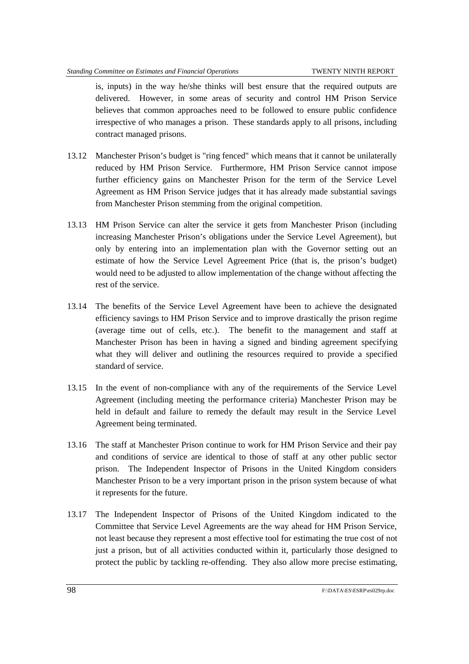is, inputs) in the way he/she thinks will best ensure that the required outputs are delivered. However, in some areas of security and control HM Prison Service believes that common approaches need to be followed to ensure public confidence irrespective of who manages a prison. These standards apply to all prisons, including contract managed prisons.

- 13.12 Manchester Prison's budget is "ring fenced" which means that it cannot be unilaterally reduced by HM Prison Service. Furthermore, HM Prison Service cannot impose further efficiency gains on Manchester Prison for the term of the Service Level Agreement as HM Prison Service judges that it has already made substantial savings from Manchester Prison stemming from the original competition.
- 13.13 HM Prison Service can alter the service it gets from Manchester Prison (including increasing Manchester Prison's obligations under the Service Level Agreement), but only by entering into an implementation plan with the Governor setting out an estimate of how the Service Level Agreement Price (that is, the prison's budget) would need to be adjusted to allow implementation of the change without affecting the rest of the service.
- 13.14 The benefits of the Service Level Agreement have been to achieve the designated efficiency savings to HM Prison Service and to improve drastically the prison regime (average time out of cells, etc.). The benefit to the management and staff at Manchester Prison has been in having a signed and binding agreement specifying what they will deliver and outlining the resources required to provide a specified standard of service.
- 13.15 In the event of non-compliance with any of the requirements of the Service Level Agreement (including meeting the performance criteria) Manchester Prison may be held in default and failure to remedy the default may result in the Service Level Agreement being terminated.
- 13.16 The staff at Manchester Prison continue to work for HM Prison Service and their pay and conditions of service are identical to those of staff at any other public sector prison. The Independent Inspector of Prisons in the United Kingdom considers Manchester Prison to be a very important prison in the prison system because of what it represents for the future.
- 13.17 The Independent Inspector of Prisons of the United Kingdom indicated to the Committee that Service Level Agreements are the way ahead for HM Prison Service, not least because they represent a most effective tool for estimating the true cost of not just a prison, but of all activities conducted within it, particularly those designed to protect the public by tackling re-offending. They also allow more precise estimating,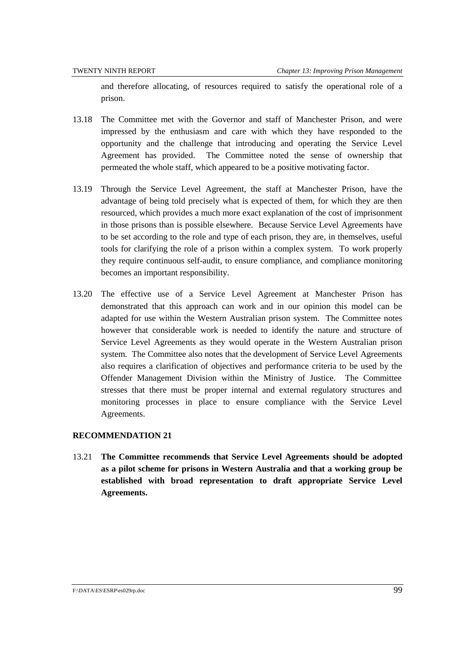and therefore allocating, of resources required to satisfy the operational role of a prison.

- 13.18 The Committee met with the Governor and staff of Manchester Prison, and were impressed by the enthusiasm and care with which they have responded to the opportunity and the challenge that introducing and operating the Service Level Agreement has provided. The Committee noted the sense of ownership that permeated the whole staff, which appeared to be a positive motivating factor.
- 13.19 Through the Service Level Agreement, the staff at Manchester Prison, have the advantage of being told precisely what is expected of them, for which they are then resourced, which provides a much more exact explanation of the cost of imprisonment in those prisons than is possible elsewhere. Because Service Level Agreements have to be set according to the role and type of each prison, they are, in themselves, useful tools for clarifying the role of a prison within a complex system. To work properly they require continuous self-audit, to ensure compliance, and compliance monitoring becomes an important responsibility.
- 13.20 The effective use of a Service Level Agreement at Manchester Prison has demonstrated that this approach can work and in our opinion this model can be adapted for use within the Western Australian prison system. The Committee notes however that considerable work is needed to identify the nature and structure of Service Level Agreements as they would operate in the Western Australian prison system. The Committee also notes that the development of Service Level Agreements also requires a clarification of objectives and performance criteria to be used by the Offender Management Division within the Ministry of Justice. The Committee stresses that there must be proper internal and external regulatory structures and monitoring processes in place to ensure compliance with the Service Level Agreements.

## **RECOMMENDATION 21**

13.21 **The Committee recommends that Service Level Agreements should be adopted as a pilot scheme for prisons in Western Australia and that a working group be established with broad representation to draft appropriate Service Level Agreements.**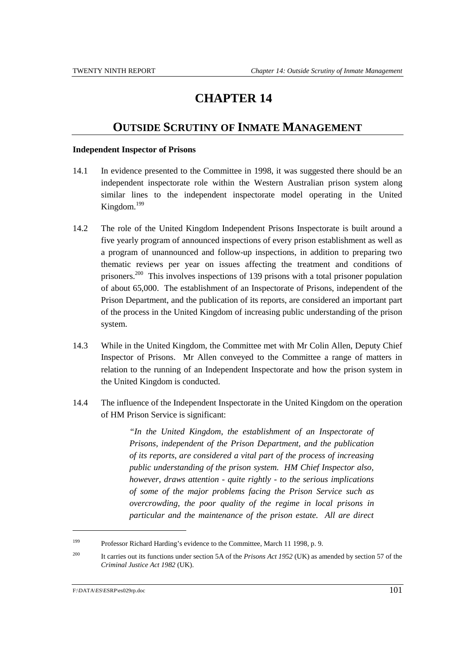## **CHAPTER 14**

## **OUTSIDE SCRUTINY OF INMATE MANAGEMENT**

#### **Independent Inspector of Prisons**

- 14.1 In evidence presented to the Committee in 1998, it was suggested there should be an independent inspectorate role within the Western Australian prison system along similar lines to the independent inspectorate model operating in the United Kingdom.199
- 14.2 The role of the United Kingdom Independent Prisons Inspectorate is built around a five yearly program of announced inspections of every prison establishment as well as a program of unannounced and follow-up inspections, in addition to preparing two thematic reviews per year on issues affecting the treatment and conditions of prisoners.<sup>200</sup> This involves inspections of 139 prisons with a total prisoner population of about 65,000. The establishment of an Inspectorate of Prisons, independent of the Prison Department, and the publication of its reports, are considered an important part of the process in the United Kingdom of increasing public understanding of the prison system.
- 14.3 While in the United Kingdom, the Committee met with Mr Colin Allen, Deputy Chief Inspector of Prisons. Mr Allen conveyed to the Committee a range of matters in relation to the running of an Independent Inspectorate and how the prison system in the United Kingdom is conducted.
- 14.4 The influence of the Independent Inspectorate in the United Kingdom on the operation of HM Prison Service is significant:

*"In the United Kingdom, the establishment of an Inspectorate of Prisons, independent of the Prison Department, and the publication of its reports, are considered a vital part of the process of increasing public understanding of the prison system. HM Chief Inspector also, however, draws attention - quite rightly - to the serious implications of some of the major problems facing the Prison Service such as overcrowding, the poor quality of the regime in local prisons in particular and the maintenance of the prison estate. All are direct*

<sup>199</sup> Professor Richard Harding's evidence to the Committee, March 11 1998, p. 9.

<sup>200</sup> It carries out its functions under section 5A of the *Prisons Act 1952* (UK) as amended by section 57 of the *Criminal Justice Act 1982* (UK).

F:\DATA\ES\ESRP\es029rp.doc  $101$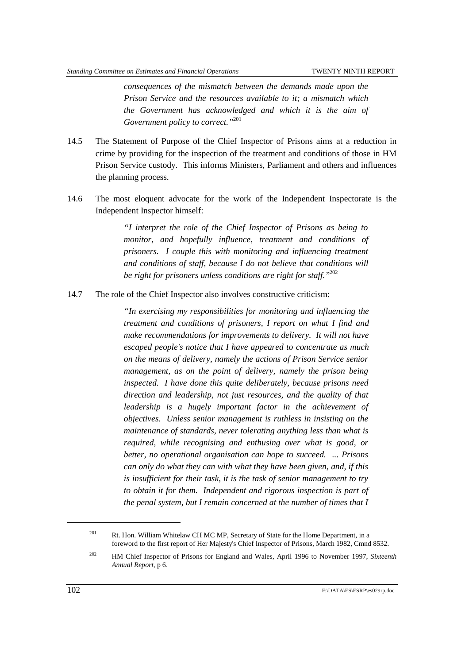*consequences of the mismatch between the demands made upon the Prison Service and the resources available to it; a mismatch which the Government has acknowledged and which it is the aim of Government policy to correct."*<sup>201</sup>

- 14.5 The Statement of Purpose of the Chief Inspector of Prisons aims at a reduction in crime by providing for the inspection of the treatment and conditions of those in HM Prison Service custody. This informs Ministers, Parliament and others and influences the planning process.
- 14.6 The most eloquent advocate for the work of the Independent Inspectorate is the Independent Inspector himself:

*"I interpret the role of the Chief Inspector of Prisons as being to monitor, and hopefully influence, treatment and conditions of prisoners. I couple this with monitoring and influencing treatment and conditions of staff, because I do not believe that conditions will be right for prisoners unless conditions are right for staff."*<sup>202</sup>

14.7 The role of the Chief Inspector also involves constructive criticism:

*"In exercising my responsibilities for monitoring and influencing the treatment and conditions of prisoners, I report on what I find and make recommendations for improvements to delivery. It will not have escaped people's notice that I have appeared to concentrate as much on the means of delivery, namely the actions of Prison Service senior management, as on the point of delivery, namely the prison being inspected. I have done this quite deliberately, because prisons need direction and leadership, not just resources, and the quality of that leadership is a hugely important factor in the achievement of objectives. Unless senior management is ruthless in insisting on the maintenance of standards, never tolerating anything less than what is required, while recognising and enthusing over what is good, or better, no operational organisation can hope to succeed. ... Prisons can only do what they can with what they have been given, and, if this is insufficient for their task, it is the task of senior management to try to obtain it for them. Independent and rigorous inspection is part of the penal system, but I remain concerned at the number of times that I*

l

<sup>&</sup>lt;sup>201</sup> Rt. Hon. William Whitelaw CH MC MP, Secretary of State for the Home Department, in a foreword to the first report of Her Majesty's Chief Inspector of Prisons, March 1982, Cmnd 8532.

<sup>202</sup> HM Chief Inspector of Prisons for England and Wales, April 1996 to November 1997, *Sixteenth Annual Report*, p 6.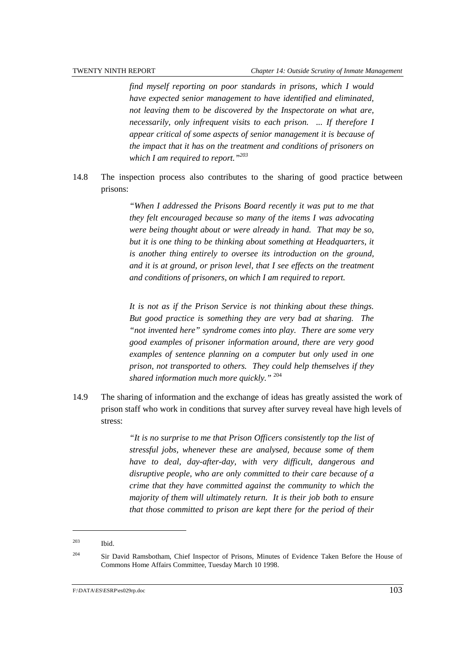*find myself reporting on poor standards in prisons, which I would have expected senior management to have identified and eliminated, not leaving them to be discovered by the Inspectorate on what are, necessarily, only infrequent visits to each prison. ... If therefore I appear critical of some aspects of senior management it is because of the impact that it has on the treatment and conditions of prisoners on which I am required to report."203*

14.8 The inspection process also contributes to the sharing of good practice between prisons:

> *"When I addressed the Prisons Board recently it was put to me that they felt encouraged because so many of the items I was advocating were being thought about or were already in hand. That may be so, but it is one thing to be thinking about something at Headquarters, it is another thing entirely to oversee its introduction on the ground, and it is at ground, or prison level, that I see effects on the treatment and conditions of prisoners, on which I am required to report.*

> *It is not as if the Prison Service is not thinking about these things. But good practice is something they are very bad at sharing. The "not invented here" syndrome comes into play. There are some very good examples of prisoner information around, there are very good examples of sentence planning on a computer but only used in one prison, not transported to others. They could help themselves if they shared information much more quickly."* <sup>204</sup>

14.9 The sharing of information and the exchange of ideas has greatly assisted the work of prison staff who work in conditions that survey after survey reveal have high levels of stress:

> *"It is no surprise to me that Prison Officers consistently top the list of stressful jobs, whenever these are analysed, because some of them have to deal, day-after-day, with very difficult, dangerous and disruptive people, who are only committed to their care because of a crime that they have committed against the community to which the majority of them will ultimately return. It is their job both to ensure that those committed to prison are kept there for the period of their*

<sup>203</sup> Ibid.

<sup>&</sup>lt;sup>204</sup> Sir David Ramsbotham, Chief Inspector of Prisons, Minutes of Evidence Taken Before the House of Commons Home Affairs Committee, Tuesday March 10 1998.

F:\DATA\ES\ESRP\es029rp.doc 103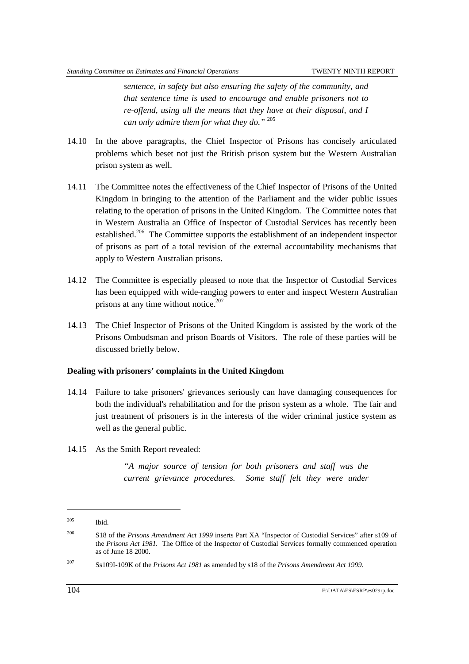*sentence, in safety but also ensuring the safety of the community, and that sentence time is used to encourage and enable prisoners not to re-offend, using all the means that they have at their disposal, and I can only admire them for what they do."* <sup>205</sup>

- 14.10 In the above paragraphs, the Chief Inspector of Prisons has concisely articulated problems which beset not just the British prison system but the Western Australian prison system as well.
- 14.11 The Committee notes the effectiveness of the Chief Inspector of Prisons of the United Kingdom in bringing to the attention of the Parliament and the wider public issues relating to the operation of prisons in the United Kingdom. The Committee notes that in Western Australia an Office of Inspector of Custodial Services has recently been established.<sup>206</sup> The Committee supports the establishment of an independent inspector of prisons as part of a total revision of the external accountability mechanisms that apply to Western Australian prisons.
- 14.12 The Committee is especially pleased to note that the Inspector of Custodial Services has been equipped with wide-ranging powers to enter and inspect Western Australian prisons at any time without notice.<sup>207</sup>
- 14.13 The Chief Inspector of Prisons of the United Kingdom is assisted by the work of the Prisons Ombudsman and prison Boards of Visitors. The role of these parties will be discussed briefly below.

#### **Dealing with prisoners' complaints in the United Kingdom**

- 14.14 Failure to take prisoners' grievances seriously can have damaging consequences for both the individual's rehabilitation and for the prison system as a whole. The fair and just treatment of prisoners is in the interests of the wider criminal justice system as well as the general public.
- 14.15 As the Smith Report revealed:

*"A major source of tension for both prisoners and staff was the current grievance procedures. Some staff felt they were under*

<sup>205</sup> Ibid.

<sup>206</sup> S18 of the *Prisons Amendment Act 1999* inserts Part XA "Inspector of Custodial Services" after s109 of the *Prisons Act 1981.* The Office of the Inspector of Custodial Services formally commenced operation as of June 18 2000.

<sup>207</sup> Ss109I-109K of the *Prisons Act 1981* as amended by s18 of the *Prisons Amendment Act 1999*.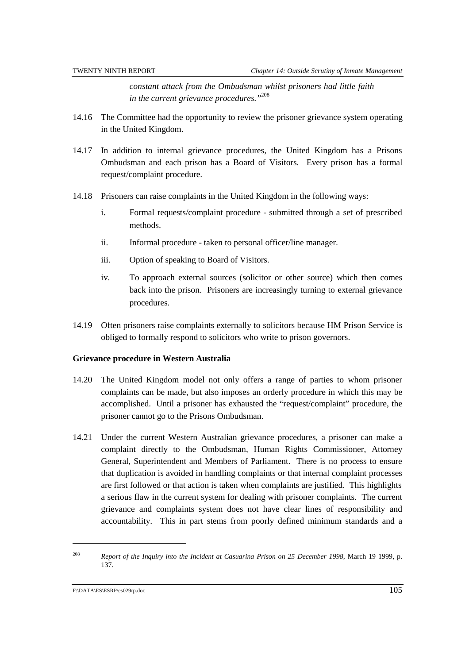*constant attack from the Ombudsman whilst prisoners had little faith in the current grievance procedures."*<sup>208</sup>

- 14.16 The Committee had the opportunity to review the prisoner grievance system operating in the United Kingdom.
- 14.17 In addition to internal grievance procedures, the United Kingdom has a Prisons Ombudsman and each prison has a Board of Visitors. Every prison has a formal request/complaint procedure.
- 14.18 Prisoners can raise complaints in the United Kingdom in the following ways:
	- i. Formal requests/complaint procedure submitted through a set of prescribed methods.
	- ii. Informal procedure taken to personal officer/line manager.
	- iii. Option of speaking to Board of Visitors.
	- iv. To approach external sources (solicitor or other source) which then comes back into the prison. Prisoners are increasingly turning to external grievance procedures.
- 14.19 Often prisoners raise complaints externally to solicitors because HM Prison Service is obliged to formally respond to solicitors who write to prison governors.

#### **Grievance procedure in Western Australia**

- 14.20 The United Kingdom model not only offers a range of parties to whom prisoner complaints can be made, but also imposes an orderly procedure in which this may be accomplished. Until a prisoner has exhausted the "request/complaint" procedure, the prisoner cannot go to the Prisons Ombudsman.
- 14.21 Under the current Western Australian grievance procedures, a prisoner can make a complaint directly to the Ombudsman, Human Rights Commissioner, Attorney General, Superintendent and Members of Parliament. There is no process to ensure that duplication is avoided in handling complaints or that internal complaint processes are first followed or that action is taken when complaints are justified. This highlights a serious flaw in the current system for dealing with prisoner complaints. The current grievance and complaints system does not have clear lines of responsibility and accountability. This in part stems from poorly defined minimum standards and a

<sup>208</sup> *Report of the Inquiry into the Incident at Casuarina Prison on 25 December 1998*, March 19 1999, p. 137.

F:\DATA\ES\ESRP\es029rp.doc 105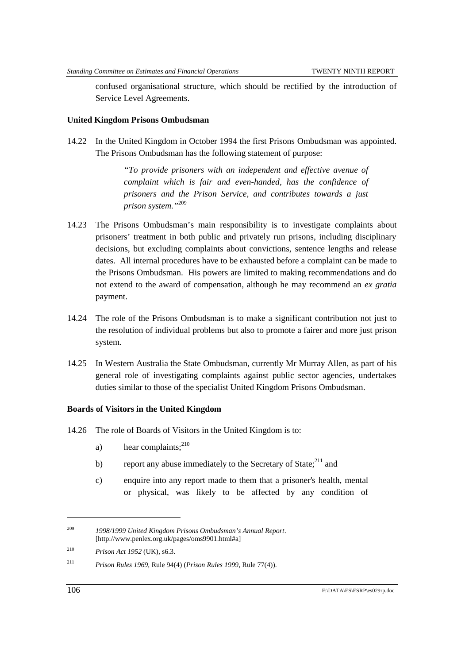confused organisational structure, which should be rectified by the introduction of Service Level Agreements.

#### **United Kingdom Prisons Ombudsman**

14.22 In the United Kingdom in October 1994 the first Prisons Ombudsman was appointed. The Prisons Ombudsman has the following statement of purpose:

> *"To provide prisoners with an independent and effective avenue of complaint which is fair and even-handed, has the confidence of prisoners and the Prison Service, and contributes towards a just prison system."*<sup>209</sup>

- 14.23 The Prisons Ombudsman's main responsibility is to investigate complaints about prisoners' treatment in both public and privately run prisons, including disciplinary decisions, but excluding complaints about convictions, sentence lengths and release dates. All internal procedures have to be exhausted before a complaint can be made to the Prisons Ombudsman. His powers are limited to making recommendations and do not extend to the award of compensation, although he may recommend an *ex gratia* payment.
- 14.24 The role of the Prisons Ombudsman is to make a significant contribution not just to the resolution of individual problems but also to promote a fairer and more just prison system.
- 14.25 In Western Australia the State Ombudsman, currently Mr Murray Allen, as part of his general role of investigating complaints against public sector agencies, undertakes duties similar to those of the specialist United Kingdom Prisons Ombudsman.

#### **Boards of Visitors in the United Kingdom**

- 14.26 The role of Boards of Visitors in the United Kingdom is to:
	- a) hear complaints:  $2^{10}$
	- b) report any abuse immediately to the Secretary of State; $^{211}$  and
	- c) enquire into any report made to them that a prisoner's health, mental or physical, was likely to be affected by any condition of

l

<sup>209</sup> *1998/1999 United Kingdom Prisons Ombudsman's Annual Report*. [http://www.penlex.org.uk/pages/oms9901.html#a]

<sup>210</sup> *Prison Act 1952* (UK), s6.3.

<sup>211</sup> *Prison Rules 1969*, Rule 94(4) (*Prison Rules 1999*, Rule 77(4)).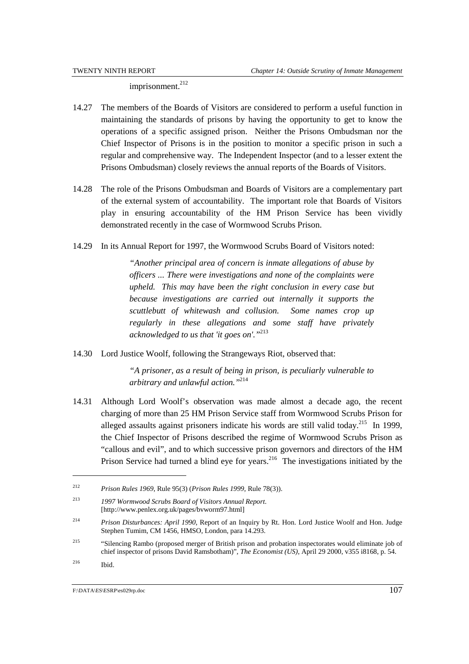imprisonment.<sup>212</sup>

- 14.27 The members of the Boards of Visitors are considered to perform a useful function in maintaining the standards of prisons by having the opportunity to get to know the operations of a specific assigned prison. Neither the Prisons Ombudsman nor the Chief Inspector of Prisons is in the position to monitor a specific prison in such a regular and comprehensive way. The Independent Inspector (and to a lesser extent the Prisons Ombudsman) closely reviews the annual reports of the Boards of Visitors.
- 14.28 The role of the Prisons Ombudsman and Boards of Visitors are a complementary part of the external system of accountability. The important role that Boards of Visitors play in ensuring accountability of the HM Prison Service has been vividly demonstrated recently in the case of Wormwood Scrubs Prison.
- 14.29 In its Annual Report for 1997, the Wormwood Scrubs Board of Visitors noted:

*"Another principal area of concern is inmate allegations of abuse by officers ... There were investigations and none of the complaints were upheld. This may have been the right conclusion in every case but because investigations are carried out internally it supports the scuttlebutt of whitewash and collusion. Some names crop up regularly in these allegations and some staff have privately acknowledged to us that 'it goes on'."*<sup>213</sup>

14.30 Lord Justice Woolf, following the Strangeways Riot, observed that:

*"A prisoner, as a result of being in prison, is peculiarly vulnerable to arbitrary and unlawful action."*<sup>214</sup>

14.31 Although Lord Woolf's observation was made almost a decade ago, the recent charging of more than 25 HM Prison Service staff from Wormwood Scrubs Prison for alleged assaults against prisoners indicate his words are still valid today.<sup>215</sup> In 1999, the Chief Inspector of Prisons described the regime of Wormwood Scrubs Prison as "callous and evil", and to which successive prison governors and directors of the HM Prison Service had turned a blind eye for years.<sup>216</sup> The investigations initiated by the

<sup>212</sup> *Prison Rules 1969*, Rule 95(3) (*Prison Rules 1999*, Rule 78(3)).

<sup>213</sup> *1997 Wormwood Scrubs Board of Visitors Annual Report*. [http://www.penlex.org.uk/pages/bvworm97.html]

<sup>214</sup> *Prison Disturbances: April 1990*, Report of an Inquiry by Rt. Hon. Lord Justice Woolf and Hon. Judge Stephen Tumim, CM 1456, HMSO, London, para 14.293.

<sup>&</sup>lt;sup>215</sup> "Silencing Rambo (proposed merger of British prison and probation inspectorates would eliminate job of chief inspector of prisons David Ramsbotham)", *The Economist (US)*, April 29 2000, v355 i8168, p. 54. 216 Ibid.

F:\DATA\ES\ESRP\es029rp.doc  $107$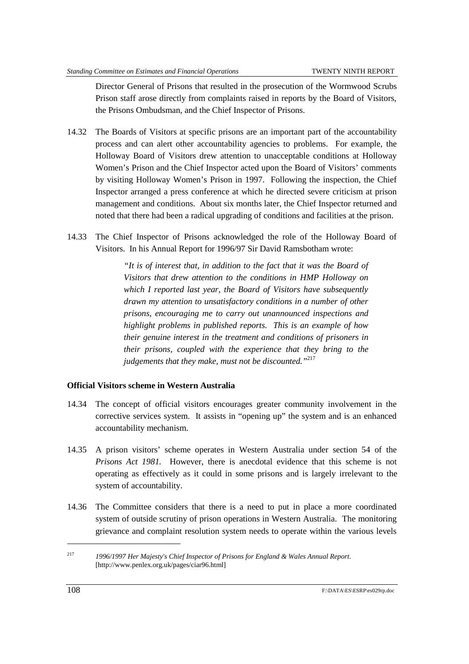Director General of Prisons that resulted in the prosecution of the Wormwood Scrubs Prison staff arose directly from complaints raised in reports by the Board of Visitors, the Prisons Ombudsman, and the Chief Inspector of Prisons.

- 14.32 The Boards of Visitors at specific prisons are an important part of the accountability process and can alert other accountability agencies to problems. For example, the Holloway Board of Visitors drew attention to unacceptable conditions at Holloway Women's Prison and the Chief Inspector acted upon the Board of Visitors' comments by visiting Holloway Women's Prison in 1997. Following the inspection, the Chief Inspector arranged a press conference at which he directed severe criticism at prison management and conditions. About six months later, the Chief Inspector returned and noted that there had been a radical upgrading of conditions and facilities at the prison.
- 14.33 The Chief Inspector of Prisons acknowledged the role of the Holloway Board of Visitors. In his Annual Report for 1996/97 Sir David Ramsbotham wrote:

*"It is of interest that, in addition to the fact that it was the Board of Visitors that drew attention to the conditions in HMP Holloway on which I reported last year, the Board of Visitors have subsequently drawn my attention to unsatisfactory conditions in a number of other prisons, encouraging me to carry out unannounced inspections and highlight problems in published reports. This is an example of how their genuine interest in the treatment and conditions of prisoners in their prisons, coupled with the experience that they bring to the judgements that they make, must not be discounted."*<sup>217</sup>

#### **Official Visitors scheme in Western Australia**

- 14.34 The concept of official visitors encourages greater community involvement in the corrective services system. It assists in "opening up" the system and is an enhanced accountability mechanism.
- 14.35 A prison visitors' scheme operates in Western Australia under section 54 of the *Prisons Act 1981.* However, there is anecdotal evidence that this scheme is not operating as effectively as it could in some prisons and is largely irrelevant to the system of accountability.
- 14.36 The Committee considers that there is a need to put in place a more coordinated system of outside scrutiny of prison operations in Western Australia. The monitoring grievance and complaint resolution system needs to operate within the various levels

<sup>217</sup> *1996/1997 Her Majesty's Chief Inspector of Prisons for England & Wales Annual Report*. [http://www.penlex.org.uk/pages/ciar96.html]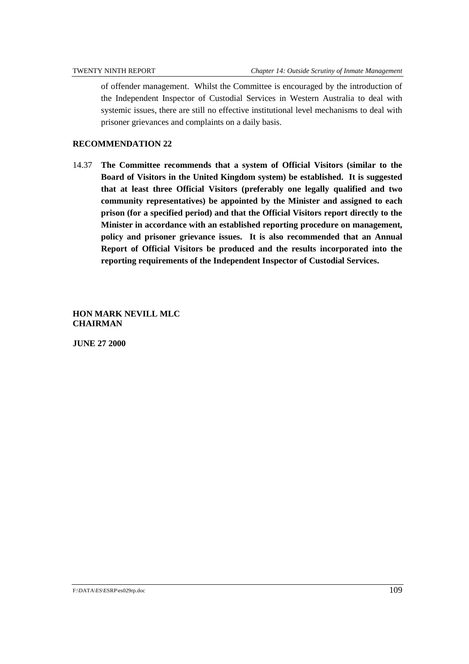of offender management. Whilst the Committee is encouraged by the introduction of the Independent Inspector of Custodial Services in Western Australia to deal with systemic issues, there are still no effective institutional level mechanisms to deal with prisoner grievances and complaints on a daily basis.

### **RECOMMENDATION 22**

14.37 **The Committee recommends that a system of Official Visitors (similar to the Board of Visitors in the United Kingdom system) be established. It is suggested that at least three Official Visitors (preferably one legally qualified and two community representatives) be appointed by the Minister and assigned to each prison (for a specified period) and that the Official Visitors report directly to the Minister in accordance with an established reporting procedure on management, policy and prisoner grievance issues. It is also recommended that an Annual Report of Official Visitors be produced and the results incorporated into the reporting requirements of the Independent Inspector of Custodial Services.**

**HON MARK NEVILL MLC CHAIRMAN**

**JUNE 27 2000**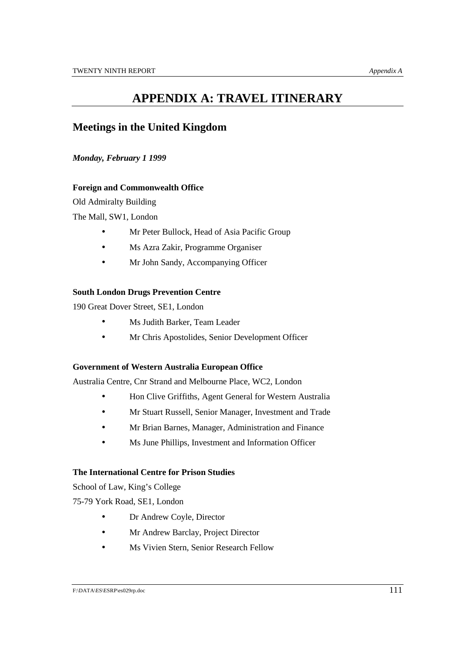## **APPENDIX A: TRAVEL ITINERARY**

### **Meetings in the United Kingdom**

#### *Monday, February 1 1999*

#### **Foreign and Commonwealth Office**

Old Admiralty Building

The Mall, SW1, London

- Mr Peter Bullock, Head of Asia Pacific Group
- Ms Azra Zakir, Programme Organiser
- Mr John Sandy, Accompanying Officer

#### **South London Drugs Prevention Centre**

190 Great Dover Street, SE1, London

- Ms Judith Barker, Team Leader
- Mr Chris Apostolides, Senior Development Officer

#### **Government of Western Australia European Office**

Australia Centre, Cnr Strand and Melbourne Place, WC2, London

- Hon Clive Griffiths, Agent General for Western Australia
- Mr Stuart Russell, Senior Manager, Investment and Trade
- Mr Brian Barnes, Manager, Administration and Finance
- Ms June Phillips, Investment and Information Officer

#### **The International Centre for Prison Studies**

School of Law, King's College

75-79 York Road, SE1, London

- Dr Andrew Coyle, Director
- Mr Andrew Barclay, Project Director
- Ms Vivien Stern, Senior Research Fellow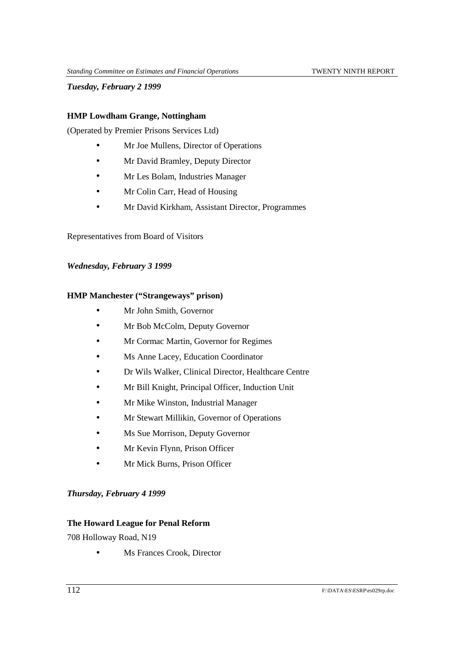*Tuesday, February 2 1999*

#### **HMP Lowdham Grange, Nottingham**

(Operated by Premier Prisons Services Ltd)

- Mr Joe Mullens, Director of Operations
- Mr David Bramley, Deputy Director
- Mr Les Bolam, Industries Manager
- Mr Colin Carr, Head of Housing
- Mr David Kirkham, Assistant Director, Programmes

#### Representatives from Board of Visitors

#### *Wednesday, February 3 1999*

#### **HMP Manchester ("Strangeways" prison)**

- Mr John Smith, Governor
- Mr Bob McColm, Deputy Governor
- Mr Cormac Martin, Governor for Regimes
- Ms Anne Lacey, Education Coordinator
- Dr Wils Walker, Clinical Director, Healthcare Centre
- Mr Bill Knight, Principal Officer, Induction Unit
- Mr Mike Winston, Industrial Manager
- Mr Stewart Millikin, Governor of Operations
- Ms Sue Morrison, Deputy Governor
- Mr Kevin Flynn, Prison Officer
- Mr Mick Burns, Prison Officer

#### *Thursday, February 4 1999*

#### **The Howard League for Penal Reform**

708 Holloway Road, N19

• Ms Frances Crook, Director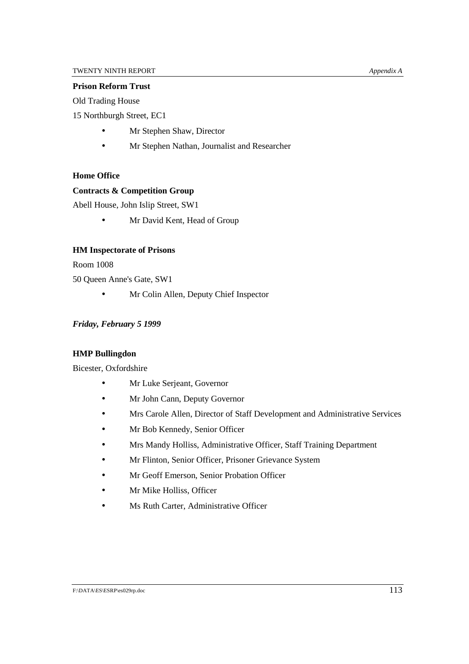#### **Prison Reform Trust**

Old Trading House

15 Northburgh Street, EC1

- Mr Stephen Shaw, Director
- Mr Stephen Nathan, Journalist and Researcher

#### **Home Office**

#### **Contracts & Competition Group**

Abell House, John Islip Street, SW1

• Mr David Kent, Head of Group

#### **HM Inspectorate of Prisons**

Room 1008

50 Queen Anne's Gate, SW1

• Mr Colin Allen, Deputy Chief Inspector

#### *Friday, February 5 1999*

#### **HMP Bullingdon**

Bicester, Oxfordshire

- Mr Luke Serjeant, Governor
- Mr John Cann, Deputy Governor
- Mrs Carole Allen, Director of Staff Development and Administrative Services
- Mr Bob Kennedy, Senior Officer
- Mrs Mandy Holliss, Administrative Officer, Staff Training Department
- Mr Flinton, Senior Officer, Prisoner Grievance System
- Mr Geoff Emerson, Senior Probation Officer
- Mr Mike Holliss, Officer
- Ms Ruth Carter, Administrative Officer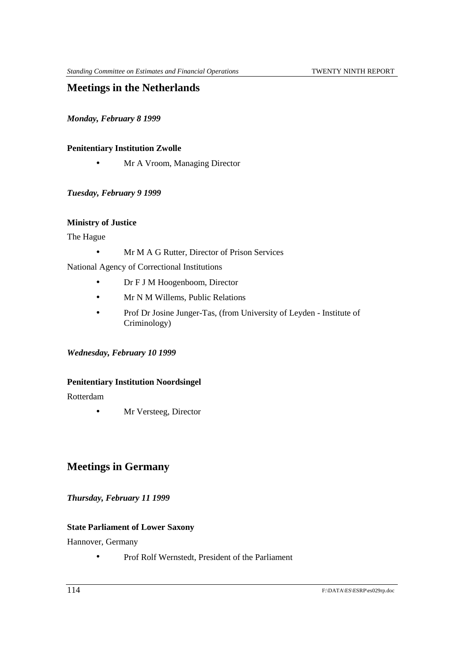### **Meetings in the Netherlands**

*Monday, February 8 1999*

#### **Penitentiary Institution Zwolle**

• Mr A Vroom, Managing Director

#### *Tuesday, February 9 1999*

#### **Ministry of Justice**

The Hague

• Mr M A G Rutter, Director of Prison Services

National Agency of Correctional Institutions

- Dr F J M Hoogenboom, Director
- Mr N M Willems, Public Relations
- Prof Dr Josine Junger-Tas, (from University of Leyden Institute of Criminology)

#### *Wednesday, February 10 1999*

#### **Penitentiary Institution Noordsingel**

Rotterdam

• Mr Versteeg, Director

## **Meetings in Germany**

#### *Thursday, February 11 1999*

#### **State Parliament of Lower Saxony**

Hannover, Germany

• Prof Rolf Wernstedt, President of the Parliament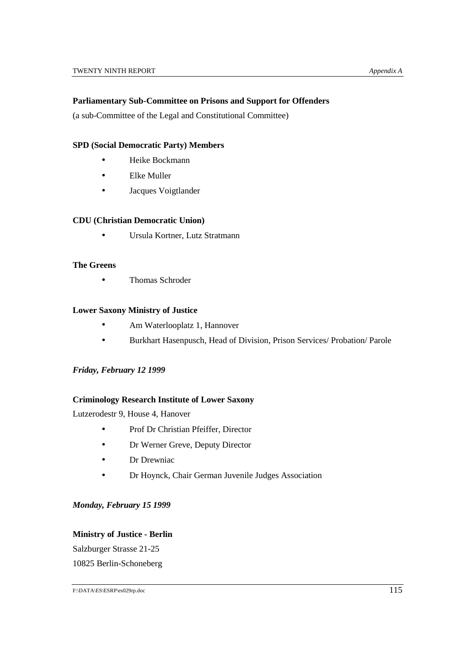#### **Parliamentary Sub-Committee on Prisons and Support for Offenders**

(a sub-Committee of the Legal and Constitutional Committee)

#### **SPD (Social Democratic Party) Members**

- Heike Bockmann
- Elke Muller
- Jacques Voigtlander

#### **CDU (Christian Democratic Union)**

• Ursula Kortner, Lutz Stratmann

#### **The Greens**

• Thomas Schroder

#### **Lower Saxony Ministry of Justice**

- Am Waterlooplatz 1, Hannover
- Burkhart Hasenpusch, Head of Division, Prison Services/ Probation/ Parole

#### *Friday, February 12 1999*

#### **Criminology Research Institute of Lower Saxony**

Lutzerodestr 9, House 4, Hanover

- Prof Dr Christian Pfeiffer, Director
- Dr Werner Greve, Deputy Director
- Dr Drewniac
- Dr Hoynck, Chair German Juvenile Judges Association

#### *Monday, February 15 1999*

#### **Ministry of Justice - Berlin**

Salzburger Strasse 21-25 10825 Berlin-Schoneberg

F:\DATA\ES\ESRP\es029rp.doc 115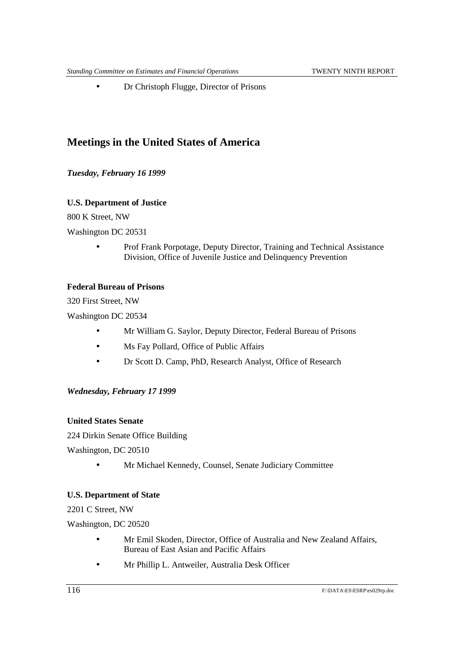• Dr Christoph Flugge, Director of Prisons

### **Meetings in the United States of America**

*Tuesday, February 16 1999*

#### **U.S. Department of Justice**

800 K Street, NW

Washington DC 20531

• Prof Frank Porpotage, Deputy Director, Training and Technical Assistance Division, Office of Juvenile Justice and Delinquency Prevention

#### **Federal Bureau of Prisons**

320 First Street, NW

Washington DC 20534

- Mr William G. Saylor, Deputy Director, Federal Bureau of Prisons
- Ms Fay Pollard, Office of Public Affairs
- Dr Scott D. Camp, PhD, Research Analyst, Office of Research

#### *Wednesday, February 17 1999*

#### **United States Senate**

224 Dirkin Senate Office Building

Washington, DC 20510

• Mr Michael Kennedy, Counsel, Senate Judiciary Committee

#### **U.S. Department of State**

2201 C Street, NW

Washington, DC 20520

- Mr Emil Skoden, Director, Office of Australia and New Zealand Affairs, Bureau of East Asian and Pacific Affairs
- Mr Phillip L. Antweiler, Australia Desk Officer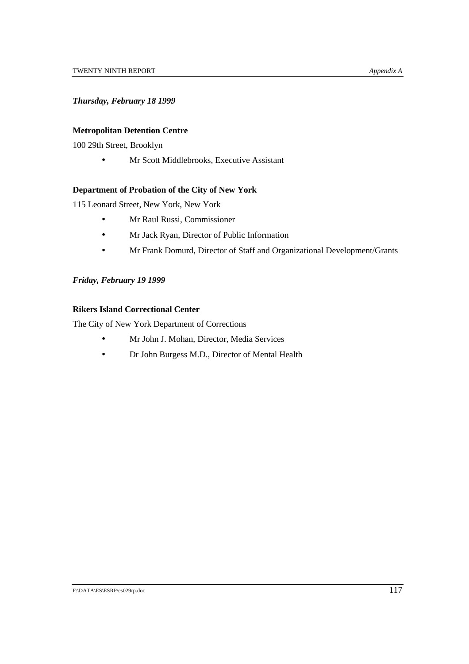#### *Thursday, February 18 1999*

#### **Metropolitan Detention Centre**

100 29th Street, Brooklyn

• Mr Scott Middlebrooks, Executive Assistant

#### **Department of Probation of the City of New York**

115 Leonard Street, New York, New York

- Mr Raul Russi, Commissioner
- Mr Jack Ryan, Director of Public Information
- Mr Frank Domurd, Director of Staff and Organizational Development/Grants

#### *Friday, February 19 1999*

### **Rikers Island Correctional Center**

The City of New York Department of Corrections

- Mr John J. Mohan, Director, Media Services
- Dr John Burgess M.D., Director of Mental Health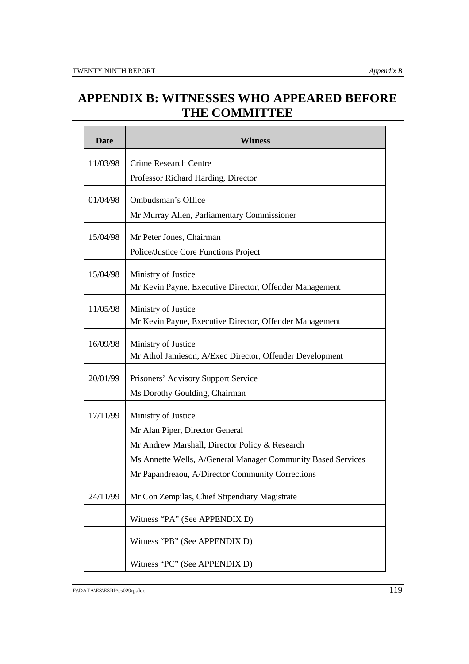# **APPENDIX B: WITNESSES WHO APPEARED BEFORE THE COMMITTEE**

| <b>Date</b> | Witness                                                                                                                                                                                                                      |
|-------------|------------------------------------------------------------------------------------------------------------------------------------------------------------------------------------------------------------------------------|
| 11/03/98    | <b>Crime Research Centre</b><br>Professor Richard Harding, Director                                                                                                                                                          |
| 01/04/98    | Ombudsman's Office<br>Mr Murray Allen, Parliamentary Commissioner                                                                                                                                                            |
| 15/04/98    | Mr Peter Jones, Chairman<br>Police/Justice Core Functions Project                                                                                                                                                            |
| 15/04/98    | Ministry of Justice<br>Mr Kevin Payne, Executive Director, Offender Management                                                                                                                                               |
| 11/05/98    | Ministry of Justice<br>Mr Kevin Payne, Executive Director, Offender Management                                                                                                                                               |
| 16/09/98    | Ministry of Justice<br>Mr Athol Jamieson, A/Exec Director, Offender Development                                                                                                                                              |
| 20/01/99    | Prisoners' Advisory Support Service<br>Ms Dorothy Goulding, Chairman                                                                                                                                                         |
| 17/11/99    | Ministry of Justice<br>Mr Alan Piper, Director General<br>Mr Andrew Marshall, Director Policy & Research<br>Ms Annette Wells, A/General Manager Community Based Services<br>Mr Papandreaou, A/Director Community Corrections |
| 24/11/99    | Mr Con Zempilas, Chief Stipendiary Magistrate                                                                                                                                                                                |
|             | Witness "PA" (See APPENDIX D)                                                                                                                                                                                                |
|             | Witness "PB" (See APPENDIX D)                                                                                                                                                                                                |
|             | Witness "PC" (See APPENDIX D)                                                                                                                                                                                                |

F:\DATA\ES\ESRP\es029rp.doc 119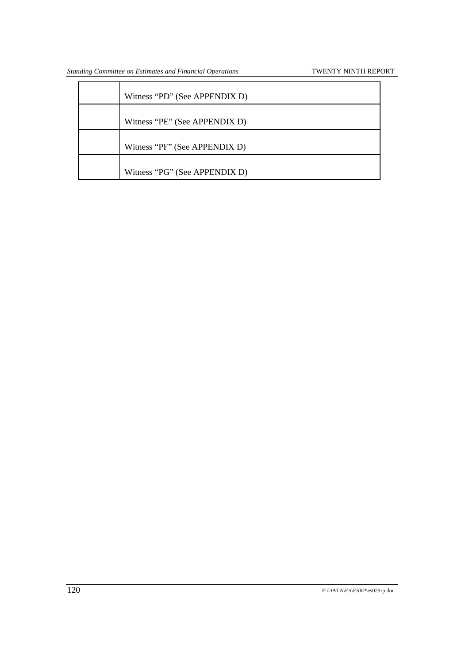| Witness "PD" (See APPENDIX D) |
|-------------------------------|
| Witness "PE" (See APPENDIX D) |
| Witness "PF" (See APPENDIX D) |
| Witness "PG" (See APPENDIX D) |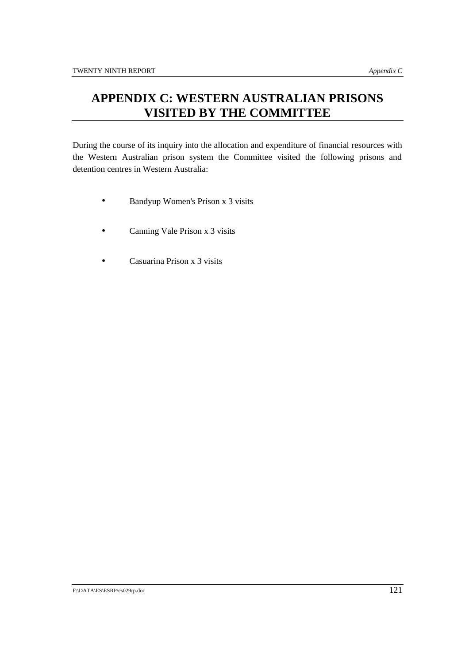# **APPENDIX C: WESTERN AUSTRALIAN PRISONS VISITED BY THE COMMITTEE**

During the course of its inquiry into the allocation and expenditure of financial resources with the Western Australian prison system the Committee visited the following prisons and detention centres in Western Australia:

- Bandyup Women's Prison x 3 visits
- Canning Vale Prison x 3 visits
- Casuarina Prison x 3 visits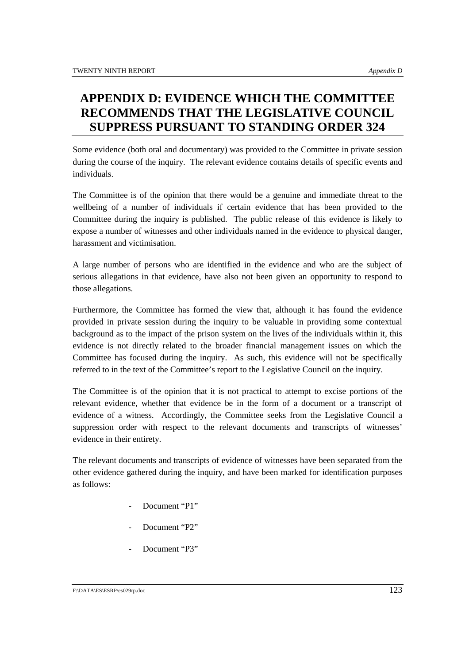# **APPENDIX D: EVIDENCE WHICH THE COMMITTEE RECOMMENDS THAT THE LEGISLATIVE COUNCIL SUPPRESS PURSUANT TO STANDING ORDER 324**

Some evidence (both oral and documentary) was provided to the Committee in private session during the course of the inquiry. The relevant evidence contains details of specific events and individuals.

The Committee is of the opinion that there would be a genuine and immediate threat to the wellbeing of a number of individuals if certain evidence that has been provided to the Committee during the inquiry is published. The public release of this evidence is likely to expose a number of witnesses and other individuals named in the evidence to physical danger, harassment and victimisation.

A large number of persons who are identified in the evidence and who are the subject of serious allegations in that evidence, have also not been given an opportunity to respond to those allegations.

Furthermore, the Committee has formed the view that, although it has found the evidence provided in private session during the inquiry to be valuable in providing some contextual background as to the impact of the prison system on the lives of the individuals within it, this evidence is not directly related to the broader financial management issues on which the Committee has focused during the inquiry. As such, this evidence will not be specifically referred to in the text of the Committee's report to the Legislative Council on the inquiry.

The Committee is of the opinion that it is not practical to attempt to excise portions of the relevant evidence, whether that evidence be in the form of a document or a transcript of evidence of a witness. Accordingly, the Committee seeks from the Legislative Council a suppression order with respect to the relevant documents and transcripts of witnesses' evidence in their entirety.

The relevant documents and transcripts of evidence of witnesses have been separated from the other evidence gathered during the inquiry, and have been marked for identification purposes as follows:

- Document "P1"
- Document "P2"
- Document "P3"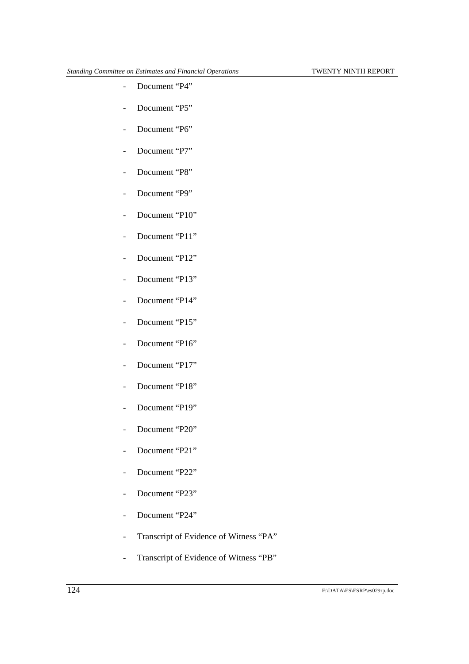- Document "P4"
- Document "P5"
- Document "P6"
- Document "P7"
- Document "P8"
- Document "P9"
- Document "P10"
- Document "P11"
- Document "P12"
- Document "P13"
- Document "P14"
- Document "P15"
- Document "P16"
- Document "P17"
- Document "P18"
- Document "P19"
- Document "P20"
- Document "P21"
- Document "P22"
- Document "P23"
- Document "P24"
- Transcript of Evidence of Witness "PA"
- Transcript of Evidence of Witness "PB"